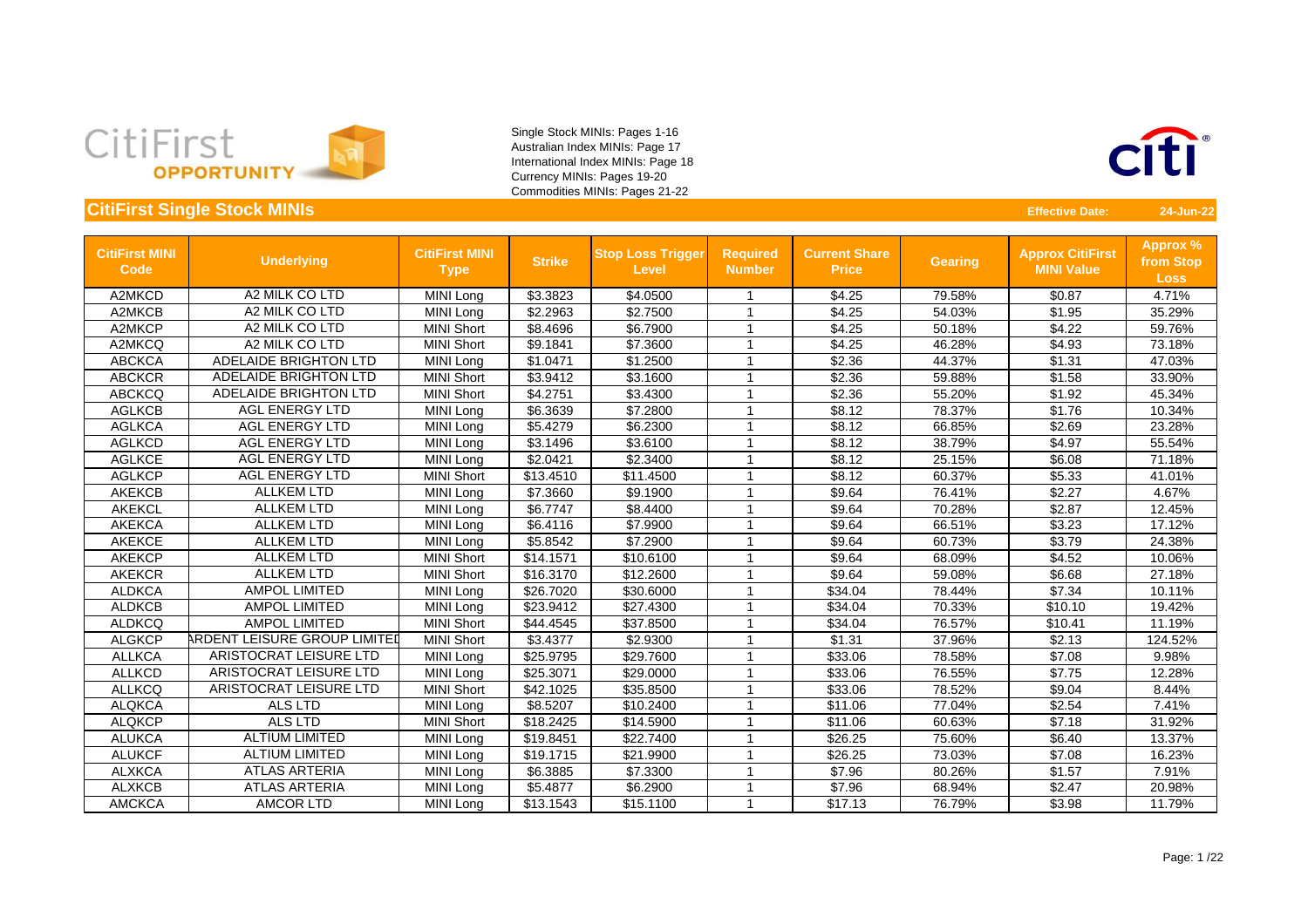



| <b>CitiFirst MINI</b><br><b>Code</b> | <b>Underlying</b>             | <b>CitiFirst MINI</b><br><b>Type</b> | <b>Strike</b> | <b>Stop Loss Trigger</b><br><b>Level</b> | <b>Required</b><br><b>Number</b> | <b>Current Share</b><br><b>Price</b> | <b>Gearing</b> | <b>Approx CitiFirst</b><br><b>MINI Value</b> | <b>Approx %</b><br>from Stop<br><b>Loss</b> |
|--------------------------------------|-------------------------------|--------------------------------------|---------------|------------------------------------------|----------------------------------|--------------------------------------|----------------|----------------------------------------------|---------------------------------------------|
| A2MKCD                               | A2 MILK CO LTD                | MINI Long                            | \$3.3823      | \$4.0500                                 |                                  | \$4.25                               | 79.58%         | \$0.87                                       | 4.71%                                       |
| A2MKCB                               | A2 MILK CO LTD                | MINI Long                            | \$2.2963      | \$2.7500                                 | -1                               | \$4.25                               | 54.03%         | \$1.95                                       | 35.29%                                      |
| A2MKCP                               | A2 MILK CO LTD                | <b>MINI Short</b>                    | \$8.4696      | \$6.7900                                 | -1                               | \$4.25                               | 50.18%         | \$4.22                                       | 59.76%                                      |
| A2MKCQ                               | A2 MILK CO LTD                | <b>MINI Short</b>                    | \$9.1841      | \$7.3600                                 | $\overline{\phantom{a}}$         | \$4.25                               | 46.28%         | \$4.93                                       | 73.18%                                      |
| <b>ABCKCA</b>                        | <b>ADELAIDE BRIGHTON LTD</b>  | MINI Long                            | \$1.0471      | \$1.2500                                 |                                  | \$2.36                               | 44.37%         | \$1.31                                       | 47.03%                                      |
| <b>ABCKCR</b>                        | <b>ADELAIDE BRIGHTON LTD</b>  | <b>MINI Short</b>                    | \$3.9412      | \$3.1600                                 |                                  | \$2.36                               | 59.88%         | \$1.58                                       | 33.90%                                      |
| <b>ABCKCQ</b>                        | <b>ADELAIDE BRIGHTON LTD</b>  | <b>MINI Short</b>                    | \$4.2751      | \$3.4300                                 | $\overline{ }$                   | \$2.36                               | 55.20%         | \$1.92                                       | 45.34%                                      |
| <b>AGLKCB</b>                        | <b>AGL ENERGY LTD</b>         | MINI Long                            | \$6.3639      | \$7.2800                                 |                                  | \$8.12                               | 78.37%         | \$1.76                                       | 10.34%                                      |
| <b>AGLKCA</b>                        | <b>AGL ENERGY LTD</b>         | MINI Long                            | \$5.4279      | \$6.2300                                 |                                  | \$8.12                               | 66.85%         | \$2.69                                       | 23.28%                                      |
| <b>AGLKCD</b>                        | <b>AGL ENERGY LTD</b>         | MINI Long                            | \$3.1496      | \$3.6100                                 |                                  | \$8.12                               | 38.79%         | \$4.97                                       | 55.54%                                      |
| <b>AGLKCE</b>                        | <b>AGL ENERGY LTD</b>         | MINI Long                            | \$2.0421      | \$2.3400                                 |                                  | \$8.12                               | 25.15%         | \$6.08                                       | 71.18%                                      |
| <b>AGLKCP</b>                        | <b>AGL ENERGY LTD</b>         | <b>MINI Short</b>                    | \$13.4510     | \$11.4500                                |                                  | \$8.12                               | 60.37%         | \$5.33                                       | 41.01%                                      |
| <b>AKEKCB</b>                        | <b>ALLKEM LTD</b>             | MINI Long                            | \$7.3660      | \$9.1900                                 | $\overline{ }$                   | \$9.64                               | 76.41%         | \$2.27                                       | 4.67%                                       |
| <b>AKEKCL</b>                        | <b>ALLKEM LTD</b>             | MINI Long                            | \$6.7747      | \$8.4400                                 |                                  | \$9.64                               | 70.28%         | \$2.87                                       | 12.45%                                      |
| <b>AKEKCA</b>                        | <b>ALLKEM LTD</b>             | MINI Long                            | \$6.4116      | \$7.9900                                 |                                  | \$9.64                               | 66.51%         | \$3.23                                       | 17.12%                                      |
| <b>AKEKCE</b>                        | <b>ALLKEM LTD</b>             | MINI Long                            | \$5.8542      | \$7.2900                                 | -4                               | \$9.64                               | 60.73%         | \$3.79                                       | 24.38%                                      |
| <b>AKEKCP</b>                        | <b>ALLKEM LTD</b>             | <b>MINI Short</b>                    | \$14.1571     | \$10.6100                                | -1                               | \$9.64                               | 68.09%         | \$4.52                                       | 10.06%                                      |
| <b>AKEKCR</b>                        | <b>ALLKEM LTD</b>             | <b>MINI Short</b>                    | \$16.3170     | \$12.2600                                |                                  | \$9.64                               | 59.08%         | \$6.68                                       | 27.18%                                      |
| <b>ALDKCA</b>                        | <b>AMPOL LIMITED</b>          | MINI Long                            | \$26.7020     | \$30.6000                                |                                  | \$34.04                              | 78.44%         | \$7.34                                       | 10.11%                                      |
| <b>ALDKCB</b>                        | <b>AMPOL LIMITED</b>          | MINI Long                            | \$23.9412     | \$27.4300                                |                                  | \$34.04                              | 70.33%         | \$10.10                                      | 19.42%                                      |
| <b>ALDKCQ</b>                        | <b>AMPOL LIMITED</b>          | <b>MINI Short</b>                    | \$44.4545     | \$37.8500                                |                                  | \$34.04                              | 76.57%         | \$10.41                                      | 11.19%                                      |
| <b>ALGKCP</b>                        | ARDENT LEISURE GROUP LIMITED  | <b>MINI Short</b>                    | \$3.4377      | \$2.9300                                 | $\overline{\phantom{a}}$         | \$1.31                               | 37.96%         | \$2.13                                       | 124.52%                                     |
| <b>ALLKCA</b>                        | ARISTOCRAT LEISURE LTD        | <b>MINI Long</b>                     | \$25.9795     | \$29.7600                                | $\overline{\phantom{a}}$         | \$33.06                              | 78.58%         | \$7.08                                       | 9.98%                                       |
| <b>ALLKCD</b>                        | <b>ARISTOCRAT LEISURE LTD</b> | MINI Long                            | \$25.3071     | \$29.0000                                | $\overline{\phantom{a}}$         | \$33.06                              | 76.55%         | \$7.75                                       | 12.28%                                      |
| <b>ALLKCQ</b>                        | <b>ARISTOCRAT LEISURE LTD</b> | <b>MINI Short</b>                    | \$42.1025     | \$35.8500                                |                                  | \$33.06                              | 78.52%         | \$9.04                                       | 8.44%                                       |
| <b>ALQKCA</b>                        | <b>ALS LTD</b>                | MINI Long                            | \$8.5207      | \$10.2400                                |                                  | \$11.06                              | 77.04%         | \$2.54                                       | 7.41%                                       |
| <b>ALQKCP</b>                        | <b>ALS LTD</b>                | <b>MINI Short</b>                    | \$18.2425     | \$14.5900                                | $\overline{1}$                   | \$11.06                              | 60.63%         | \$7.18                                       | 31.92%                                      |
| <b>ALUKCA</b>                        | <b>ALTIUM LIMITED</b>         | MINI Long                            | \$19.8451     | \$22.7400                                |                                  | \$26.25                              | 75.60%         | \$6.40                                       | 13.37%                                      |
| <b>ALUKCF</b>                        | <b>ALTIUM LIMITED</b>         | MINI Long                            | \$19.1715     | \$21.9900                                |                                  | \$26.25                              | 73.03%         | \$7.08                                       | 16.23%                                      |
| <b>ALXKCA</b>                        | <b>ATLAS ARTERIA</b>          | MINI Long                            | \$6.3885      | \$7.3300                                 |                                  | \$7.96                               | 80.26%         | \$1.57                                       | 7.91%                                       |
| <b>ALXKCB</b>                        | <b>ATLAS ARTERIA</b>          | MINI Long                            | \$5.4877      | \$6.2900                                 | -1                               | \$7.96                               | 68.94%         | \$2.47                                       | 20.98%                                      |
| <b>AMCKCA</b>                        | <b>AMCOR LTD</b>              | MINI Long                            | \$13.1543     | \$15.1100                                | $\overline{ }$                   | \$17.13                              | 76.79%         | \$3.98                                       | 11.79%                                      |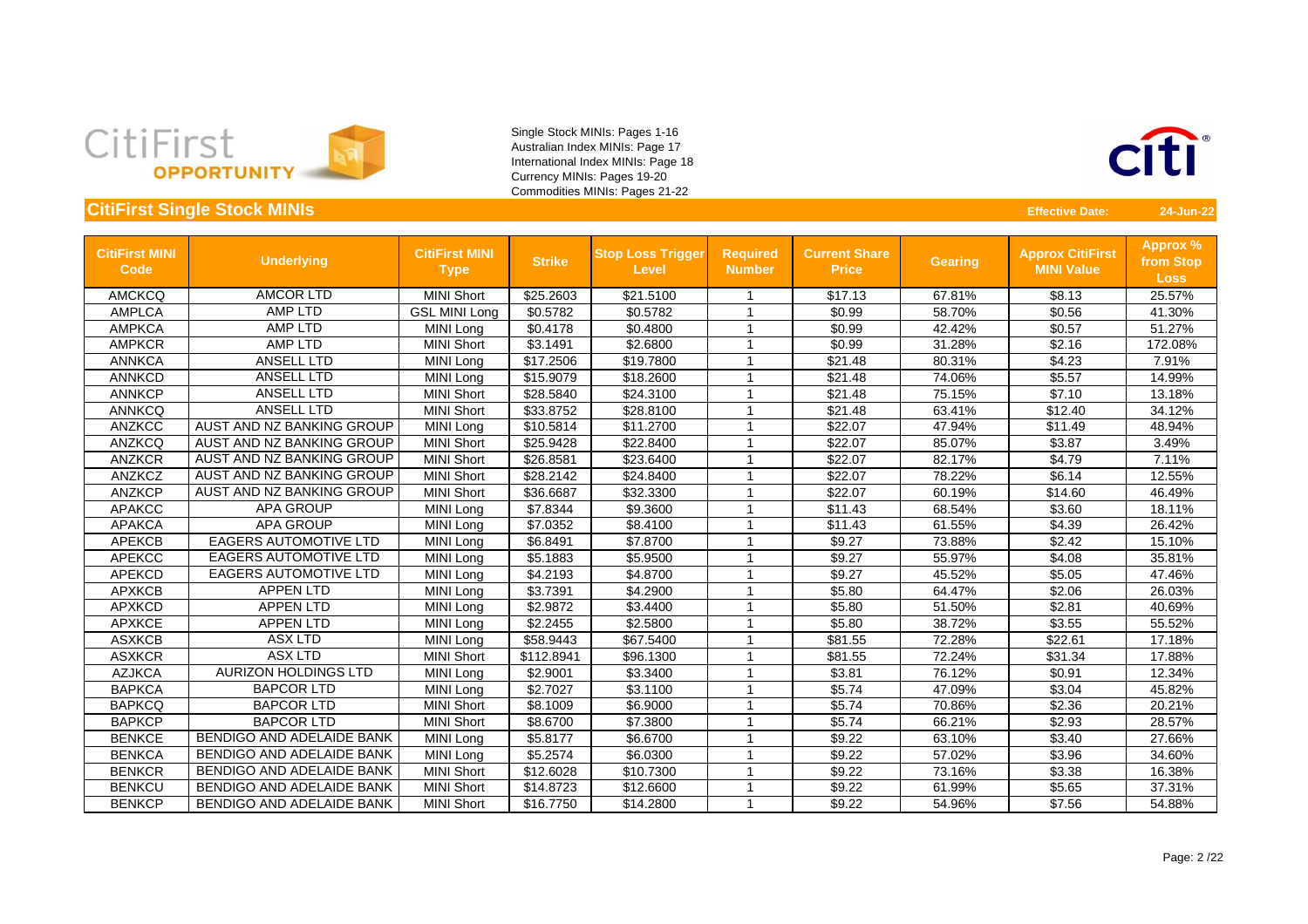



| <b>CitiFirst MINI</b><br><b>Code</b> | <b>Underlying</b>                | <b>CitiFirst MINI</b><br><b>Type</b> | <b>Strike</b> | <b>Stop Loss Trigger</b><br><b>Level</b> | <b>Required</b><br><b>Number</b> | <b>Current Share</b><br><b>Price</b> | <b>Gearing</b> | <b>Approx CitiFirst</b><br><b>MINI Value</b> | <b>Approx %</b><br>from Stop<br><b>Loss</b> |
|--------------------------------------|----------------------------------|--------------------------------------|---------------|------------------------------------------|----------------------------------|--------------------------------------|----------------|----------------------------------------------|---------------------------------------------|
| <b>AMCKCQ</b>                        | <b>AMCOR LTD</b>                 | <b>MINI Short</b>                    | \$25.2603     | \$21.5100                                |                                  | \$17.13                              | 67.81%         | \$8.13                                       | 25.57%                                      |
| <b>AMPLCA</b>                        | <b>AMP LTD</b>                   | <b>GSL MINI Long</b>                 | \$0.5782      | \$0.5782                                 |                                  | \$0.99                               | 58.70%         | \$0.56                                       | 41.30%                                      |
| <b>AMPKCA</b>                        | <b>AMP LTD</b>                   | <b>MINI Long</b>                     | \$0.4178      | \$0.4800                                 | -1                               | \$0.99                               | 42.42%         | \$0.57                                       | 51.27%                                      |
| <b>AMPKCR</b>                        | <b>AMP LTD</b>                   | <b>MINI Short</b>                    | \$3.1491      | \$2.6800                                 | $\overline{ }$                   | \$0.99                               | 31.28%         | \$2.16                                       | 172.08%                                     |
| <b>ANNKCA</b>                        | <b>ANSELL LTD</b>                | MINI Long                            | \$17.2506     | \$19.7800                                |                                  | \$21.48                              | 80.31%         | \$4.23                                       | 7.91%                                       |
| <b>ANNKCD</b>                        | <b>ANSELL LTD</b>                | MINI Long                            | \$15.9079     | \$18.2600                                |                                  | \$21.48                              | 74.06%         | \$5.57                                       | 14.99%                                      |
| <b>ANNKCP</b>                        | <b>ANSELL LTD</b>                | <b>MINI Short</b>                    | \$28.5840     | \$24.3100                                | -4                               | \$21.48                              | 75.15%         | \$7.10                                       | 13.18%                                      |
| <b>ANNKCQ</b>                        | <b>ANSELL LTD</b>                | <b>MINI Short</b>                    | \$33.8752     | \$28.8100                                | -1                               | \$21.48                              | 63.41%         | \$12.40                                      | 34.12%                                      |
| <b>ANZKCC</b>                        | AUST AND NZ BANKING GROUP        | MINI Long                            | \$10.5814     | \$11.2700                                |                                  | \$22.07                              | 47.94%         | \$11.49                                      | 48.94%                                      |
| <b>ANZKCQ</b>                        | AUST AND NZ BANKING GROUP        | <b>MINI Short</b>                    | \$25.9428     | \$22.8400                                |                                  | \$22.07                              | 85.07%         | \$3.87                                       | 3.49%                                       |
| <b>ANZKCR</b>                        | AUST AND NZ BANKING GROUP        | <b>MINI Short</b>                    | \$26.8581     | \$23.6400                                |                                  | \$22.07                              | 82.17%         | \$4.79                                       | 7.11%                                       |
| <b>ANZKCZ</b>                        | AUST AND NZ BANKING GROUP        | <b>MINI Short</b>                    | \$28.2142     | \$24.8400                                | -4                               | \$22.07                              | 78.22%         | \$6.14                                       | 12.55%                                      |
| <b>ANZKCP</b>                        | AUST AND NZ BANKING GROUP        | <b>MINI Short</b>                    | \$36.6687     | \$32.3300                                | -1                               | \$22.07                              | 60.19%         | \$14.60                                      | 46.49%                                      |
| <b>APAKCC</b>                        | <b>APA GROUP</b>                 | <b>MINI Long</b>                     | \$7.8344      | \$9.3600                                 | -4                               | \$11.43                              | 68.54%         | \$3.60                                       | 18.11%                                      |
| <b>APAKCA</b>                        | <b>APA GROUP</b>                 | MINI Long                            | \$7.0352      | \$8.4100                                 | -1                               | \$11.43                              | 61.55%         | \$4.39                                       | 26.42%                                      |
| <b>APEKCB</b>                        | <b>EAGERS AUTOMOTIVE LTD</b>     | MINI Long                            | \$6.8491      | \$7.8700                                 | $\overline{ }$                   | \$9.27                               | 73.88%         | \$2.42                                       | 15.10%                                      |
| <b>APEKCC</b>                        | <b>EAGERS AUTOMOTIVE LTD</b>     | MINI Long                            | \$5.1883      | \$5.9500                                 | $\overline{ }$                   | \$9.27                               | 55.97%         | \$4.08                                       | 35.81%                                      |
| <b>APEKCD</b>                        | <b>EAGERS AUTOMOTIVE LTD</b>     | MINI Long                            | \$4.2193      | \$4.8700                                 |                                  | \$9.27                               | 45.52%         | \$5.05                                       | 47.46%                                      |
| <b>APXKCB</b>                        | <b>APPEN LTD</b>                 | MINI Long                            | \$3.7391      | \$4.2900                                 |                                  | \$5.80                               | 64.47%         | \$2.06                                       | 26.03%                                      |
| <b>APXKCD</b>                        | <b>APPEN LTD</b>                 | MINI Long                            | \$2.9872      | \$3.4400                                 |                                  | \$5.80                               | 51.50%         | \$2.81                                       | 40.69%                                      |
| <b>APXKCE</b>                        | <b>APPEN LTD</b>                 | MINI Long                            | \$2.2455      | \$2.5800                                 | -1                               | \$5.80                               | 38.72%         | \$3.55                                       | 55.52%                                      |
| <b>ASXKCB</b>                        | <b>ASX LTD</b>                   | MINI Long                            | \$58.9443     | \$67.5400                                | $\overline{\phantom{a}}$         | \$81.55                              | 72.28%         | \$22.61                                      | 17.18%                                      |
| <b>ASXKCR</b>                        | <b>ASX LTD</b>                   | <b>MINI Short</b>                    | \$112.8941    | \$96.1300                                | $\overline{\phantom{a}}$         | \$81.55                              | 72.24%         | \$31.34                                      | 17.88%                                      |
| <b>AZJKCA</b>                        | <b>AURIZON HOLDINGS LTD</b>      | MINI Long                            | \$2.9001      | \$3.3400                                 |                                  | \$3.81                               | 76.12%         | \$0.91                                       | 12.34%                                      |
| <b>BAPKCA</b>                        | <b>BAPCOR LTD</b>                | MINI Long                            | \$2.7027      | \$3.1100                                 |                                  | \$5.74                               | 47.09%         | \$3.04                                       | 45.82%                                      |
| <b>BAPKCQ</b>                        | <b>BAPCOR LTD</b>                | <b>MINI Short</b>                    | \$8.1009      | \$6.9000                                 |                                  | \$5.74                               | 70.86%         | \$2.36                                       | 20.21%                                      |
| <b>BAPKCP</b>                        | <b>BAPCOR LTD</b>                | <b>MINI Short</b>                    | \$8.6700      | \$7.3800                                 | $\overline{ }$                   | \$5.74                               | 66.21%         | \$2.93                                       | 28.57%                                      |
| <b>BENKCE</b>                        | <b>BENDIGO AND ADELAIDE BANK</b> | MINI Long                            | \$5.8177      | \$6.6700                                 |                                  | \$9.22                               | 63.10%         | \$3.40                                       | 27.66%                                      |
| <b>BENKCA</b>                        | <b>BENDIGO AND ADELAIDE BANK</b> | MINI Long                            | \$5.2574      | \$6.0300                                 |                                  | \$9.22                               | 57.02%         | \$3.96                                       | 34.60%                                      |
| <b>BENKCR</b>                        | <b>BENDIGO AND ADELAIDE BANK</b> | <b>MINI Short</b>                    | \$12.6028     | \$10.7300                                |                                  | \$9.22                               | 73.16%         | \$3.38                                       | 16.38%                                      |
| <b>BENKCU</b>                        | <b>BENDIGO AND ADELAIDE BANK</b> | <b>MINI Short</b>                    | \$14.8723     | \$12.6600                                | -1                               | \$9.22                               | 61.99%         | \$5.65                                       | 37.31%                                      |
| <b>BENKCP</b>                        | <b>BENDIGO AND ADELAIDE BANK</b> | <b>MINI Short</b>                    | \$16.7750     | \$14.2800                                | -4                               | \$9.22                               | 54.96%         | \$7.56                                       | 54.88%                                      |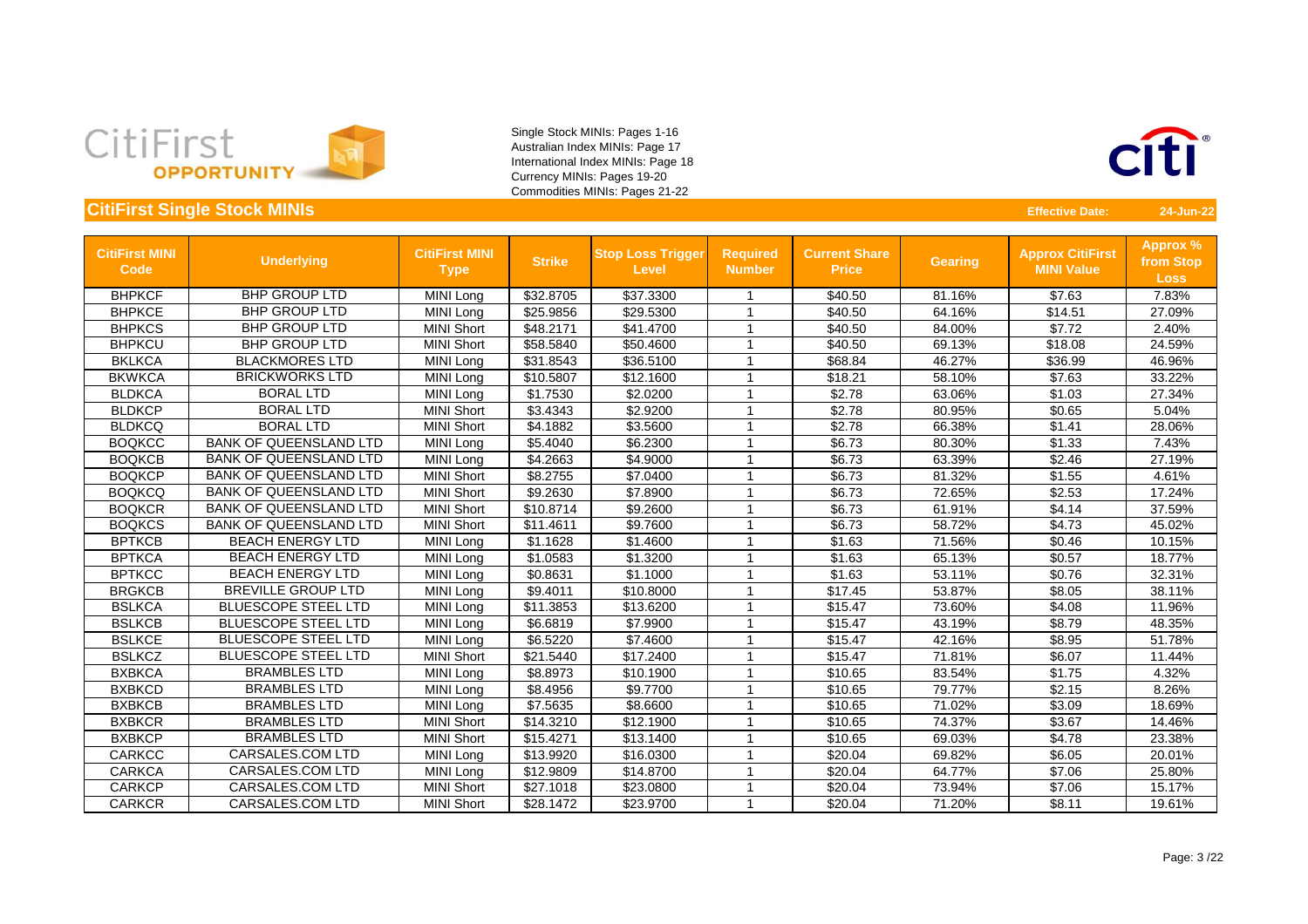



| <b>CitiFirst MINI</b><br><b>Code</b> | <b>Underlying</b>             | <b>CitiFirst MINI</b><br><b>Type</b> | <b>Strike</b> | <b>Stop Loss Trigger</b><br><b>Level</b> | <b>Required</b><br><b>Number</b> | <b>Current Share</b><br><b>Price</b> | <b>Gearing</b> | <b>Approx CitiFirst</b><br><b>MINI Value</b> | <b>Approx %</b><br>from Stop<br><b>Loss</b> |
|--------------------------------------|-------------------------------|--------------------------------------|---------------|------------------------------------------|----------------------------------|--------------------------------------|----------------|----------------------------------------------|---------------------------------------------|
| <b>BHPKCF</b>                        | <b>BHP GROUP LTD</b>          | MINI Long                            | \$32.8705     | \$37.3300                                |                                  | \$40.50                              | 81.16%         | \$7.63                                       | 7.83%                                       |
| <b>BHPKCE</b>                        | <b>BHP GROUP LTD</b>          | MINI Long                            | \$25.9856     | \$29.5300                                |                                  | \$40.50                              | 64.16%         | \$14.51                                      | 27.09%                                      |
| <b>BHPKCS</b>                        | <b>BHP GROUP LTD</b>          | <b>MINI Short</b>                    | \$48.2171     | \$41.4700                                | -1                               | \$40.50                              | 84.00%         | \$7.72                                       | 2.40%                                       |
| <b>BHPKCU</b>                        | <b>BHP GROUP LTD</b>          | <b>MINI Short</b>                    | \$58.5840     | \$50.4600                                | -1                               | \$40.50                              | 69.13%         | \$18.08                                      | 24.59%                                      |
| <b>BKLKCA</b>                        | <b>BLACKMORES LTD</b>         | MINI Long                            | \$31.8543     | \$36.5100                                | -1                               | \$68.84                              | 46.27%         | \$36.99                                      | 46.96%                                      |
| <b>BKWKCA</b>                        | <b>BRICKWORKS LTD</b>         | MINI Long                            | \$10.5807     | \$12.1600                                |                                  | \$18.21                              | 58.10%         | \$7.63                                       | 33.22%                                      |
| <b>BLDKCA</b>                        | <b>BORAL LTD</b>              | MINI Long                            | \$1.7530      | \$2.0200                                 | -1                               | \$2.78                               | 63.06%         | \$1.03                                       | 27.34%                                      |
| <b>BLDKCP</b>                        | <b>BORAL LTD</b>              | <b>MINI Short</b>                    | \$3.4343      | \$2.9200                                 |                                  | \$2.78                               | 80.95%         | \$0.65                                       | 5.04%                                       |
| <b>BLDKCQ</b>                        | <b>BORAL LTD</b>              | <b>MINI Short</b>                    | \$4.1882      | \$3.5600                                 | -1                               | \$2.78                               | 66.38%         | \$1.41                                       | 28.06%                                      |
| <b>BOQKCC</b>                        | <b>BANK OF QUEENSLAND LTD</b> | <b>MINI Long</b>                     | \$5.4040      | \$6.2300                                 | -1                               | \$6.73                               | 80.30%         | \$1.33                                       | 7.43%                                       |
| <b>BOQKCB</b>                        | <b>BANK OF QUEENSLAND LTD</b> | MINI Long                            | \$4.2663      | \$4.9000                                 | -1                               | \$6.73                               | 63.39%         | \$2.46                                       | 27.19%                                      |
| <b>BOQKCP</b>                        | <b>BANK OF QUEENSLAND LTD</b> | <b>MINI Short</b>                    | \$8.2755      | \$7.0400                                 |                                  | \$6.73                               | 81.32%         | \$1.55                                       | 4.61%                                       |
| <b>BOQKCQ</b>                        | <b>BANK OF QUEENSLAND LTD</b> | <b>MINI Short</b>                    | \$9.2630      | \$7.8900                                 | -1                               | \$6.73                               | 72.65%         | \$2.53                                       | 17.24%                                      |
| <b>BOQKCR</b>                        | <b>BANK OF QUEENSLAND LTD</b> | <b>MINI Short</b>                    | \$10.8714     | \$9.2600                                 | -1                               | \$6.73                               | 61.91%         | \$4.14                                       | 37.59%                                      |
| <b>BOQKCS</b>                        | <b>BANK OF QUEENSLAND LTD</b> | <b>MINI Short</b>                    | \$11.4611     | \$9.7600                                 |                                  | \$6.73                               | 58.72%         | \$4.73                                       | 45.02%                                      |
| <b>BPTKCB</b>                        | <b>BEACH ENERGY LTD</b>       | MINI Long                            | \$1.1628      | \$1.4600                                 | -1                               | \$1.63                               | 71.56%         | \$0.46                                       | 10.15%                                      |
| <b>BPTKCA</b>                        | <b>BEACH ENERGY LTD</b>       | MINI Long                            | \$1.0583      | \$1.3200                                 | -1                               | \$1.63                               | 65.13%         | \$0.57                                       | 18.77%                                      |
| <b>BPTKCC</b>                        | <b>BEACH ENERGY LTD</b>       | MINI Long                            | \$0.8631      | \$1.1000                                 | 1                                | \$1.63                               | 53.11%         | \$0.76                                       | 32.31%                                      |
| <b>BRGKCB</b>                        | <b>BREVILLE GROUP LTD</b>     | MINI Long                            | \$9.4011      | \$10.8000                                |                                  | \$17.45                              | 53.87%         | \$8.05                                       | 38.11%                                      |
| <b>BSLKCA</b>                        | <b>BLUESCOPE STEEL LTD</b>    | <b>MINI Long</b>                     | \$11.3853     | \$13.6200                                |                                  | \$15.47                              | 73.60%         | \$4.08                                       | 11.96%                                      |
| <b>BSLKCB</b>                        | <b>BLUESCOPE STEEL LTD</b>    | MINI Long                            | \$6.6819      | \$7.9900                                 |                                  | \$15.47                              | 43.19%         | \$8.79                                       | 48.35%                                      |
| <b>BSLKCE</b>                        | <b>BLUESCOPE STEEL LTD</b>    | <b>MINI Long</b>                     | \$6.5220      | \$7.4600                                 | -1                               | \$15.47                              | 42.16%         | \$8.95                                       | 51.78%                                      |
| <b>BSLKCZ</b>                        | <b>BLUESCOPE STEEL LTD</b>    | <b>MINI Short</b>                    | \$21.5440     | \$17.2400                                | -1                               | \$15.47                              | 71.81%         | \$6.07                                       | 11.44%                                      |
| <b>BXBKCA</b>                        | <b>BRAMBLES LTD</b>           | MINI Long                            | \$8.8973      | \$10.1900                                | -1                               | \$10.65                              | 83.54%         | \$1.75                                       | 4.32%                                       |
| <b>BXBKCD</b>                        | <b>BRAMBLES LTD</b>           | MINI Long                            | \$8.4956      | \$9.7700                                 |                                  | \$10.65                              | 79.77%         | \$2.15                                       | 8.26%                                       |
| <b>BXBKCB</b>                        | <b>BRAMBLES LTD</b>           | MINI Long                            | \$7.5635      | \$8.6600                                 |                                  | \$10.65                              | 71.02%         | \$3.09                                       | 18.69%                                      |
| <b>BXBKCR</b>                        | <b>BRAMBLES LTD</b>           | <b>MINI Short</b>                    | \$14.3210     | \$12.1900                                | 1                                | \$10.65                              | 74.37%         | \$3.67                                       | 14.46%                                      |
| <b>BXBKCP</b>                        | <b>BRAMBLES LTD</b>           | <b>MINI Short</b>                    | \$15.4271     | \$13.1400                                | -1                               | \$10.65                              | 69.03%         | \$4.78                                       | 23.38%                                      |
| <b>CARKCC</b>                        | <b>CARSALES.COM LTD</b>       | MINI Long                            | \$13.9920     | \$16.0300                                | -1                               | \$20.04                              | 69.82%         | \$6.05                                       | 20.01%                                      |
| <b>CARKCA</b>                        | <b>CARSALES.COM LTD</b>       | MINI Long                            | \$12.9809     | \$14.8700                                | -1                               | \$20.04                              | 64.77%         | \$7.06                                       | 25.80%                                      |
| <b>CARKCP</b>                        | <b>CARSALES.COM LTD</b>       | <b>MINI Short</b>                    | \$27.1018     | \$23.0800                                |                                  | \$20.04                              | 73.94%         | \$7.06                                       | 15.17%                                      |
| <b>CARKCR</b>                        | <b>CARSALES.COM LTD</b>       | <b>MINI Short</b>                    | \$28.1472     | \$23.9700                                |                                  | \$20.04                              | 71.20%         | \$8.11                                       | 19.61%                                      |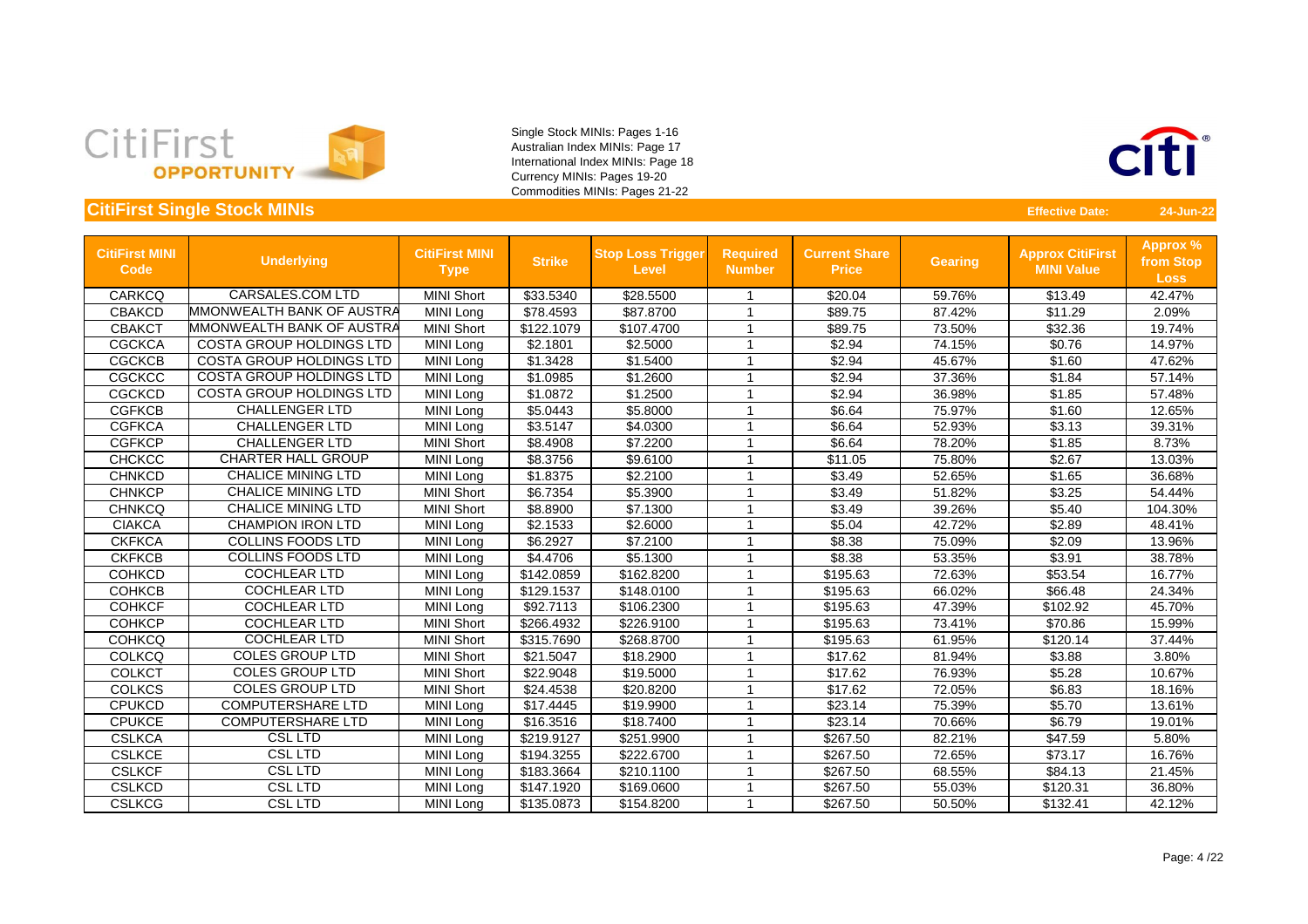



| <b>CitiFirst MINI</b><br>Code | <b>Underlying</b>               | <b>CitiFirst MINI</b><br><b>Type</b> | <b>Strike</b> | <b>Stop Loss Trigger</b><br><b>Level</b> | <b>Required</b><br><b>Number</b> | <b>Current Share</b><br><b>Price</b> | <b>Gearing</b> | <b>Approx CitiFirst</b><br><b>MINI Value</b> | <b>Approx %</b><br>from Stop<br><b>Loss</b> |
|-------------------------------|---------------------------------|--------------------------------------|---------------|------------------------------------------|----------------------------------|--------------------------------------|----------------|----------------------------------------------|---------------------------------------------|
| <b>CARKCQ</b>                 | <b>CARSALES.COM LTD</b>         | <b>MINI Short</b>                    | \$33.5340     | \$28.5500                                |                                  | \$20.04                              | 59.76%         | \$13.49                                      | 42.47%                                      |
| <b>CBAKCD</b>                 | MMONWEALTH BANK OF AUSTRA       | <b>MINI Long</b>                     | \$78.4593     | \$87.8700                                | -1                               | \$89.75                              | 87.42%         | \$11.29                                      | 2.09%                                       |
| <b>CBAKCT</b>                 | MMONWEALTH BANK OF AUSTRA       | <b>MINI Short</b>                    | \$122.1079    | \$107.4700                               | $\overline{1}$                   | \$89.75                              | 73.50%         | \$32.36                                      | 19.74%                                      |
| <b>CGCKCA</b>                 | <b>COSTA GROUP HOLDINGS LTD</b> | MINI Long                            | \$2.1801      | \$2.5000                                 | 1                                | \$2.94                               | 74.15%         | \$0.76                                       | 14.97%                                      |
| <b>CGCKCB</b>                 | <b>COSTA GROUP HOLDINGS LTD</b> | MINI Long                            | \$1.3428      | \$1.5400                                 | 1                                | \$2.94                               | 45.67%         | \$1.60                                       | 47.62%                                      |
| <b>CGCKCC</b>                 | <b>COSTA GROUP HOLDINGS LTD</b> | MINI Long                            | \$1.0985      | \$1.2600                                 | 1                                | \$2.94                               | 37.36%         | \$1.84                                       | 57.14%                                      |
| <b>CGCKCD</b>                 | <b>COSTA GROUP HOLDINGS LTD</b> | MINI Long                            | \$1.0872      | \$1.2500                                 | 1                                | \$2.94                               | 36.98%         | \$1.85                                       | 57.48%                                      |
| <b>CGFKCB</b>                 | <b>CHALLENGER LTD</b>           | MINI Long                            | \$5.0443      | \$5.8000                                 | -1                               | \$6.64                               | 75.97%         | \$1.60                                       | 12.65%                                      |
| <b>CGFKCA</b>                 | <b>CHALLENGER LTD</b>           | MINI Long                            | \$3.5147      | \$4.0300                                 |                                  | \$6.64                               | 52.93%         | \$3.13                                       | 39.31%                                      |
| <b>CGFKCP</b>                 | <b>CHALLENGER LTD</b>           | <b>MINI Short</b>                    | \$8.4908      | \$7.2200                                 | -1                               | \$6.64                               | 78.20%         | \$1.85                                       | 8.73%                                       |
| <b>CHCKCC</b>                 | <b>CHARTER HALL GROUP</b>       | MINI Long                            | \$8.3756      | \$9.6100                                 | -1                               | \$11.05                              | 75.80%         | \$2.67                                       | 13.03%                                      |
| <b>CHNKCD</b>                 | <b>CHALICE MINING LTD</b>       | MINI Long                            | \$1.8375      | \$2.2100                                 | $\overline{1}$                   | \$3.49                               | 52.65%         | \$1.65                                       | 36.68%                                      |
| <b>CHNKCP</b>                 | <b>CHALICE MINING LTD</b>       | <b>MINI Short</b>                    | \$6.7354      | \$5.3900                                 | $\overline{1}$                   | \$3.49                               | 51.82%         | \$3.25                                       | 54.44%                                      |
| <b>CHNKCQ</b>                 | <b>CHALICE MINING LTD</b>       | <b>MINI Short</b>                    | \$8.8900      | \$7.1300                                 | 1                                | \$3.49                               | 39.26%         | \$5.40                                       | 104.30%                                     |
| <b>CIAKCA</b>                 | <b>CHAMPION IRON LTD</b>        | MINI Long                            | \$2.1533      | \$2.6000                                 | 1                                | \$5.04                               | 42.72%         | \$2.89                                       | 48.41%                                      |
| <b>CKFKCA</b>                 | <b>COLLINS FOODS LTD</b>        | <b>MINI Long</b>                     | \$6.2927      | \$7.2100                                 | 1                                | \$8.38                               | 75.09%         | \$2.09                                       | 13.96%                                      |
| <b>CKFKCB</b>                 | <b>COLLINS FOODS LTD</b>        | MINI Long                            | \$4.4706      | \$5.1300                                 | 1                                | \$8.38                               | 53.35%         | \$3.91                                       | 38.78%                                      |
| <b>COHKCD</b>                 | <b>COCHLEAR LTD</b>             | MINI Long                            | \$142.0859    | \$162.8200                               | -1                               | \$195.63                             | 72.63%         | \$53.54                                      | 16.77%                                      |
| <b>COHKCB</b>                 | <b>COCHLEAR LTD</b>             | MINI Long                            | \$129.1537    | \$148.0100                               | -1                               | \$195.63                             | 66.02%         | \$66.48                                      | 24.34%                                      |
| <b>COHKCF</b>                 | <b>COCHLEAR LTD</b>             | MINI Long                            | \$92.7113     | \$106.2300                               | -1                               | \$195.63                             | 47.39%         | \$102.92                                     | 45.70%                                      |
| <b>COHKCP</b>                 | <b>COCHLEAR LTD</b>             | <b>MINI Short</b>                    | \$266.4932    | \$226.9100                               |                                  | \$195.63                             | 73.41%         | \$70.86                                      | 15.99%                                      |
| <b>COHKCQ</b>                 | <b>COCHLEAR LTD</b>             | <b>MINI Short</b>                    | \$315.7690    | \$268.8700                               | 1                                | \$195.63                             | 61.95%         | \$120.14                                     | 37.44%                                      |
| <b>COLKCQ</b>                 | <b>COLES GROUP LTD</b>          | <b>MINI Short</b>                    | \$21.5047     | \$18.2900                                | 1                                | \$17.62                              | 81.94%         | \$3.88                                       | 3.80%                                       |
| <b>COLKCT</b>                 | <b>COLES GROUP LTD</b>          | <b>MINI Short</b>                    | \$22.9048     | \$19.5000                                | -1                               | \$17.62                              | 76.93%         | \$5.28                                       | 10.67%                                      |
| <b>COLKCS</b>                 | <b>COLES GROUP LTD</b>          | <b>MINI Short</b>                    | \$24.4538     | \$20.8200                                | 1                                | \$17.62                              | 72.05%         | \$6.83                                       | 18.16%                                      |
| <b>CPUKCD</b>                 | <b>COMPUTERSHARE LTD</b>        | <b>MINI Long</b>                     | \$17.4445     | \$19.9900                                |                                  | \$23.14                              | 75.39%         | \$5.70                                       | 13.61%                                      |
| <b>CPUKCE</b>                 | <b>COMPUTERSHARE LTD</b>        | <b>MINI Long</b>                     | \$16.3516     | \$18.7400                                |                                  | \$23.14                              | 70.66%         | \$6.79                                       | 19.01%                                      |
| <b>CSLKCA</b>                 | <b>CSL LTD</b>                  | MINI Long                            | \$219.9127    | \$251.9900                               |                                  | \$267.50                             | 82.21%         | \$47.59                                      | 5.80%                                       |
| <b>CSLKCE</b>                 | <b>CSL LTD</b>                  | MINI Long                            | \$194.3255    | \$222.6700                               | -1                               | \$267.50                             | 72.65%         | \$73.17                                      | 16.76%                                      |
| <b>CSLKCF</b>                 | <b>CSL LTD</b>                  | MINI Long                            | \$183.3664    | \$210.1100                               | $\overline{1}$                   | \$267.50                             | 68.55%         | \$84.13                                      | 21.45%                                      |
| <b>CSLKCD</b>                 | <b>CSL LTD</b>                  | MINI Long                            | \$147.1920    | \$169.0600                               | 1                                | \$267.50                             | 55.03%         | \$120.31                                     | 36.80%                                      |
| <b>CSLKCG</b>                 | <b>CSL LTD</b>                  | MINI Long                            | \$135.0873    | \$154.8200                               |                                  | \$267.50                             | 50.50%         | \$132.41                                     | 42.12%                                      |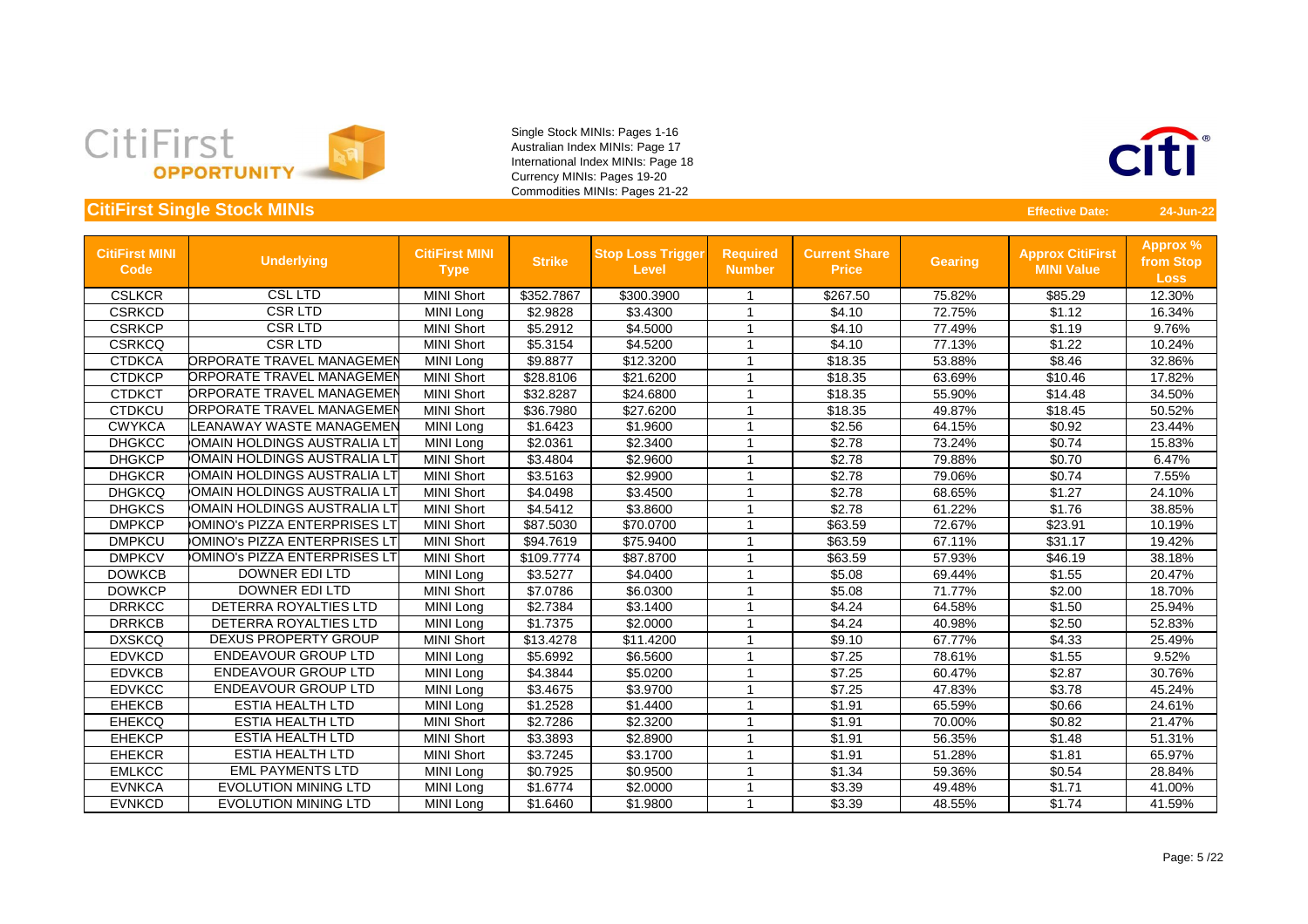



| <b>CitiFirst MINI</b><br><b>Code</b> | <b>Underlying</b>                | <b>CitiFirst MINI</b><br><b>Type</b> | <b>Strike</b> | <b>Stop Loss Trigger</b><br><b>Level</b> | <b>Required</b><br><b>Number</b> | <b>Current Share</b><br><b>Price</b> | <b>Gearing</b> | <b>Approx CitiFirst</b><br><b>MINI Value</b> | Approx %<br>from Stop<br><b>Loss</b> |
|--------------------------------------|----------------------------------|--------------------------------------|---------------|------------------------------------------|----------------------------------|--------------------------------------|----------------|----------------------------------------------|--------------------------------------|
| <b>CSLKCR</b>                        | <b>CSL LTD</b>                   | <b>MINI Short</b>                    | \$352.7867    | \$300.3900                               | -1                               | \$267.50                             | 75.82%         | \$85.29                                      | 12.30%                               |
| <b>CSRKCD</b>                        | <b>CSR LTD</b>                   | MINI Long                            | \$2.9828      | \$3.4300                                 | $\overline{1}$                   | \$4.10                               | 72.75%         | \$1.12                                       | 16.34%                               |
| <b>CSRKCP</b>                        | <b>CSRLTD</b>                    | <b>MINI Short</b>                    | \$5.2912      | \$4.5000                                 | 1                                | \$4.10                               | 77.49%         | \$1.19                                       | 9.76%                                |
| <b>CSRKCQ</b>                        | <b>CSRLTD</b>                    | <b>MINI Short</b>                    | \$5.3154      | \$4.5200                                 | -1                               | \$4.10                               | 77.13%         | \$1.22                                       | 10.24%                               |
| <b>CTDKCA</b>                        | <b>ORPORATE TRAVEL MANAGEMEN</b> | <b>MINI Long</b>                     | \$9.8877      | \$12.3200                                | 1                                | \$18.35                              | 53.88%         | \$8.46                                       | 32.86%                               |
| <b>CTDKCP</b>                        | <b>ORPORATE TRAVEL MANAGEMEN</b> | <b>MINI Short</b>                    | \$28.8106     | \$21.6200                                | 1                                | \$18.35                              | 63.69%         | \$10.46                                      | 17.82%                               |
| <b>CTDKCT</b>                        | <b>ORPORATE TRAVEL MANAGEMEN</b> | <b>MINI Short</b>                    | \$32.8287     | \$24.6800                                | -1                               | \$18.35                              | 55.90%         | \$14.48                                      | 34.50%                               |
| <b>CTDKCU</b>                        | <b>ORPORATE TRAVEL MANAGEMEN</b> | <b>MINI Short</b>                    | \$36.7980     | \$27.6200                                |                                  | \$18.35                              | 49.87%         | \$18.45                                      | 50.52%                               |
| <b>CWYKCA</b>                        | LEANAWAY WASTE MANAGEMEN         | MINI Long                            | \$1.6423      | \$1.9600                                 |                                  | \$2.56                               | 64.15%         | \$0.92                                       | 23.44%                               |
| <b>DHGKCC</b>                        | OMAIN HOLDINGS AUSTRALIA LT      | <b>MINI Long</b>                     | \$2.0361      | \$2.3400                                 | 1                                | \$2.78                               | 73.24%         | \$0.74                                       | 15.83%                               |
| <b>DHGKCP</b>                        | OMAIN HOLDINGS AUSTRALIA LT      | <b>MINI Short</b>                    | \$3.4804      | \$2.9600                                 | -1                               | \$2.78                               | 79.88%         | \$0.70                                       | 6.47%                                |
| <b>DHGKCR</b>                        | OMAIN HOLDINGS AUSTRALIA LT      | <b>MINI Short</b>                    | \$3.5163      | \$2.9900                                 | -1                               | \$2.78                               | 79.06%         | \$0.74                                       | 7.55%                                |
| <b>DHGKCQ</b>                        | OMAIN HOLDINGS AUSTRALIA LT      | <b>MINI Short</b>                    | \$4.0498      | \$3.4500                                 | 1                                | \$2.78                               | 68.65%         | \$1.27                                       | 24.10%                               |
| <b>DHGKCS</b>                        | OMAIN HOLDINGS AUSTRALIA LT      | <b>MINI Short</b>                    | \$4.5412      | \$3.8600                                 | 1                                | \$2.78                               | 61.22%         | \$1.76                                       | 38.85%                               |
| <b>DMPKCP</b>                        | OMINO's PIZZA ENTERPRISES LT     | <b>MINI Short</b>                    | \$87.5030     | \$70.0700                                |                                  | \$63.59                              | 72.67%         | \$23.91                                      | 10.19%                               |
| <b>DMPKCU</b>                        | OMINO's PIZZA ENTERPRISES LT     | <b>MINI Short</b>                    | \$94.7619     | \$75.9400                                | 1                                | \$63.59                              | 67.11%         | \$31.17                                      | 19.42%                               |
| <b>DMPKCV</b>                        | OMINO's PIZZA ENTERPRISES LT     | <b>MINI Short</b>                    | \$109.7774    | \$87.8700                                | -1                               | \$63.59                              | 57.93%         | \$46.19                                      | 38.18%                               |
| <b>DOWKCB</b>                        | <b>DOWNER EDILTD</b>             | MINI Long                            | \$3.5277      | \$4.0400                                 | -1                               | \$5.08                               | 69.44%         | \$1.55                                       | 20.47%                               |
| <b>DOWKCP</b>                        | <b>DOWNER EDILTD</b>             | <b>MINI Short</b>                    | \$7.0786      | \$6.0300                                 | -1                               | \$5.08                               | 71.77%         | \$2.00                                       | 18.70%                               |
| <b>DRRKCC</b>                        | DETERRA ROYALTIES LTD            | <b>MINI Long</b>                     | \$2.7384      | \$3.1400                                 | 1                                | \$4.24                               | 64.58%         | \$1.50                                       | 25.94%                               |
| <b>DRRKCB</b>                        | DETERRA ROYALTIES LTD            | MINI Long                            | \$1.7375      | \$2.0000                                 | -1                               | \$4.24                               | 40.98%         | \$2.50                                       | 52.83%                               |
| <b>DXSKCQ</b>                        | <b>DEXUS PROPERTY GROUP</b>      | <b>MINI Short</b>                    | \$13.4278     | \$11.4200                                | 1                                | \$9.10                               | 67.77%         | \$4.33                                       | 25.49%                               |
| <b>EDVKCD</b>                        | <b>ENDEAVOUR GROUP LTD</b>       | MINI Long                            | \$5.6992      | \$6.5600                                 | 1                                | \$7.25                               | 78.61%         | \$1.55                                       | 9.52%                                |
| <b>EDVKCB</b>                        | <b>ENDEAVOUR GROUP LTD</b>       | MINI Long                            | \$4.3844      | \$5.0200                                 | 1                                | \$7.25                               | 60.47%         | \$2.87                                       | 30.76%                               |
| <b>EDVKCC</b>                        | <b>ENDEAVOUR GROUP LTD</b>       | <b>MINI Long</b>                     | \$3.4675      | \$3.9700                                 | $\overline{1}$                   | \$7.25                               | 47.83%         | \$3.78                                       | 45.24%                               |
| <b>EHEKCB</b>                        | <b>ESTIA HEALTH LTD</b>          | MINI Long                            | \$1.2528      | \$1.4400                                 | 1                                | \$1.91                               | 65.59%         | \$0.66                                       | 24.61%                               |
| <b>EHEKCQ</b>                        | <b>ESTIA HEALTH LTD</b>          | <b>MINI Short</b>                    | \$2.7286      | \$2.3200                                 | -1                               | \$1.91                               | 70.00%         | \$0.82                                       | 21.47%                               |
| <b>EHEKCP</b>                        | <b>ESTIA HEALTH LTD</b>          | <b>MINI Short</b>                    | \$3.3893      | \$2.8900                                 |                                  | \$1.91                               | 56.35%         | \$1.48                                       | 51.31%                               |
| <b>EHEKCR</b>                        | <b>ESTIA HEALTH LTD</b>          | <b>MINI Short</b>                    | \$3.7245      | \$3.1700                                 | -1                               | \$1.91                               | 51.28%         | \$1.81                                       | 65.97%                               |
| <b>EMLKCC</b>                        | <b>EML PAYMENTS LTD</b>          | MINI Long                            | \$0.7925      | \$0.9500                                 |                                  | \$1.34                               | 59.36%         | \$0.54                                       | 28.84%                               |
| <b>EVNKCA</b>                        | <b>EVOLUTION MINING LTD</b>      | MINI Long                            | \$1.6774      | \$2.0000                                 | 1                                | \$3.39                               | 49.48%         | \$1.71                                       | 41.00%                               |
| <b>EVNKCD</b>                        | <b>EVOLUTION MINING LTD</b>      | MINI Long                            | \$1.6460      | \$1.9800                                 | $\overline{1}$                   | \$3.39                               | 48.55%         | \$1.74                                       | 41.59%                               |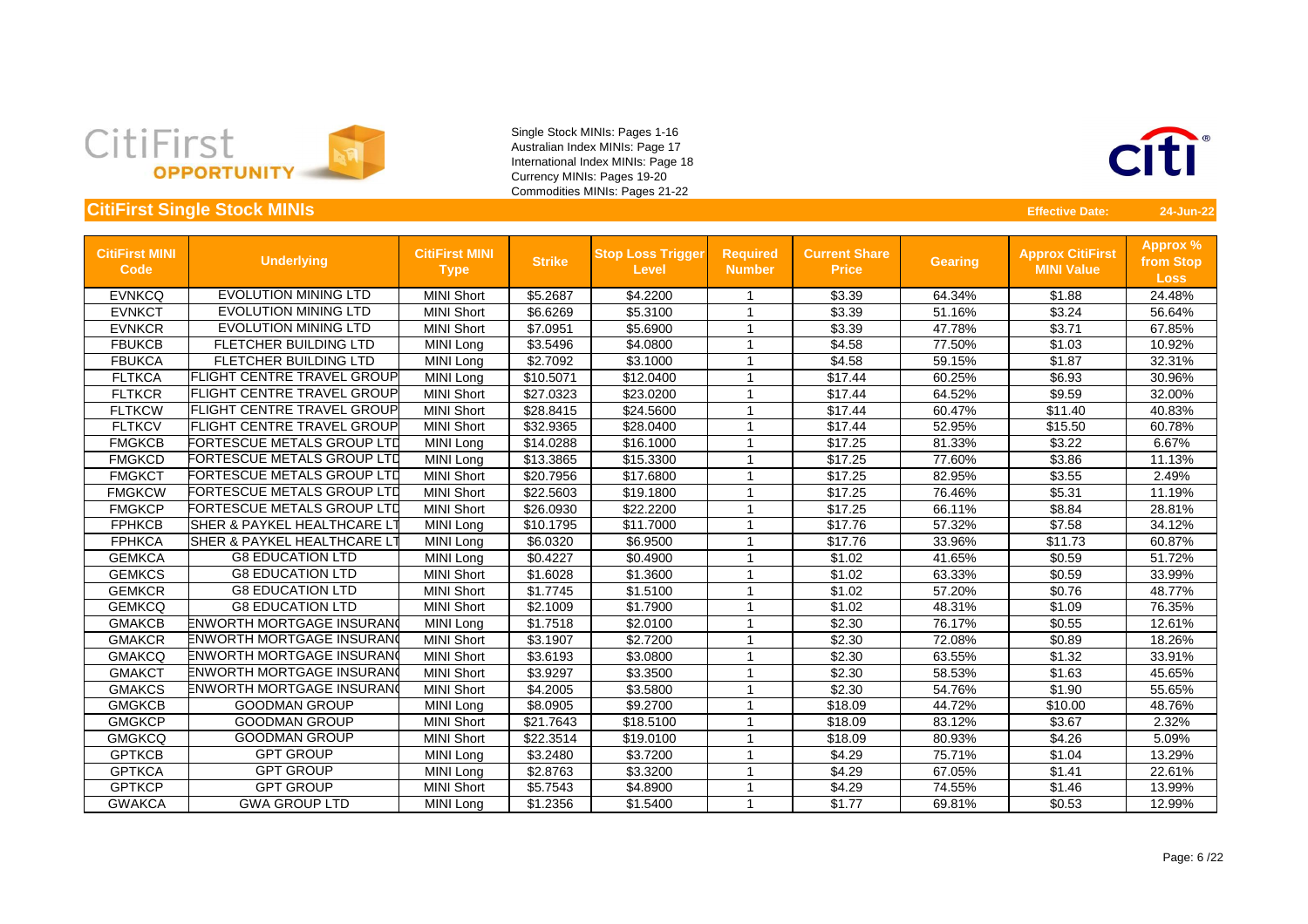



| <b>CitiFirst MINI</b><br><b>Code</b> | <b>Underlying</b>                      | <b>CitiFirst MINI</b><br><b>Type</b> | <b>Strike</b> | <b>Stop Loss Trigger</b><br><b>Level</b> | <b>Required</b><br><b>Number</b> | <b>Current Share</b><br><b>Price</b> | <b>Gearing</b> | <b>Approx CitiFirst</b><br><b>MINI Value</b> | <b>Approx %</b><br>from Stop<br><b>Loss</b> |
|--------------------------------------|----------------------------------------|--------------------------------------|---------------|------------------------------------------|----------------------------------|--------------------------------------|----------------|----------------------------------------------|---------------------------------------------|
| <b>EVNKCQ</b>                        | <b>EVOLUTION MINING LTD</b>            | <b>MINI Short</b>                    | \$5.2687      | \$4.2200                                 |                                  | \$3.39                               | 64.34%         | \$1.88                                       | 24.48%                                      |
| <b>EVNKCT</b>                        | <b>EVOLUTION MINING LTD</b>            | <b>MINI Short</b>                    | \$6.6269      | \$5.3100                                 | -1                               | \$3.39                               | 51.16%         | \$3.24                                       | 56.64%                                      |
| <b>EVNKCR</b>                        | <b>EVOLUTION MINING LTD</b>            | <b>MINI Short</b>                    | \$7.0951      | \$5.6900                                 | -1                               | \$3.39                               | 47.78%         | \$3.71                                       | 67.85%                                      |
| <b>FBUKCB</b>                        | FLETCHER BUILDING LTD                  | MINI Long                            | \$3.5496      | \$4.0800                                 | 1                                | \$4.58                               | 77.50%         | \$1.03                                       | 10.92%                                      |
| <b>FBUKCA</b>                        | FLETCHER BUILDING LTD                  | MINI Long                            | \$2.7092      | \$3.1000                                 |                                  | \$4.58                               | 59.15%         | \$1.87                                       | 32.31%                                      |
| <b>FLTKCA</b>                        | <b>FLIGHT CENTRE TRAVEL GROUP</b>      | MINI Long                            | \$10.5071     | \$12.0400                                |                                  | \$17.44                              | 60.25%         | \$6.93                                       | 30.96%                                      |
| <b>FLTKCR</b>                        | <b>FLIGHT CENTRE TRAVEL GROUP</b>      | <b>MINI Short</b>                    | \$27.0323     | \$23.0200                                |                                  | \$17.44                              | 64.52%         | \$9.59                                       | 32.00%                                      |
| <b>FLTKCW</b>                        | <b>FLIGHT CENTRE TRAVEL GROUP</b>      | <b>MINI Short</b>                    | \$28.8415     | \$24.5600                                |                                  | \$17.44                              | 60.47%         | \$11.40                                      | 40.83%                                      |
| <b>FLTKCV</b>                        | <b>FLIGHT CENTRE TRAVEL GROUP</b>      | <b>MINI Short</b>                    | \$32.9365     | \$28.0400                                |                                  | \$17.44                              | 52.95%         | \$15.50                                      | 60.78%                                      |
| <b>FMGKCB</b>                        | FORTESCUE METALS GROUP LTD             | MINI Long                            | \$14.0288     | \$16.1000                                |                                  | \$17.25                              | 81.33%         | \$3.22                                       | 6.67%                                       |
| <b>FMGKCD</b>                        | FORTESCUE METALS GROUP LTD             | MINI Long                            | \$13.3865     | \$15.3300                                |                                  | \$17.25                              | 77.60%         | \$3.86                                       | 11.13%                                      |
| <b>FMGKCT</b>                        | FORTESCUE METALS GROUP LTD             | <b>MINI Short</b>                    | \$20.7956     | \$17.6800                                | - 1                              | \$17.25                              | 82.95%         | \$3.55                                       | 2.49%                                       |
| <b>FMGKCW</b>                        | FORTESCUE METALS GROUP LTD             | <b>MINI Short</b>                    | \$22.5603     | \$19.1800                                | -1                               | \$17.25                              | 76.46%         | \$5.31                                       | 11.19%                                      |
| <b>FMGKCP</b>                        | <b>FORTESCUE METALS GROUP LTD</b>      | <b>MINI Short</b>                    | \$26.0930     | \$22.2200                                |                                  | \$17.25                              | 66.11%         | \$8.84                                       | 28.81%                                      |
| <b>FPHKCB</b>                        | <b>SHER &amp; PAYKEL HEALTHCARE LT</b> | MINI Long                            | \$10.1795     | \$11.7000                                |                                  | \$17.76                              | 57.32%         | \$7.58                                       | 34.12%                                      |
| <b>FPHKCA</b>                        | <b>SHER &amp; PAYKEL HEALTHCARE LT</b> | MINI Long                            | \$6.0320      | \$6.9500                                 | 1                                | \$17.76                              | 33.96%         | \$11.73                                      | 60.87%                                      |
| <b>GEMKCA</b>                        | <b>G8 EDUCATION LTD</b>                | MINI Long                            | \$0.4227      | \$0.4900                                 | -1                               | \$1.02                               | 41.65%         | \$0.59                                       | 51.72%                                      |
| <b>GEMKCS</b>                        | <b>G8 EDUCATION LTD</b>                | <b>MINI Short</b>                    | \$1.6028      | \$1.3600                                 |                                  | \$1.02                               | 63.33%         | \$0.59                                       | 33.99%                                      |
| <b>GEMKCR</b>                        | <b>G8 EDUCATION LTD</b>                | <b>MINI Short</b>                    | \$1.7745      | \$1.5100                                 |                                  | \$1.02                               | 57.20%         | \$0.76                                       | 48.77%                                      |
| <b>GEMKCQ</b>                        | <b>G8 EDUCATION LTD</b>                | <b>MINI Short</b>                    | \$2.1009      | \$1.7900                                 |                                  | \$1.02                               | 48.31%         | \$1.09                                       | 76.35%                                      |
| <b>GMAKCB</b>                        | ENWORTH MORTGAGE INSURANO              | <b>MINI Long</b>                     | \$1.7518      | \$2.0100                                 |                                  | \$2.30                               | 76.17%         | \$0.55                                       | 12.61%                                      |
| <b>GMAKCR</b>                        | ENWORTH MORTGAGE INSURANO              | <b>MINI Short</b>                    | \$3.1907      | \$2.7200                                 | -1                               | \$2.30                               | 72.08%         | \$0.89                                       | 18.26%                                      |
| <b>GMAKCQ</b>                        | <b>ENWORTH MORTGAGE INSURANG</b>       | <b>MINI Short</b>                    | \$3.6193      | \$3.0800                                 |                                  | \$2.30                               | 63.55%         | \$1.32                                       | 33.91%                                      |
| <b>GMAKCT</b>                        | ENWORTH MORTGAGE INSURANO              | <b>MINI Short</b>                    | \$3.9297      | \$3.3500                                 | -1                               | \$2.30                               | 58.53%         | \$1.63                                       | 45.65%                                      |
| <b>GMAKCS</b>                        | ENWORTH MORTGAGE INSURANO              | <b>MINI Short</b>                    | \$4.2005      | \$3.5800                                 | 1                                | \$2.30                               | 54.76%         | \$1.90                                       | 55.65%                                      |
| <b>GMGKCB</b>                        | <b>GOODMAN GROUP</b>                   | MINI Long                            | \$8.0905      | \$9.2700                                 | -1                               | \$18.09                              | 44.72%         | \$10.00                                      | 48.76%                                      |
| <b>GMGKCP</b>                        | <b>GOODMAN GROUP</b>                   | <b>MINI Short</b>                    | \$21.7643     | \$18.5100                                |                                  | \$18.09                              | 83.12%         | \$3.67                                       | 2.32%                                       |
| <b>GMGKCQ</b>                        | <b>GOODMAN GROUP</b>                   | <b>MINI Short</b>                    | \$22.3514     | \$19.0100                                |                                  | \$18.09                              | 80.93%         | \$4.26                                       | 5.09%                                       |
| <b>GPTKCB</b>                        | <b>GPT GROUP</b>                       | MINI Long                            | \$3.2480      | \$3.7200                                 |                                  | \$4.29                               | 75.71%         | \$1.04                                       | 13.29%                                      |
| <b>GPTKCA</b>                        | <b>GPT GROUP</b>                       | MINI Long                            | \$2.8763      | \$3.3200                                 |                                  | \$4.29                               | 67.05%         | \$1.41                                       | 22.61%                                      |
| <b>GPTKCP</b>                        | <b>GPT GROUP</b>                       | <b>MINI Short</b>                    | \$5.7543      | \$4.8900                                 | -1                               | \$4.29                               | 74.55%         | \$1.46                                       | 13.99%                                      |
| <b>GWAKCA</b>                        | <b>GWA GROUP LTD</b>                   | MINI Long                            | \$1.2356      | \$1.5400                                 | -1                               | \$1.77                               | 69.81%         | \$0.53                                       | 12.99%                                      |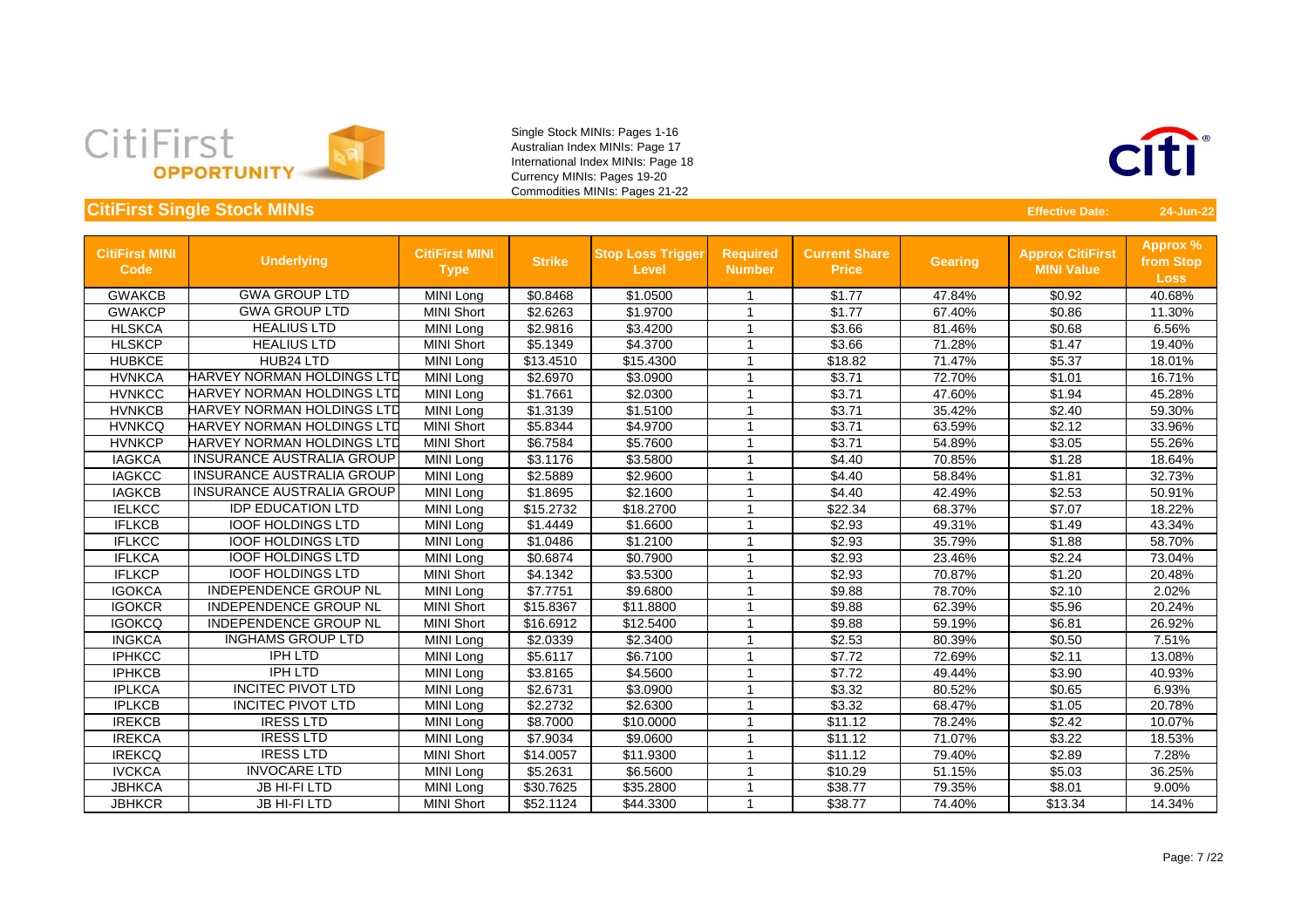



| <b>CitiFirst MINI</b><br><b>Code</b> | <b>Underlying</b>                 | <b>CitiFirst MINI</b><br><b>Type</b> | <b>Strike</b> | <b>Stop Loss Trigger</b><br><b>Level</b> | <b>Required</b><br><b>Number</b> | <b>Current Share</b><br><b>Price</b> | <b>Gearing</b> | <b>Approx CitiFirst</b><br><b>MINI Value</b> | <b>Approx %</b><br>from Stop<br><b>Loss</b> |
|--------------------------------------|-----------------------------------|--------------------------------------|---------------|------------------------------------------|----------------------------------|--------------------------------------|----------------|----------------------------------------------|---------------------------------------------|
| <b>GWAKCB</b>                        | <b>GWA GROUP LTD</b>              | MINI Long                            | \$0.8468      | \$1.0500                                 |                                  | \$1.77                               | 47.84%         | \$0.92                                       | 40.68%                                      |
| <b>GWAKCP</b>                        | <b>GWA GROUP LTD</b>              | <b>MINI Short</b>                    | \$2.6263      | \$1.9700                                 |                                  | \$1.77                               | 67.40%         | \$0.86                                       | 11.30%                                      |
| <b>HLSKCA</b>                        | <b>HEALIUS LTD</b>                | <b>MINI Long</b>                     | \$2.9816      | \$3.4200                                 |                                  | \$3.66                               | 81.46%         | \$0.68                                       | 6.56%                                       |
| <b>HLSKCP</b>                        | <b>HEALIUS LTD</b>                | <b>MINI Short</b>                    | \$5.1349      | \$4.3700                                 | -1                               | \$3.66                               | 71.28%         | \$1.47                                       | 19.40%                                      |
| <b>HUBKCE</b>                        | HUB24 LTD                         | MINI Long                            | \$13.4510     | \$15.4300                                |                                  | \$18.82                              | 71.47%         | \$5.37                                       | 18.01%                                      |
| <b>HVNKCA</b>                        | <b>HARVEY NORMAN HOLDINGS LTD</b> | <b>MINI Long</b>                     | \$2.6970      | \$3.0900                                 |                                  | \$3.71                               | 72.70%         | \$1.01                                       | 16.71%                                      |
| <b>HVNKCC</b>                        | <b>HARVEY NORMAN HOLDINGS LTD</b> | MINI Long                            | \$1.7661      | \$2.0300                                 | -1                               | \$3.71                               | 47.60%         | \$1.94                                       | 45.28%                                      |
| <b>HVNKCB</b>                        | <b>HARVEY NORMAN HOLDINGS LTD</b> | MINI Long                            | \$1.3139      | \$1.5100                                 | -1                               | \$3.71                               | 35.42%         | \$2.40                                       | 59.30%                                      |
| <b>HVNKCQ</b>                        | HARVEY NORMAN HOLDINGS LTD        | <b>MINI Short</b>                    | \$5.8344      | \$4.9700                                 | -1                               | \$3.71                               | 63.59%         | \$2.12                                       | 33.96%                                      |
| <b>HVNKCP</b>                        | HARVEY NORMAN HOLDINGS LTD        | <b>MINI Short</b>                    | \$6.7584      | \$5.7600                                 |                                  | \$3.71                               | 54.89%         | \$3.05                                       | 55.26%                                      |
| <b>IAGKCA</b>                        | <b>INSURANCE AUSTRALIA GROUP</b>  | MINI Long                            | \$3.1176      | \$3.5800                                 |                                  | \$4.40                               | 70.85%         | \$1.28                                       | 18.64%                                      |
| <b>IAGKCC</b>                        | <b>INSURANCE AUSTRALIA GROUP</b>  | <b>MINI Long</b>                     | \$2.5889      | \$2.9600                                 |                                  | \$4.40                               | 58.84%         | \$1.81                                       | 32.73%                                      |
| <b>IAGKCB</b>                        | <b>INSURANCE AUSTRALIA GROUP</b>  | MINI Long                            | \$1.8695      | \$2.1600                                 | -1                               | \$4.40                               | 42.49%         | \$2.53                                       | 50.91%                                      |
| <b>IELKCC</b>                        | <b>IDP EDUCATION LTD</b>          | MINI Long                            | \$15.2732     | \$18.2700                                | -1                               | \$22.34                              | 68.37%         | \$7.07                                       | 18.22%                                      |
| <b>IFLKCB</b>                        | <b>IOOF HOLDINGS LTD</b>          | MINI Long                            | \$1.4449      | \$1.6600                                 | -1                               | \$2.93                               | 49.31%         | \$1.49                                       | 43.34%                                      |
| <b>IFLKCC</b>                        | <b>IOOF HOLDINGS LTD</b>          | MINI Long                            | \$1.0486      | \$1.2100                                 | -1                               | \$2.93                               | 35.79%         | \$1.88                                       | 58.70%                                      |
| <b>IFLKCA</b>                        | <b>IOOF HOLDINGS LTD</b>          | MINI Long                            | \$0.6874      | \$0.7900                                 | -1                               | \$2.93                               | 23.46%         | \$2.24                                       | 73.04%                                      |
| <b>IFLKCP</b>                        | <b>IOOF HOLDINGS LTD</b>          | <b>MINI Short</b>                    | \$4.1342      | \$3.5300                                 | -1                               | \$2.93                               | 70.87%         | \$1.20                                       | 20.48%                                      |
| <b>IGOKCA</b>                        | <b>INDEPENDENCE GROUP NL</b>      | MINI Long                            | \$7.7751      | \$9.6800                                 |                                  | \$9.88                               | 78.70%         | \$2.10                                       | 2.02%                                       |
| <b>IGOKCR</b>                        | <b>INDEPENDENCE GROUP NL</b>      | <b>MINI Short</b>                    | \$15.8367     | \$11.8800                                | -1                               | \$9.88                               | 62.39%         | \$5.96                                       | 20.24%                                      |
| <b>IGOKCQ</b>                        | <b>INDEPENDENCE GROUP NL</b>      | <b>MINI Short</b>                    | \$16.6912     | \$12.5400                                | -1                               | \$9.88                               | 59.19%         | \$6.81                                       | 26.92%                                      |
| <b>INGKCA</b>                        | <b>INGHAMS GROUP LTD</b>          | MINI Long                            | \$2.0339      | \$2.3400                                 | -1                               | \$2.53                               | 80.39%         | \$0.50                                       | 7.51%                                       |
| <b>IPHKCC</b>                        | <b>IPH LTD</b>                    | MINI Long                            | \$5.6117      | \$6.7100                                 | -1                               | \$7.72                               | 72.69%         | \$2.11                                       | 13.08%                                      |
| <b>IPHKCB</b>                        | <b>IPH LTD</b>                    | MINI Long                            | \$3.8165      | \$4.5600                                 |                                  | \$7.72                               | 49.44%         | \$3.90                                       | 40.93%                                      |
| <b>IPLKCA</b>                        | <b>INCITEC PIVOT LTD</b>          | MINI Long                            | \$2.6731      | \$3.0900                                 | -1                               | \$3.32                               | 80.52%         | \$0.65                                       | 6.93%                                       |
| <b>IPLKCB</b>                        | <b>INCITEC PIVOT LTD</b>          | MINI Long                            | \$2.2732      | \$2.6300                                 |                                  | \$3.32                               | 68.47%         | \$1.05                                       | 20.78%                                      |
| <b>IREKCB</b>                        | <b>IRESS LTD</b>                  | MINI Long                            | \$8.7000      | \$10.0000                                | -1                               | \$11.12                              | 78.24%         | \$2.42                                       | 10.07%                                      |
| <b>IREKCA</b>                        | <b>IRESS LTD</b>                  | MINI Long                            | \$7.9034      | \$9.0600                                 |                                  | \$11.12                              | 71.07%         | \$3.22                                       | 18.53%                                      |
| <b>IREKCQ</b>                        | <b>IRESS LTD</b>                  | <b>MINI Short</b>                    | \$14.0057     | \$11.9300                                | -1                               | \$11.12                              | 79.40%         | \$2.89                                       | 7.28%                                       |
| <b>IVCKCA</b>                        | <b>INVOCARE LTD</b>               | MINI Long                            | \$5.2631      | \$6.5600                                 |                                  | \$10.29                              | 51.15%         | \$5.03                                       | 36.25%                                      |
| <b>JBHKCA</b>                        | <b>JB HI-FILTD</b>                | MINI Long                            | \$30.7625     | \$35.2800                                | -1                               | \$38.77                              | 79.35%         | \$8.01                                       | 9.00%                                       |
| <b>JBHKCR</b>                        | <b>JB HI-FILTD</b>                | <b>MINI Short</b>                    | \$52.1124     | \$44.3300                                | -1                               | \$38.77                              | 74.40%         | \$13.34                                      | 14.34%                                      |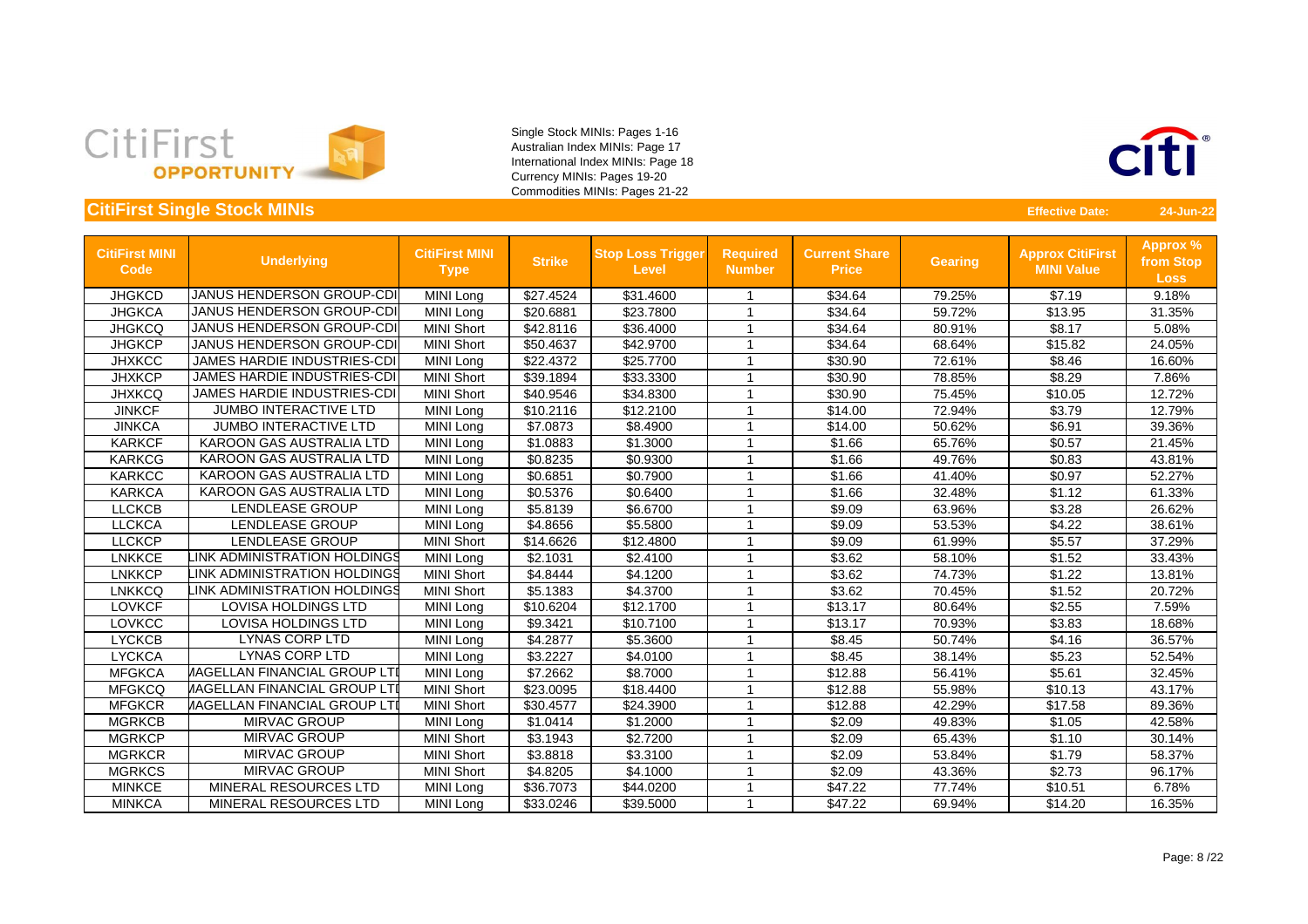



| <b>CitiFirst MINI</b><br>Code | <b>Underlying</b>                   | <b>CitiFirst MINI</b><br><b>Type</b> | <b>Strike</b> | <b>Stop Loss Trigger</b><br><b>Level</b> | <b>Required</b><br><b>Number</b> | <b>Current Share</b><br><b>Price</b> | <b>Gearing</b> | <b>Approx CitiFirst</b><br><b>MINI Value</b> | Approx %<br>from Stop<br><b>Loss</b> |
|-------------------------------|-------------------------------------|--------------------------------------|---------------|------------------------------------------|----------------------------------|--------------------------------------|----------------|----------------------------------------------|--------------------------------------|
| <b>JHGKCD</b>                 | <b>JANUS HENDERSON GROUP-CDI</b>    | MINI Long                            | \$27.4524     | \$31.4600                                | -1                               | \$34.64                              | 79.25%         | \$7.19                                       | 9.18%                                |
| <b>JHGKCA</b>                 | <b>JANUS HENDERSON GROUP-CDI</b>    | MINI Long                            | \$20.6881     | \$23.7800                                | -1                               | \$34.64                              | 59.72%         | \$13.95                                      | 31.35%                               |
| <b>JHGKCQ</b>                 | <b>JANUS HENDERSON GROUP-CDI</b>    | <b>MINI Short</b>                    | \$42.8116     | \$36.4000                                | 1                                | \$34.64                              | 80.91%         | \$8.17                                       | 5.08%                                |
| <b>JHGKCP</b>                 | <b>JANUS HENDERSON GROUP-CDI</b>    | <b>MINI Short</b>                    | \$50.4637     | \$42.9700                                | 1                                | \$34.64                              | 68.64%         | \$15.82                                      | 24.05%                               |
| <b>JHXKCC</b>                 | <b>JAMES HARDIE INDUSTRIES-CDI</b>  | MINI Long                            | \$22.4372     | \$25.7700                                | 1                                | \$30.90                              | 72.61%         | \$8.46                                       | 16.60%                               |
| <b>JHXKCP</b>                 | <b>JAMES HARDIE INDUSTRIES-CDI</b>  | <b>MINI Short</b>                    | \$39.1894     | \$33.3300                                | 1                                | \$30.90                              | 78.85%         | \$8.29                                       | 7.86%                                |
| <b>JHXKCQ</b>                 | <b>JAMES HARDIE INDUSTRIES-CDI</b>  | <b>MINI Short</b>                    | \$40.9546     | \$34.8300                                | 1                                | \$30.90                              | 75.45%         | \$10.05                                      | 12.72%                               |
| <b>JINKCF</b>                 | <b>JUMBO INTERACTIVE LTD</b>        | MINI Long                            | \$10.2116     | \$12.2100                                | 1                                | \$14.00                              | 72.94%         | \$3.79                                       | 12.79%                               |
| <b>JINKCA</b>                 | <b>JUMBO INTERACTIVE LTD</b>        | MINI Long                            | \$7.0873      | \$8.4900                                 |                                  | \$14.00                              | 50.62%         | \$6.91                                       | 39.36%                               |
| <b>KARKCF</b>                 | KAROON GAS AUSTRALIA LTD            | MINI Long                            | \$1.0883      | \$1.3000                                 | -1                               | \$1.66                               | 65.76%         | \$0.57                                       | 21.45%                               |
| <b>KARKCG</b>                 | <b>KAROON GAS AUSTRALIA LTD</b>     | <b>MINI Long</b>                     | \$0.8235      | \$0.9300                                 | -1                               | \$1.66                               | 49.76%         | \$0.83                                       | 43.81%                               |
| <b>KARKCC</b>                 | <b>KAROON GAS AUSTRALIA LTD</b>     | MINI Long                            | \$0.6851      | \$0.7900                                 | -1                               | \$1.66                               | 41.40%         | \$0.97                                       | 52.27%                               |
| <b>KARKCA</b>                 | <b>KAROON GAS AUSTRALIA LTD</b>     | MINI Long                            | \$0.5376      | \$0.6400                                 | 1                                | \$1.66                               | 32.48%         | \$1.12                                       | 61.33%                               |
| <b>LLCKCB</b>                 | <b>LENDLEASE GROUP</b>              | MINI Long                            | \$5.8139      | \$6.6700                                 | -1                               | \$9.09                               | 63.96%         | \$3.28                                       | 26.62%                               |
| <b>LLCKCA</b>                 | <b>LENDLEASE GROUP</b>              | <b>MINI Long</b>                     | \$4.8656      | \$5.5800                                 | 1                                | \$9.09                               | 53.53%         | \$4.22                                       | 38.61%                               |
| <b>LLCKCP</b>                 | LENDLEASE GROUP                     | <b>MINI Short</b>                    | \$14.6626     | \$12.4800                                |                                  | \$9.09                               | 61.99%         | \$5.57                                       | 37.29%                               |
| <b>LNKKCE</b>                 | <b>INK ADMINISTRATION HOLDINGS</b>  | <b>MINI Long</b>                     | \$2.1031      | \$2.4100                                 | 1                                | \$3.62                               | 58.10%         | \$1.52                                       | 33.43%                               |
| <b>LNKKCP</b>                 | <b>INK ADMINISTRATION HOLDINGS</b>  | <b>MINI Short</b>                    | \$4.8444      | \$4.1200                                 | 1                                | \$3.62                               | 74.73%         | \$1.22                                       | 13.81%                               |
| <b>LNKKCQ</b>                 | INK ADMINISTRATION HOLDINGS         | <b>MINI Short</b>                    | \$5.1383      | \$4.3700                                 | -1                               | \$3.62                               | 70.45%         | \$1.52                                       | 20.72%                               |
| <b>LOVKCF</b>                 | <b>LOVISA HOLDINGS LTD</b>          | MINI Long                            | \$10.6204     | \$12.1700                                | -1                               | \$13.17                              | 80.64%         | \$2.55                                       | 7.59%                                |
| <b>LOVKCC</b>                 | <b>LOVISA HOLDINGS LTD</b>          | MINI Long                            | \$9.3421      | \$10.7100                                | -1                               | \$13.17                              | 70.93%         | \$3.83                                       | 18.68%                               |
| <b>LYCKCB</b>                 | <b>LYNAS CORP LTD</b>               | MINI Long                            | \$4.2877      | \$5.3600                                 | -1                               | \$8.45                               | 50.74%         | \$4.16                                       | 36.57%                               |
| <b>LYCKCA</b>                 | <b>LYNAS CORP LTD</b>               | MINI Long                            | \$3.2227      | \$4.0100                                 | 1                                | \$8.45                               | 38.14%         | \$5.23                                       | 52.54%                               |
| <b>MFGKCA</b>                 | <b>IAGELLAN FINANCIAL GROUP LTI</b> | <b>MINI Long</b>                     | \$7.2662      | \$8.7000                                 | 1                                | \$12.88                              | 56.41%         | \$5.61                                       | 32.45%                               |
| <b>MFGKCQ</b>                 | <b>IAGELLAN FINANCIAL GROUP LTI</b> | <b>MINI Short</b>                    | \$23.0095     | \$18.4400                                | 1                                | \$12.88                              | 55.98%         | \$10.13                                      | 43.17%                               |
| <b>MFGKCR</b>                 | <b>IAGELLAN FINANCIAL GROUP LTI</b> | <b>MINI Short</b>                    | \$30.4577     | \$24.3900                                |                                  | \$12.88                              | 42.29%         | \$17.58                                      | 89.36%                               |
| <b>MGRKCB</b>                 | <b>MIRVAC GROUP</b>                 | MINI Long                            | \$1.0414      | \$1.2000                                 | 1                                | \$2.09                               | 49.83%         | \$1.05                                       | 42.58%                               |
| <b>MGRKCP</b>                 | MIRVAC GROUP                        | <b>MINI Short</b>                    | \$3.1943      | \$2.7200                                 | -1                               | \$2.09                               | 65.43%         | \$1.10                                       | 30.14%                               |
| <b>MGRKCR</b>                 | MIRVAC GROUP                        | <b>MINI Short</b>                    | \$3.8818      | \$3.3100                                 | -1                               | \$2.09                               | 53.84%         | \$1.79                                       | 58.37%                               |
| <b>MGRKCS</b>                 | MIRVAC GROUP                        | <b>MINI Short</b>                    | \$4.8205      | \$4.1000                                 | -1                               | \$2.09                               | 43.36%         | \$2.73                                       | 96.17%                               |
| <b>MINKCE</b>                 | <b>MINERAL RESOURCES LTD</b>        | MINI Long                            | \$36.7073     | \$44.0200                                | 1                                | \$47.22                              | 77.74%         | \$10.51                                      | 6.78%                                |
| <b>MINKCA</b>                 | MINERAL RESOURCES LTD               | MINI Long                            | \$33.0246     | \$39.5000                                |                                  | \$47.22                              | 69.94%         | \$14.20                                      | 16.35%                               |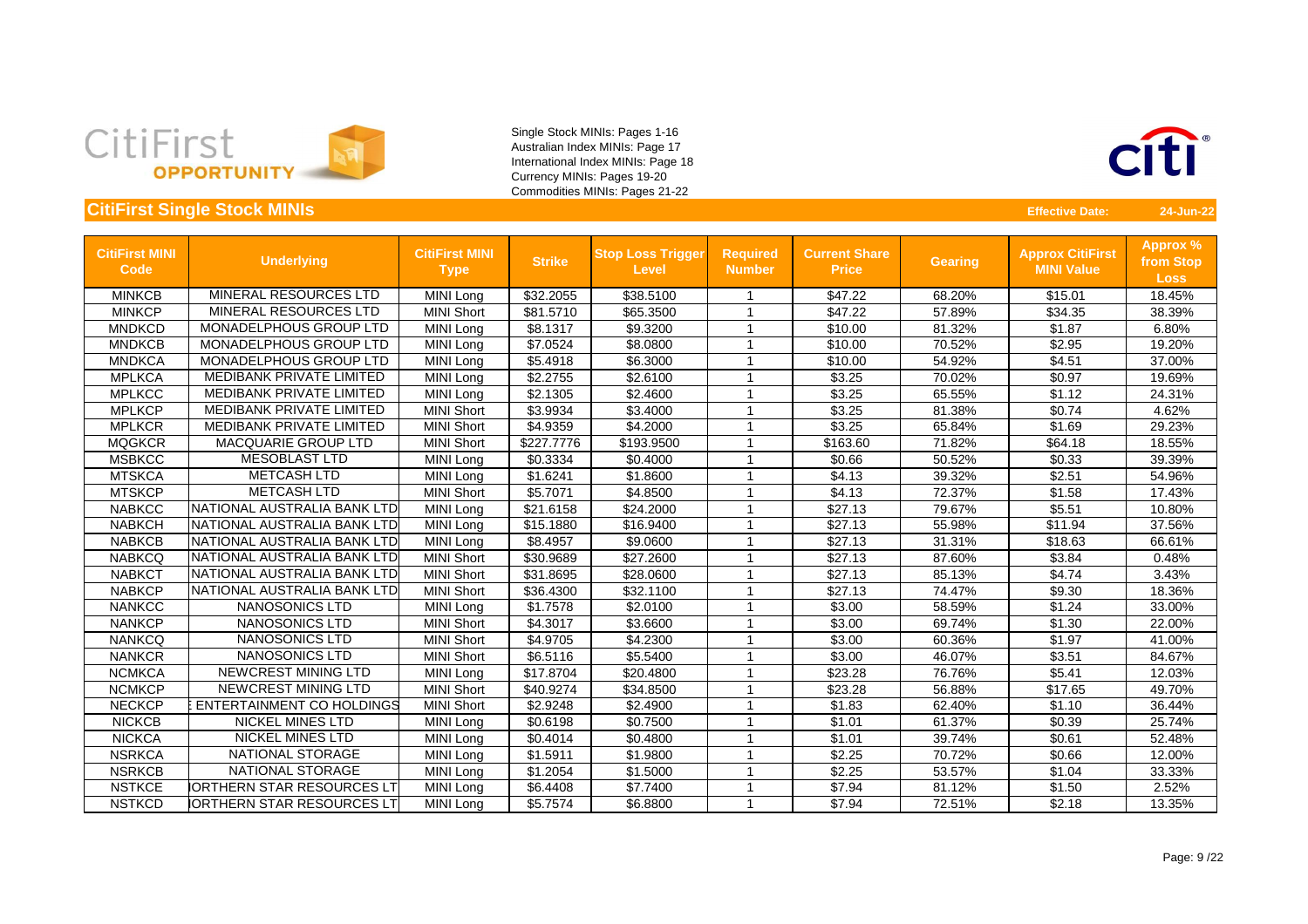



| <b>CitiFirst MINI</b><br><b>Code</b> | <b>Underlying</b>                 | <b>CitiFirst MINI</b><br><b>Type</b> | <b>Strike</b> | <b>Stop Loss Trigger</b><br><b>Level</b> | <b>Required</b><br><b>Number</b> | <b>Current Share</b><br><b>Price</b> | <b>Gearing</b> | <b>Approx CitiFirst</b><br><b>MINI Value</b> | Approx %<br>from Stop<br><b>Loss</b> |
|--------------------------------------|-----------------------------------|--------------------------------------|---------------|------------------------------------------|----------------------------------|--------------------------------------|----------------|----------------------------------------------|--------------------------------------|
| <b>MINKCB</b>                        | MINERAL RESOURCES LTD             | <b>MINI Long</b>                     | \$32.2055     | \$38.5100                                |                                  | \$47.22                              | 68.20%         | \$15.01                                      | 18.45%                               |
| <b>MINKCP</b>                        | MINERAL RESOURCES LTD             | <b>MINI Short</b>                    | \$81.5710     | \$65.3500                                | -1                               | \$47.22                              | 57.89%         | \$34.35                                      | 38.39%                               |
| <b>MNDKCD</b>                        | MONADELPHOUS GROUP LTD            | MINI Long                            | \$8.1317      | \$9.3200                                 | $\overline{\mathbf{1}}$          | \$10.00                              | 81.32%         | \$1.87                                       | 6.80%                                |
| <b>MNDKCB</b>                        | MONADELPHOUS GROUP LTD            | MINI Long                            | \$7.0524      | \$8.0800                                 | -1                               | \$10.00                              | 70.52%         | \$2.95                                       | 19.20%                               |
| <b>MNDKCA</b>                        | <b>MONADELPHOUS GROUP LTD</b>     | MINI Long                            | \$5.4918      | \$6.3000                                 |                                  | \$10.00                              | 54.92%         | \$4.51                                       | 37.00%                               |
| <b>MPLKCA</b>                        | MEDIBANK PRIVATE LIMITED          | MINI Long                            | \$2.2755      | \$2.6100                                 | -1                               | \$3.25                               | 70.02%         | \$0.97                                       | 19.69%                               |
| <b>MPLKCC</b>                        | <b>MEDIBANK PRIVATE LIMITED</b>   | MINI Long                            | \$2.1305      | \$2.4600                                 | -1                               | \$3.25                               | 65.55%         | \$1.12                                       | 24.31%                               |
| <b>MPLKCP</b>                        | <b>MEDIBANK PRIVATE LIMITED</b>   | <b>MINI Short</b>                    | \$3.9934      | \$3.4000                                 |                                  | \$3.25                               | 81.38%         | \$0.74                                       | 4.62%                                |
| <b>MPLKCR</b>                        | MEDIBANK PRIVATE LIMITED          | <b>MINI Short</b>                    | \$4.9359      | \$4.2000                                 |                                  | \$3.25                               | 65.84%         | \$1.69                                       | 29.23%                               |
| <b>MQGKCR</b>                        | <b>MACQUARIE GROUP LTD</b>        | <b>MINI Short</b>                    | \$227.7776    | \$193.9500                               |                                  | \$163.60                             | 71.82%         | \$64.18                                      | 18.55%                               |
| <b>MSBKCC</b>                        | <b>MESOBLAST LTD</b>              | MINI Long                            | \$0.3334      | \$0.4000                                 | -1                               | \$0.66                               | 50.52%         | \$0.33                                       | 39.39%                               |
| <b>MTSKCA</b>                        | <b>METCASH LTD</b>                | MINI Long                            | \$1.6241      | \$1.8600                                 | 1                                | \$4.13                               | 39.32%         | \$2.51                                       | 54.96%                               |
| <b>MTSKCP</b>                        | <b>METCASH LTD</b>                | <b>MINI Short</b>                    | \$5.7071      | \$4.8500                                 | $\overline{1}$                   | \$4.13                               | 72.37%         | \$1.58                                       | 17.43%                               |
| <b>NABKCC</b>                        | NATIONAL AUSTRALIA BANK LTD       | MINI Long                            | \$21.6158     | \$24.2000                                | 1                                | \$27.13                              | 79.67%         | \$5.51                                       | 10.80%                               |
| <b>NABKCH</b>                        | NATIONAL AUSTRALIA BANK LTD       | MINI Long                            | \$15.1880     | \$16.9400                                | 1                                | \$27.13                              | 55.98%         | \$11.94                                      | 37.56%                               |
| <b>NABKCB</b>                        | NATIONAL AUSTRALIA BANK LTD       | <b>MINI Long</b>                     | \$8.4957      | \$9.0600                                 |                                  | \$27.13                              | 31.31%         | \$18.63                                      | 66.61%                               |
| <b>NABKCQ</b>                        | NATIONAL AUSTRALIA BANK LTD       | <b>MINI Short</b>                    | \$30.9689     | \$27.2600                                |                                  | \$27.13                              | 87.60%         | \$3.84                                       | 0.48%                                |
| <b>NABKCT</b>                        | NATIONAL AUSTRALIA BANK LTD       | <b>MINI Short</b>                    | \$31.8695     | \$28.0600                                |                                  | \$27.13                              | 85.13%         | \$4.74                                       | 3.43%                                |
| <b>NABKCP</b>                        | NATIONAL AUSTRALIA BANK LTD       | <b>MINI Short</b>                    | \$36.4300     | \$32.1100                                | -1                               | \$27.13                              | 74.47%         | \$9.30                                       | 18.36%                               |
| <b>NANKCC</b>                        | NANOSONICS LTD                    | MINI Long                            | \$1.7578      | \$2.0100                                 | -1                               | \$3.00                               | 58.59%         | \$1.24                                       | 33.00%                               |
| <b>NANKCP</b>                        | NANOSONICS LTD                    | <b>MINI Short</b>                    | \$4.3017      | \$3.6600                                 | -1                               | \$3.00                               | 69.74%         | \$1.30                                       | 22.00%                               |
| <b>NANKCQ</b>                        | NANOSONICS LTD                    | <b>MINI Short</b>                    | \$4.9705      | \$4.2300                                 | 1                                | \$3.00                               | 60.36%         | \$1.97                                       | 41.00%                               |
| <b>NANKCR</b>                        | <b>NANOSONICS LTD</b>             | <b>MINI Short</b>                    | \$6.5116      | \$5.5400                                 |                                  | \$3.00                               | 46.07%         | \$3.51                                       | 84.67%                               |
| <b>NCMKCA</b>                        | NEWCREST MINING LTD               | MINI Long                            | \$17.8704     | \$20.4800                                |                                  | \$23.28                              | 76.76%         | \$5.41                                       | 12.03%                               |
| <b>NCMKCP</b>                        | <b>NEWCREST MINING LTD</b>        | <b>MINI Short</b>                    | \$40.9274     | \$34.8500                                | -1                               | \$23.28                              | 56.88%         | \$17.65                                      | 49.70%                               |
| <b>NECKCP</b>                        | <b>ENTERTAINMENT CO HOLDINGS</b>  | <b>MINI Short</b>                    | \$2.9248      | \$2.4900                                 |                                  | \$1.83                               | 62.40%         | \$1.10                                       | 36.44%                               |
| <b>NICKCB</b>                        | <b>NICKEL MINES LTD</b>           | <b>MINI Long</b>                     | \$0.6198      | \$0.7500                                 |                                  | \$1.01                               | 61.37%         | \$0.39                                       | 25.74%                               |
| <b>NICKCA</b>                        | <b>NICKEL MINES LTD</b>           | MINI Long                            | \$0.4014      | \$0.4800                                 |                                  | \$1.01                               | 39.74%         | \$0.61                                       | 52.48%                               |
| <b>NSRKCA</b>                        | NATIONAL STORAGE                  | MINI Long                            | \$1.5911      | \$1.9800                                 | -1                               | \$2.25                               | 70.72%         | \$0.66                                       | 12.00%                               |
| <b>NSRKCB</b>                        | NATIONAL STORAGE                  | MINI Long                            | \$1.2054      | \$1.5000                                 | -1                               | \$2.25                               | 53.57%         | \$1.04                                       | 33.33%                               |
| <b>NSTKCE</b>                        | <b>IORTHERN STAR RESOURCES LT</b> | MINI Long                            | \$6.4408      | \$7.7400                                 |                                  | \$7.94                               | 81.12%         | \$1.50                                       | 2.52%                                |
| <b>NSTKCD</b>                        | <b>IORTHERN STAR RESOURCES LT</b> | MINI Long                            | \$5.7574      | \$6.8800                                 |                                  | \$7.94                               | 72.51%         | \$2.18                                       | 13.35%                               |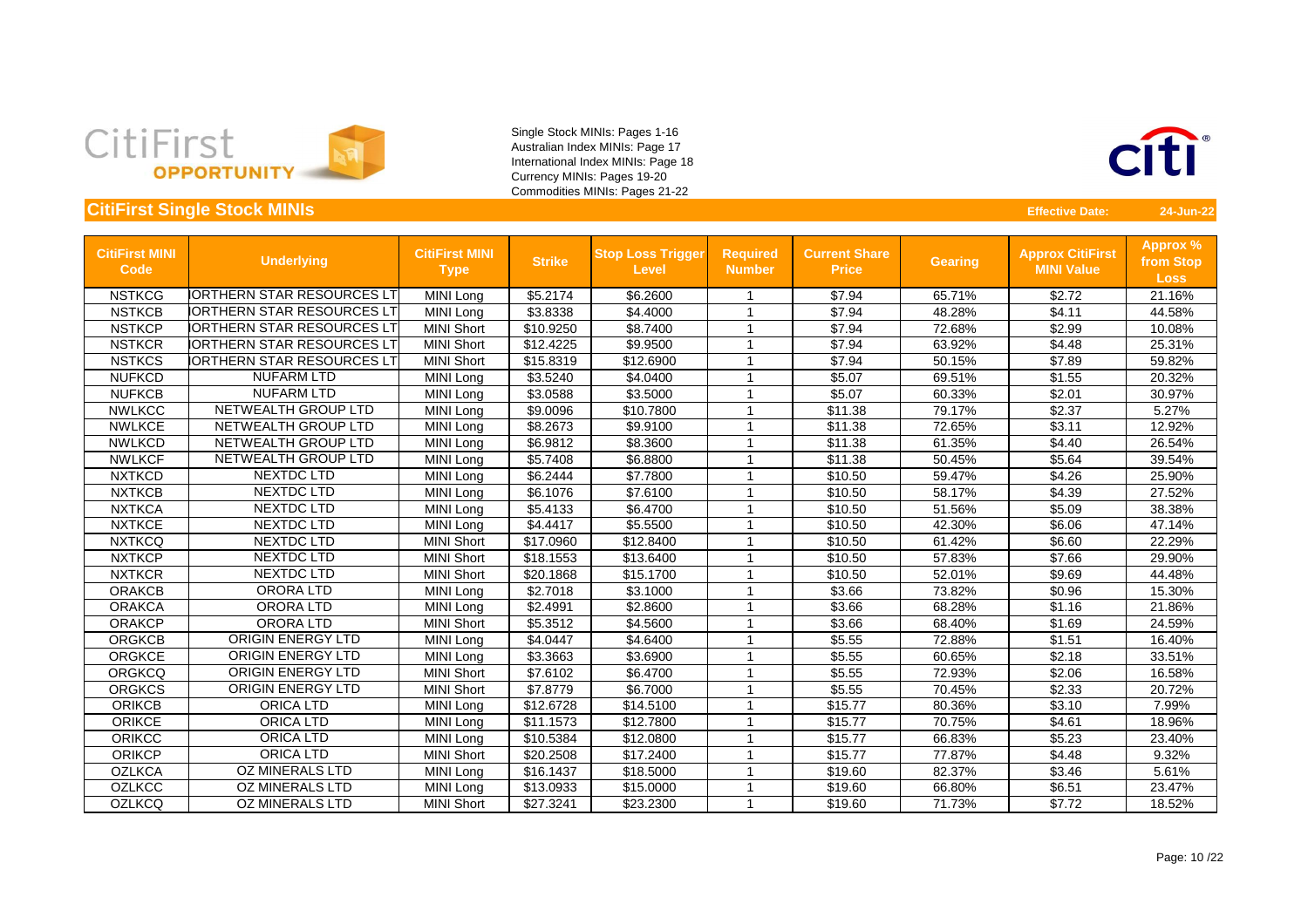



| <b>CitiFirst MINI</b><br>Code | <b>Underlying</b>                 | <b>CitiFirst MINI</b><br><b>Type</b> | <b>Strike</b> | <b>Stop Loss Trigger</b><br><b>Level</b> | <b>Required</b><br><b>Number</b> | <b>Current Share</b><br><b>Price</b> | <b>Gearing</b> | <b>Approx CitiFirst</b><br><b>MINI Value</b> | <b>Approx %</b><br>from Stop<br><b>Loss</b> |
|-------------------------------|-----------------------------------|--------------------------------------|---------------|------------------------------------------|----------------------------------|--------------------------------------|----------------|----------------------------------------------|---------------------------------------------|
| <b>NSTKCG</b>                 | <b>IORTHERN STAR RESOURCES LT</b> | <b>MINI Long</b>                     | \$5.2174      | \$6.2600                                 |                                  | \$7.94                               | 65.71%         | \$2.72                                       | 21.16%                                      |
| <b>NSTKCB</b>                 | <b>IORTHERN STAR RESOURCES LT</b> | MINI Long                            | \$3.8338      | \$4.4000                                 | -1                               | \$7.94                               | 48.28%         | \$4.11                                       | 44.58%                                      |
| <b>NSTKCP</b>                 | <b>IORTHERN STAR RESOURCES LT</b> | <b>MINI Short</b>                    | \$10.9250     | \$8.7400                                 | 1                                | \$7.94                               | 72.68%         | \$2.99                                       | 10.08%                                      |
| <b>NSTKCR</b>                 | <b>IORTHERN STAR RESOURCES LT</b> | <b>MINI Short</b>                    | \$12.4225     | \$9.9500                                 | 1                                | \$7.94                               | 63.92%         | \$4.48                                       | 25.31%                                      |
| <b>NSTKCS</b>                 | <b>IORTHERN STAR RESOURCES LT</b> | <b>MINI Short</b>                    | \$15.8319     | \$12.6900                                | 1                                | \$7.94                               | 50.15%         | \$7.89                                       | 59.82%                                      |
| <b>NUFKCD</b>                 | <b>NUFARM LTD</b>                 | MINI Long                            | \$3.5240      | \$4.0400                                 | 1                                | \$5.07                               | 69.51%         | \$1.55                                       | 20.32%                                      |
| <b>NUFKCB</b>                 | <b>NUFARM LTD</b>                 | MINI Long                            | \$3.0588      | \$3.5000                                 | 1                                | \$5.07                               | 60.33%         | \$2.01                                       | 30.97%                                      |
| <b>NWLKCC</b>                 | NETWEALTH GROUP LTD               | MINI Long                            | \$9.0096      | \$10.7800                                | 1                                | \$11.38                              | 79.17%         | \$2.37                                       | 5.27%                                       |
| <b>NWLKCE</b>                 | NETWEALTH GROUP LTD               | MINI Long                            | \$8.2673      | \$9.9100                                 | -1                               | \$11.38                              | 72.65%         | \$3.11                                       | 12.92%                                      |
| <b>NWLKCD</b>                 | NETWEALTH GROUP LTD               | <b>MINI Long</b>                     | \$6.9812      | \$8.3600                                 | -1                               | \$11.38                              | 61.35%         | \$4.40                                       | 26.54%                                      |
| <b>NWLKCF</b>                 | NETWEALTH GROUP LTD               | <b>MINI Long</b>                     | \$5.7408      | \$6.8800                                 |                                  | \$11.38                              | 50.45%         | \$5.64                                       | 39.54%                                      |
| <b>NXTKCD</b>                 | NEXTDC LTD                        | MINI Long                            | \$6.2444      | \$7.7800                                 | 1                                | \$10.50                              | 59.47%         | \$4.26                                       | 25.90%                                      |
| <b>NXTKCB</b>                 | <b>NEXTDC LTD</b>                 | MINI Long                            | \$6.1076      | \$7.6100                                 | 1                                | \$10.50                              | 58.17%         | \$4.39                                       | 27.52%                                      |
| <b>NXTKCA</b>                 | NEXTDC LTD                        | MINI Long                            | \$5.4133      | \$6.4700                                 | 1                                | \$10.50                              | 51.56%         | \$5.09                                       | 38.38%                                      |
| <b>NXTKCE</b>                 | <b>NEXTDC LTD</b>                 | <b>MINI Long</b>                     | \$4.4417      | \$5.5500                                 | $\overline{1}$                   | \$10.50                              | 42.30%         | \$6.06                                       | 47.14%                                      |
| <b>NXTKCQ</b>                 | NEXTDC LTD                        | <b>MINI Short</b>                    | \$17.0960     | \$12.8400                                | -1                               | \$10.50                              | 61.42%         | \$6.60                                       | 22.29%                                      |
| <b>NXTKCP</b>                 | <b>NEXTDC LTD</b>                 | <b>MINI Short</b>                    | \$18.1553     | \$13.6400                                | -1                               | \$10.50                              | 57.83%         | \$7.66                                       | 29.90%                                      |
| <b>NXTKCR</b>                 | NEXTDC LTD                        | <b>MINI Short</b>                    | \$20.1868     | \$15.1700                                |                                  | \$10.50                              | 52.01%         | \$9.69                                       | 44.48%                                      |
| <b>ORAKCB</b>                 | <b>ORORALTD</b>                   | MINI Long                            | \$2.7018      | \$3.1000                                 | -1                               | \$3.66                               | 73.82%         | \$0.96                                       | 15.30%                                      |
| <b>ORAKCA</b>                 | <b>ORORALTD</b>                   | MINI Long                            | \$2.4991      | \$2.8600                                 | -1                               | \$3.66                               | 68.28%         | \$1.16                                       | 21.86%                                      |
| <b>ORAKCP</b>                 | <b>ORORALTD</b>                   | <b>MINI Short</b>                    | \$5.3512      | \$4.5600                                 | -1                               | \$3.66                               | 68.40%         | \$1.69                                       | 24.59%                                      |
| <b>ORGKCB</b>                 | <b>ORIGIN ENERGY LTD</b>          | MINI Long                            | \$4.0447      | \$4.6400                                 | $\overline{1}$                   | \$5.55                               | 72.88%         | \$1.51                                       | 16.40%                                      |
| <b>ORGKCE</b>                 | <b>ORIGIN ENERGY LTD</b>          | MINI Long                            | \$3.3663      | \$3.6900                                 | 1                                | \$5.55                               | 60.65%         | \$2.18                                       | 33.51%                                      |
| <b>ORGKCQ</b>                 | <b>ORIGIN ENERGY LTD</b>          | <b>MINI Short</b>                    | \$7.6102      | \$6.4700                                 | 1                                | \$5.55                               | 72.93%         | \$2.06                                       | 16.58%                                      |
| <b>ORGKCS</b>                 | <b>ORIGIN ENERGY LTD</b>          | <b>MINI Short</b>                    | \$7.8779      | \$6.7000                                 | $\overline{1}$                   | \$5.55                               | 70.45%         | \$2.33                                       | 20.72%                                      |
| <b>ORIKCB</b>                 | <b>ORICA LTD</b>                  | MINI Long                            | \$12.6728     | \$14.5100                                | -1                               | \$15.77                              | 80.36%         | \$3.10                                       | 7.99%                                       |
| <b>ORIKCE</b>                 | <b>ORICA LTD</b>                  | <b>MINI Long</b>                     | \$11.1573     | \$12.7800                                | -1                               | \$15.77                              | 70.75%         | \$4.61                                       | 18.96%                                      |
| <b>ORIKCC</b>                 | <b>ORICA LTD</b>                  | MINI Long                            | \$10.5384     | \$12.0800                                |                                  | \$15.77                              | 66.83%         | \$5.23                                       | 23.40%                                      |
| <b>ORIKCP</b>                 | <b>ORICA LTD</b>                  | <b>MINI Short</b>                    | \$20.2508     | \$17.2400                                | -1                               | \$15.77                              | 77.87%         | \$4.48                                       | 9.32%                                       |
| <b>OZLKCA</b>                 | <b>OZ MINERALS LTD</b>            | <b>MINI Long</b>                     | \$16.1437     | \$18.5000                                |                                  | \$19.60                              | 82.37%         | \$3.46                                       | 5.61%                                       |
| <b>OZLKCC</b>                 | <b>OZ MINERALS LTD</b>            | MINI Long                            | \$13.0933     | \$15.0000                                | 1                                | \$19.60                              | 66.80%         | \$6.51                                       | 23.47%                                      |
| <b>OZLKCQ</b>                 | <b>OZ MINERALS LTD</b>            | <b>MINI Short</b>                    | \$27.3241     | \$23.2300                                | $\overline{1}$                   | \$19.60                              | 71.73%         | \$7.72                                       | 18.52%                                      |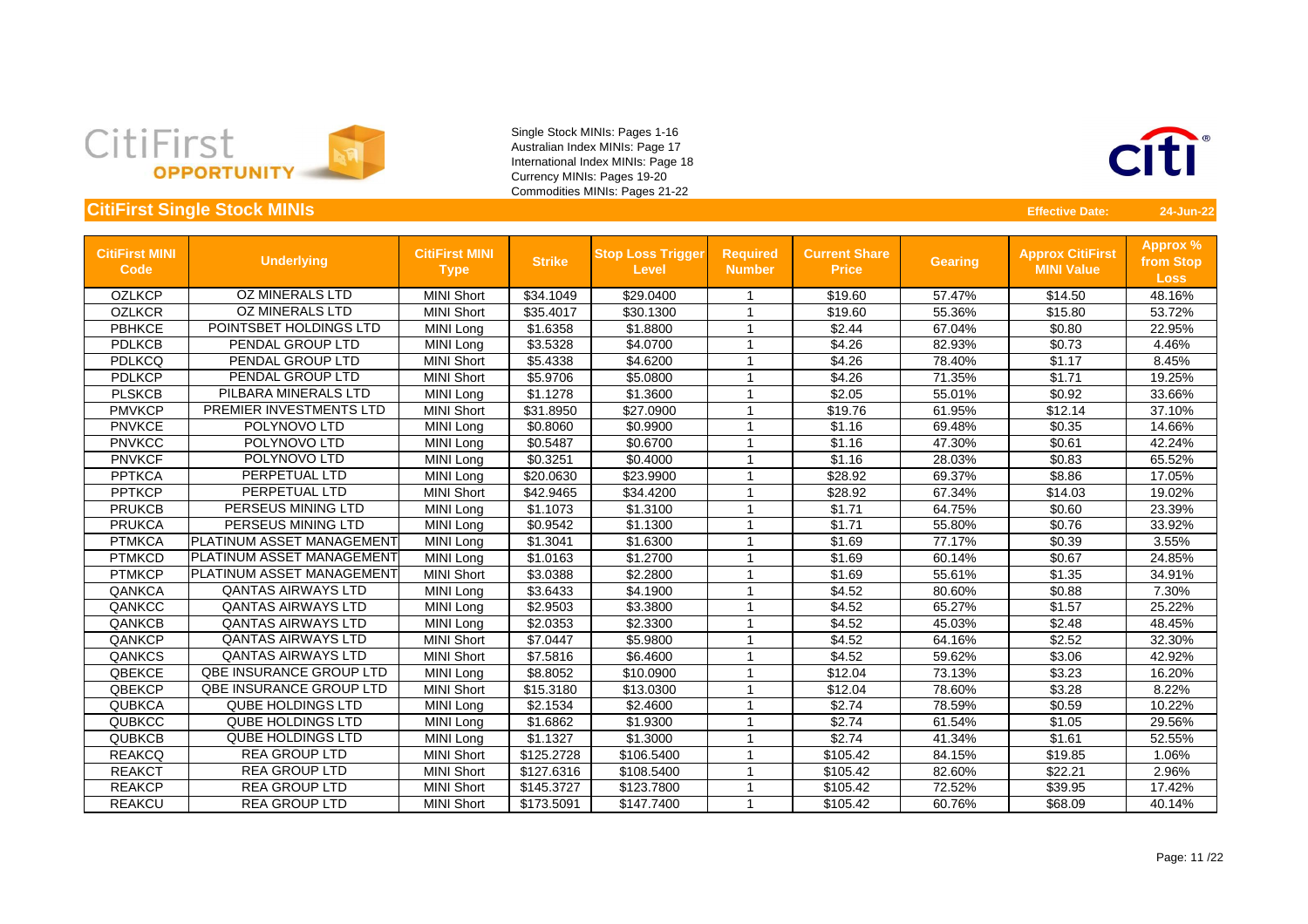



| <b>CitiFirst MINI</b><br><b>Code</b> | <b>Underlying</b>         | <b>CitiFirst MINI</b><br><b>Type</b> | <b>Strike</b> | <b>Stop Loss Trigger</b><br><b>Level</b> | <b>Required</b><br><b>Number</b> | <b>Current Share</b><br><b>Price</b> | <b>Gearing</b> | <b>Approx CitiFirst</b><br><b>MINI Value</b> | Approx %<br>from Stop<br><b>Loss</b> |
|--------------------------------------|---------------------------|--------------------------------------|---------------|------------------------------------------|----------------------------------|--------------------------------------|----------------|----------------------------------------------|--------------------------------------|
| <b>OZLKCP</b>                        | <b>OZ MINERALS LTD</b>    | <b>MINI Short</b>                    | \$34.1049     | \$29.0400                                |                                  | \$19.60                              | 57.47%         | \$14.50                                      | 48.16%                               |
| <b>OZLKCR</b>                        | <b>OZ MINERALS LTD</b>    | <b>MINI Short</b>                    | \$35.4017     | \$30.1300                                | -1                               | \$19.60                              | 55.36%         | \$15.80                                      | 53.72%                               |
| <b>PBHKCE</b>                        | POINTSBET HOLDINGS LTD    | MINI Long                            | \$1.6358      | \$1.8800                                 |                                  | \$2.44                               | 67.04%         | \$0.80                                       | 22.95%                               |
| <b>PDLKCB</b>                        | PENDAL GROUP LTD          | MINI Long                            | \$3.5328      | \$4.0700                                 |                                  | \$4.26                               | 82.93%         | \$0.73                                       | 4.46%                                |
| <b>PDLKCQ</b>                        | PENDAL GROUP LTD          | <b>MINI Short</b>                    | \$5.4338      | \$4.6200                                 |                                  | \$4.26                               | 78.40%         | \$1.17                                       | 8.45%                                |
| <b>PDLKCP</b>                        | <b>PENDAL GROUP LTD</b>   | <b>MINI Short</b>                    | \$5.9706      | \$5.0800                                 |                                  | \$4.26                               | 71.35%         | \$1.71                                       | 19.25%                               |
| <b>PLSKCB</b>                        | PILBARA MINERALS LTD      | <b>MINI Long</b>                     | \$1.1278      | \$1.3600                                 | $\overline{ }$                   | \$2.05                               | 55.01%         | \$0.92                                       | 33.66%                               |
| <b>PMVKCP</b>                        | PREMIER INVESTMENTS LTD   | <b>MINI Short</b>                    | \$31.8950     | \$27.0900                                |                                  | \$19.76                              | 61.95%         | \$12.14                                      | 37.10%                               |
| <b>PNVKCE</b>                        | POLYNOVO LTD              | MINI Long                            | \$0.8060      | \$0.9900                                 |                                  | \$1.16                               | 69.48%         | \$0.35                                       | 14.66%                               |
| <b>PNVKCC</b>                        | POLYNOVO LTD              | MINI Long                            | \$0.5487      | \$0.6700                                 |                                  | \$1.16                               | 47.30%         | \$0.61                                       | 42.24%                               |
| <b>PNVKCF</b>                        | POLYNOVO LTD              | MINI Long                            | \$0.3251      | \$0.4000                                 | -1                               | \$1.16                               | 28.03%         | \$0.83                                       | 65.52%                               |
| <b>PPTKCA</b>                        | PERPETUAL LTD             | MINI Long                            | \$20.0630     | \$23.9900                                | -1                               | \$28.92                              | 69.37%         | \$8.86                                       | 17.05%                               |
| <b>PPTKCP</b>                        | PERPETUAL LTD             | <b>MINI Short</b>                    | \$42.9465     | \$34.4200                                | $\overline{ }$                   | \$28.92                              | 67.34%         | \$14.03                                      | 19.02%                               |
| <b>PRUKCB</b>                        | PERSEUS MINING LTD        | MINI Long                            | \$1.1073      | \$1.3100                                 | $\overline{ }$                   | \$1.71                               | 64.75%         | \$0.60                                       | 23.39%                               |
| <b>PRUKCA</b>                        | PERSEUS MINING LTD        | MINI Long                            | \$0.9542      | \$1.1300                                 |                                  | \$1.71                               | 55.80%         | \$0.76                                       | 33.92%                               |
| <b>PTMKCA</b>                        | PLATINUM ASSET MANAGEMENT | MINI Long                            | \$1.3041      | \$1.6300                                 |                                  | \$1.69                               | 77.17%         | \$0.39                                       | 3.55%                                |
| <b>PTMKCD</b>                        | PLATINUM ASSET MANAGEMENT | MINI Long                            | \$1.0163      | \$1.2700                                 |                                  | \$1.69                               | 60.14%         | \$0.67                                       | 24.85%                               |
| <b>PTMKCP</b>                        | PLATINUM ASSET MANAGEMENT | <b>MINI Short</b>                    | \$3.0388      | \$2.2800                                 |                                  | \$1.69                               | 55.61%         | \$1.35                                       | 34.91%                               |
| <b>QANKCA</b>                        | <b>QANTAS AIRWAYS LTD</b> | MINI Long                            | \$3.6433      | \$4.1900                                 |                                  | \$4.52                               | 80.60%         | \$0.88                                       | 7.30%                                |
| QANKCC                               | <b>QANTAS AIRWAYS LTD</b> | MINI Long                            | \$2.9503      | \$3.3800                                 |                                  | \$4.52                               | 65.27%         | \$1.57                                       | 25.22%                               |
| QANKCB                               | <b>QANTAS AIRWAYS LTD</b> | MINI Long                            | \$2.0353      | \$2.3300                                 |                                  | \$4.52                               | 45.03%         | \$2.48                                       | 48.45%                               |
| QANKCP                               | <b>QANTAS AIRWAYS LTD</b> | <b>MINI Short</b>                    | \$7.0447      | \$5.9800                                 | $\overline{\phantom{a}}$         | \$4.52                               | 64.16%         | \$2.52                                       | 32.30%                               |
| QANKCS                               | <b>QANTAS AIRWAYS LTD</b> | <b>MINI Short</b>                    | \$7.5816      | \$6.4600                                 |                                  | \$4.52                               | 59.62%         | \$3.06                                       | 42.92%                               |
| QBEKCE                               | QBE INSURANCE GROUP LTD   | <b>MINI Long</b>                     | \$8.8052      | \$10.0900                                | 1                                | \$12.04                              | 73.13%         | \$3.23                                       | 16.20%                               |
| QBEKCP                               | QBE INSURANCE GROUP LTD   | <b>MINI Short</b>                    | \$15.3180     | \$13.0300                                | $\overline{ }$                   | \$12.04                              | 78.60%         | \$3.28                                       | 8.22%                                |
| <b>QUBKCA</b>                        | <b>QUBE HOLDINGS LTD</b>  | MINI Long                            | \$2.1534      | \$2.4600                                 |                                  | \$2.74                               | 78.59%         | \$0.59                                       | 10.22%                               |
| <b>QUBKCC</b>                        | <b>QUBE HOLDINGS LTD</b>  | <b>MINI Long</b>                     | \$1.6862      | \$1.9300                                 |                                  | \$2.74                               | 61.54%         | \$1.05                                       | 29.56%                               |
| <b>QUBKCB</b>                        | <b>QUBE HOLDINGS LTD</b>  | MINI Long                            | \$1.1327      | \$1.3000                                 |                                  | \$2.74                               | 41.34%         | \$1.61                                       | 52.55%                               |
| <b>REAKCQ</b>                        | <b>REA GROUP LTD</b>      | <b>MINI Short</b>                    | \$125.2728    | \$106.5400                               |                                  | \$105.42                             | 84.15%         | \$19.85                                      | 1.06%                                |
| <b>REAKCT</b>                        | <b>REA GROUP LTD</b>      | <b>MINI Short</b>                    | \$127.6316    | \$108.5400                               |                                  | \$105.42                             | 82.60%         | \$22.21                                      | 2.96%                                |
| <b>REAKCP</b>                        | <b>REA GROUP LTD</b>      | <b>MINI Short</b>                    | \$145.3727    | \$123.7800                               | -1                               | \$105.42                             | 72.52%         | \$39.95                                      | 17.42%                               |
| <b>REAKCU</b>                        | <b>REA GROUP LTD</b>      | <b>MINI Short</b>                    | \$173.5091    | \$147.7400                               |                                  | \$105.42                             | 60.76%         | \$68.09                                      | 40.14%                               |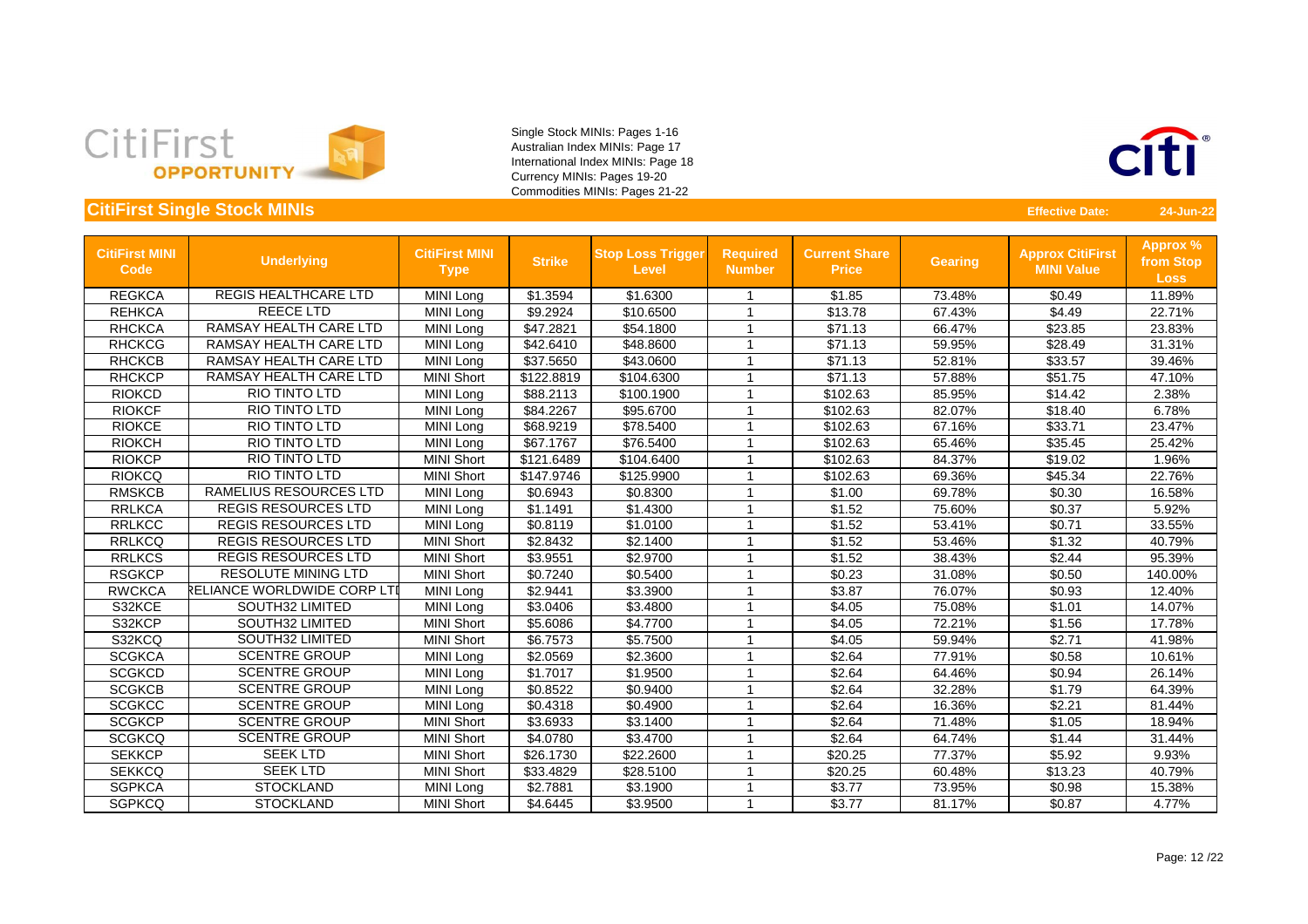



| <b>CitiFirst MINI</b><br><b>Code</b> | <b>Underlying</b>             | <b>CitiFirst MINI</b><br><b>Type</b> | <b>Strike</b> | <b>Stop Loss Trigger</b><br><b>Level</b> | <b>Required</b><br><b>Number</b> | <b>Current Share</b><br><b>Price</b> | <b>Gearing</b> | <b>Approx CitiFirst</b><br><b>MINI Value</b> | <b>Approx %</b><br>from Stop<br><b>Loss</b> |
|--------------------------------------|-------------------------------|--------------------------------------|---------------|------------------------------------------|----------------------------------|--------------------------------------|----------------|----------------------------------------------|---------------------------------------------|
| <b>REGKCA</b>                        | <b>REGIS HEALTHCARE LTD</b>   | MINI Long                            | \$1.3594      | \$1.6300                                 |                                  | \$1.85                               | 73.48%         | \$0.49                                       | 11.89%                                      |
| <b>REHKCA</b>                        | <b>REECE LTD</b>              | MINI Long                            | \$9.2924      | \$10.6500                                |                                  | \$13.78                              | 67.43%         | \$4.49                                       | 22.71%                                      |
| <b>RHCKCA</b>                        | RAMSAY HEALTH CARE LTD        | <b>MINI Long</b>                     | \$47.2821     | \$54.1800                                | -1                               | \$71.13                              | 66.47%         | \$23.85                                      | 23.83%                                      |
| <b>RHCKCG</b>                        | <b>RAMSAY HEALTH CARE LTD</b> | MINI Long                            | \$42.6410     | \$48.8600                                | -1                               | \$71.13                              | 59.95%         | \$28.49                                      | 31.31%                                      |
| <b>RHCKCB</b>                        | RAMSAY HEALTH CARE LTD        | MINI Long                            | \$37.5650     | \$43.0600                                | -1                               | \$71.13                              | 52.81%         | \$33.57                                      | 39.46%                                      |
| <b>RHCKCP</b>                        | <b>RAMSAY HEALTH CARE LTD</b> | <b>MINI Short</b>                    | \$122.8819    | \$104.6300                               |                                  | \$71.13                              | 57.88%         | \$51.75                                      | 47.10%                                      |
| <b>RIOKCD</b>                        | <b>RIO TINTO LTD</b>          | MINI Long                            | \$88.2113     | \$100.1900                               | -1                               | \$102.63                             | 85.95%         | \$14.42                                      | 2.38%                                       |
| <b>RIOKCF</b>                        | <b>RIO TINTO LTD</b>          | MINI Long                            | \$84.2267     | \$95.6700                                |                                  | \$102.63                             | 82.07%         | \$18.40                                      | 6.78%                                       |
| <b>RIOKCE</b>                        | <b>RIO TINTO LTD</b>          | <b>MINI Long</b>                     | \$68.9219     | \$78.5400                                | -1                               | \$102.63                             | 67.16%         | \$33.71                                      | 23.47%                                      |
| <b>RIOKCH</b>                        | RIO TINTO LTD                 | MINI Long                            | \$67.1767     | \$76.5400                                |                                  | \$102.63                             | 65.46%         | \$35.45                                      | 25.42%                                      |
| <b>RIOKCP</b>                        | RIO TINTO LTD                 | <b>MINI Short</b>                    | \$121.6489    | \$104.6400                               |                                  | \$102.63                             | 84.37%         | \$19.02                                      | 1.96%                                       |
| <b>RIOKCQ</b>                        | RIO TINTO LTD                 | <b>MINI Short</b>                    | \$147.9746    | \$125.9900                               |                                  | \$102.63                             | 69.36%         | \$45.34                                      | 22.76%                                      |
| <b>RMSKCB</b>                        | RAMELIUS RESOURCES LTD        | MINI Long                            | \$0.6943      | \$0.8300                                 | - 1                              | \$1.00                               | 69.78%         | \$0.30                                       | 16.58%                                      |
| <b>RRLKCA</b>                        | <b>REGIS RESOURCES LTD</b>    | MINI Long                            | \$1.1491      | \$1.4300                                 | -1                               | \$1.52                               | 75.60%         | \$0.37                                       | 5.92%                                       |
| <b>RRLKCC</b>                        | <b>REGIS RESOURCES LTD</b>    | MINI Long                            | \$0.8119      | \$1.0100                                 |                                  | \$1.52                               | 53.41%         | \$0.71                                       | 33.55%                                      |
| <b>RRLKCQ</b>                        | <b>REGIS RESOURCES LTD</b>    | <b>MINI Short</b>                    | \$2.8432      | \$2.1400                                 | -1                               | \$1.52                               | 53.46%         | \$1.32                                       | 40.79%                                      |
| <b>RRLKCS</b>                        | <b>REGIS RESOURCES LTD</b>    | <b>MINI Short</b>                    | \$3.9551      | \$2.9700                                 | -1                               | \$1.52                               | 38.43%         | \$2.44                                       | 95.39%                                      |
| <b>RSGKCP</b>                        | <b>RESOLUTE MINING LTD</b>    | <b>MINI Short</b>                    | \$0.7240      | \$0.5400                                 | 1                                | \$0.23                               | 31.08%         | \$0.50                                       | 140.00%                                     |
| <b>RWCKCA</b>                        | RELIANCE WORLDWIDE CORP LTI   | MINI Long                            | \$2.9441      | \$3.3900                                 |                                  | \$3.87                               | 76.07%         | \$0.93                                       | 12.40%                                      |
| S32KCE                               | <b>SOUTH32 LIMITED</b>        | MINI Long                            | \$3.0406      | \$3.4800                                 |                                  | \$4.05                               | 75.08%         | \$1.01                                       | 14.07%                                      |
| S32KCP                               | <b>SOUTH32 LIMITED</b>        | <b>MINI Short</b>                    | \$5.6086      | \$4.7700                                 |                                  | \$4.05                               | 72.21%         | \$1.56                                       | 17.78%                                      |
| S32KCQ                               | <b>SOUTH32 LIMITED</b>        | <b>MINI Short</b>                    | \$6.7573      | \$5.7500                                 | -1                               | \$4.05                               | 59.94%         | \$2.71                                       | 41.98%                                      |
| <b>SCGKCA</b>                        | <b>SCENTRE GROUP</b>          | MINI Long                            | \$2.0569      | \$2.3600                                 | -1                               | \$2.64                               | 77.91%         | \$0.58                                       | 10.61%                                      |
| <b>SCGKCD</b>                        | <b>SCENTRE GROUP</b>          | MINI Long                            | \$1.7017      | \$1.9500                                 | -1                               | \$2.64                               | 64.46%         | \$0.94                                       | 26.14%                                      |
| <b>SCGKCB</b>                        | <b>SCENTRE GROUP</b>          | MINI Long                            | \$0.8522      | \$0.9400                                 |                                  | \$2.64                               | 32.28%         | \$1.79                                       | 64.39%                                      |
| <b>SCGKCC</b>                        | <b>SCENTRE GROUP</b>          | MINI Long                            | \$0.4318      | \$0.4900                                 |                                  | \$2.64                               | 16.36%         | \$2.21                                       | 81.44%                                      |
| <b>SCGKCP</b>                        | <b>SCENTRE GROUP</b>          | <b>MINI Short</b>                    | \$3.6933      | \$3.1400                                 | 1                                | \$2.64                               | 71.48%         | \$1.05                                       | 18.94%                                      |
| <b>SCGKCQ</b>                        | <b>SCENTRE GROUP</b>          | <b>MINI Short</b>                    | \$4.0780      | \$3.4700                                 | -1                               | \$2.64                               | 64.74%         | \$1.44                                       | 31.44%                                      |
| <b>SEKKCP</b>                        | <b>SEEK LTD</b>               | <b>MINI Short</b>                    | \$26.1730     | \$22.2600                                | -1                               | \$20.25                              | 77.37%         | \$5.92                                       | 9.93%                                       |
| <b>SEKKCQ</b>                        | <b>SEEK LTD</b>               | <b>MINI Short</b>                    | \$33.4829     | \$28.5100                                | -1                               | \$20.25                              | 60.48%         | \$13.23                                      | 40.79%                                      |
| <b>SGPKCA</b>                        | <b>STOCKLAND</b>              | MINI Long                            | \$2.7881      | \$3.1900                                 |                                  | \$3.77                               | 73.95%         | \$0.98                                       | 15.38%                                      |
| <b>SGPKCQ</b>                        | <b>STOCKLAND</b>              | <b>MINI Short</b>                    | \$4.6445      | \$3.9500                                 |                                  | \$3.77                               | 81.17%         | \$0.87                                       | 4.77%                                       |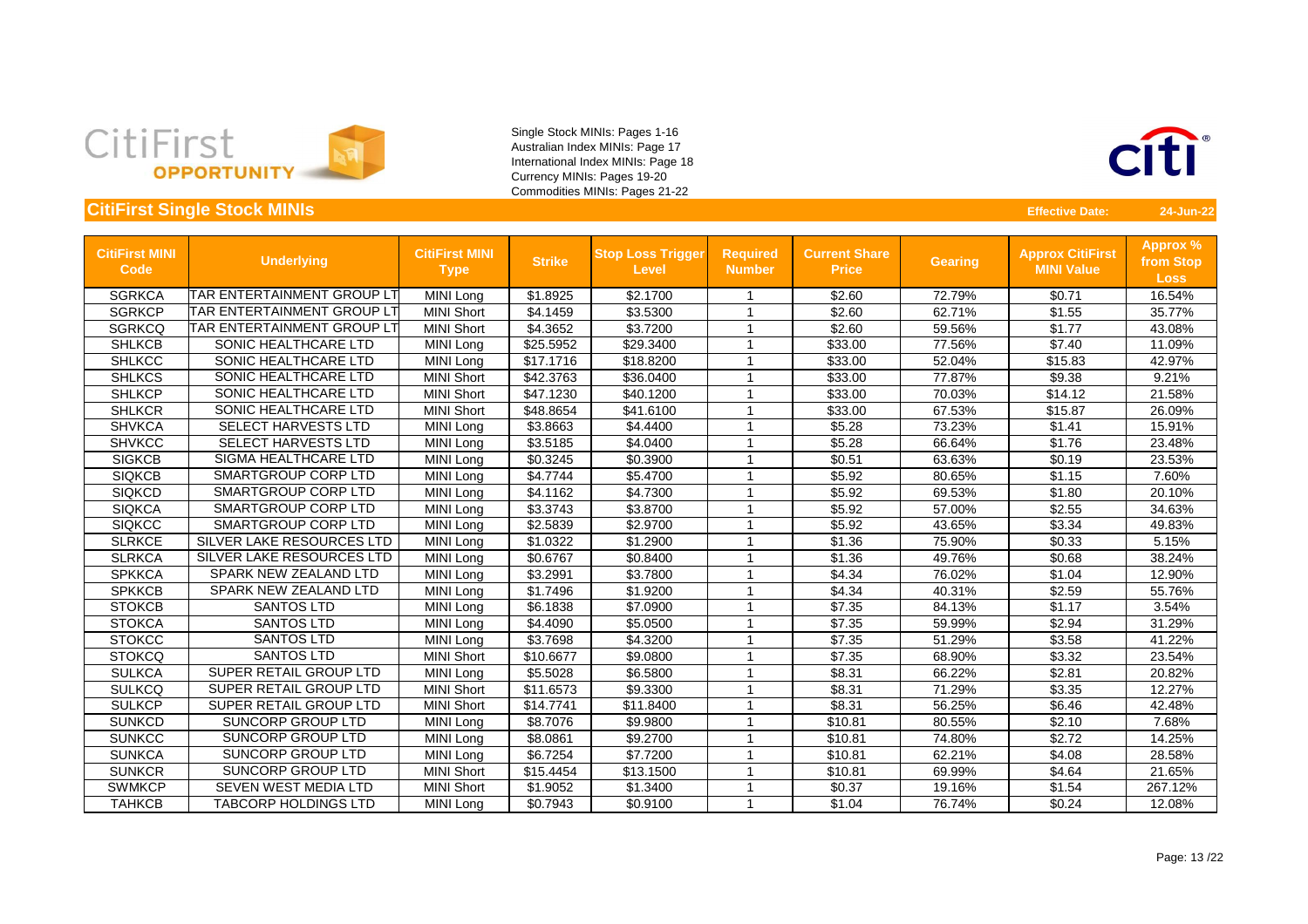



| <b>CitiFirst MINI</b><br><b>Code</b> | <b>Underlying</b>                | <b>CitiFirst MINI</b><br><b>Type</b> | <b>Strike</b> | <b>Stop Loss Trigger</b><br><b>Level</b> | <b>Required</b><br><b>Number</b> | <b>Current Share</b><br><b>Price</b> | <b>Gearing</b> | <b>Approx CitiFirst</b><br><b>MINI Value</b> | <b>Approx %</b><br>from Stop<br><b>Loss</b> |
|--------------------------------------|----------------------------------|--------------------------------------|---------------|------------------------------------------|----------------------------------|--------------------------------------|----------------|----------------------------------------------|---------------------------------------------|
| <b>SGRKCA</b>                        | TAR ENTERTAINMENT GROUP LT       | MINI Long                            | \$1.8925      | \$2.1700                                 |                                  | \$2.60                               | 72.79%         | \$0.71                                       | 16.54%                                      |
| <b>SGRKCP</b>                        | TAR ENTERTAINMENT GROUP LT       | <b>MINI Short</b>                    | \$4.1459      | \$3.5300                                 | -1                               | \$2.60                               | 62.71%         | \$1.55                                       | 35.77%                                      |
| <b>SGRKCQ</b>                        | TAR ENTERTAINMENT GROUP LT       | <b>MINI Short</b>                    | \$4.3652      | \$3.7200                                 | 1                                | \$2.60                               | 59.56%         | \$1.77                                       | 43.08%                                      |
| <b>SHLKCB</b>                        | SONIC HEALTHCARE LTD             | MINI Long                            | \$25.5952     | \$29.3400                                |                                  | \$33.00                              | 77.56%         | \$7.40                                       | 11.09%                                      |
| <b>SHLKCC</b>                        | SONIC HEALTHCARE LTD             | MINI Long                            | \$17.1716     | \$18.8200                                | 1                                | \$33.00                              | 52.04%         | \$15.83                                      | 42.97%                                      |
| <b>SHLKCS</b>                        | SONIC HEALTHCARE LTD             | <b>MINI Short</b>                    | \$42.3763     | \$36.0400                                |                                  | \$33.00                              | 77.87%         | \$9.38                                       | 9.21%                                       |
| <b>SHLKCP</b>                        | <b>SONIC HEALTHCARE LTD</b>      | <b>MINI Short</b>                    | \$47.1230     | \$40.1200                                | $\overline{\phantom{a}}$         | \$33.00                              | 70.03%         | \$14.12                                      | 21.58%                                      |
| <b>SHLKCR</b>                        | SONIC HEALTHCARE LTD             | <b>MINI Short</b>                    | \$48.8654     | \$41.6100                                |                                  | \$33.00                              | 67.53%         | \$15.87                                      | 26.09%                                      |
| <b>SHVKCA</b>                        | <b>SELECT HARVESTS LTD</b>       | MINI Long                            | \$3.8663      | \$4.4400                                 |                                  | \$5.28                               | 73.23%         | \$1.41                                       | 15.91%                                      |
| <b>SHVKCC</b>                        | <b>SELECT HARVESTS LTD</b>       | MINI Long                            | \$3.5185      | \$4.0400                                 |                                  | \$5.28                               | 66.64%         | \$1.76                                       | 23.48%                                      |
| <b>SIGKCB</b>                        | <b>SIGMA HEALTHCARE LTD</b>      | MINI Long                            | \$0.3245      | \$0.3900                                 | -1                               | \$0.51                               | 63.63%         | \$0.19                                       | 23.53%                                      |
| <b>SIQKCB</b>                        | <b>SMARTGROUP CORP LTD</b>       | MINI Long                            | \$4.7744      | \$5.4700                                 | -1                               | \$5.92                               | 80.65%         | \$1.15                                       | 7.60%                                       |
| <b>SIQKCD</b>                        | <b>SMARTGROUP CORP LTD</b>       | MINI Long                            | \$4.1162      | \$4.7300                                 | 1                                | \$5.92                               | 69.53%         | \$1.80                                       | 20.10%                                      |
| <b>SIQKCA</b>                        | <b>SMARTGROUP CORP LTD</b>       | MINI Long                            | \$3.3743      | \$3.8700                                 | -1                               | \$5.92                               | 57.00%         | \$2.55                                       | 34.63%                                      |
| <b>SIQKCC</b>                        | SMARTGROUP CORP LTD              | MINI Long                            | \$2.5839      | \$2.9700                                 | 1                                | \$5.92                               | 43.65%         | \$3.34                                       | 49.83%                                      |
| <b>SLRKCE</b>                        | <b>SILVER LAKE RESOURCES LTD</b> | MINI Long                            | \$1.0322      | \$1.2900                                 |                                  | \$1.36                               | 75.90%         | \$0.33                                       | 5.15%                                       |
| <b>SLRKCA</b>                        | <b>SILVER LAKE RESOURCES LTD</b> | MINI Long                            | \$0.6767      | \$0.8400                                 |                                  | \$1.36                               | 49.76%         | \$0.68                                       | 38.24%                                      |
| <b>SPKKCA</b>                        | SPARK NEW ZEALAND LTD            | MINI Long                            | \$3.2991      | \$3.7800                                 |                                  | \$4.34                               | 76.02%         | \$1.04                                       | 12.90%                                      |
| <b>SPKKCB</b>                        | SPARK NEW ZEALAND LTD            | <b>MINI Long</b>                     | \$1.7496      | \$1.9200                                 |                                  | \$4.34                               | 40.31%         | \$2.59                                       | 55.76%                                      |
| <b>STOKCB</b>                        | <b>SANTOS LTD</b>                | MINI Long                            | \$6.1838      | \$7.0900                                 | 1                                | \$7.35                               | 84.13%         | \$1.17                                       | 3.54%                                       |
| <b>STOKCA</b>                        | <b>SANTOS LTD</b>                | MINI Long                            | \$4.4090      | \$5.0500                                 | -1                               | \$7.35                               | 59.99%         | \$2.94                                       | 31.29%                                      |
| <b>STOKCC</b>                        | <b>SANTOS LTD</b>                | MINI Long                            | \$3.7698      | \$4.3200                                 | 1                                | \$7.35                               | 51.29%         | \$3.58                                       | 41.22%                                      |
| <b>STOKCQ</b>                        | <b>SANTOS LTD</b>                | <b>MINI Short</b>                    | \$10.6677     | \$9.0800                                 | 1                                | \$7.35                               | 68.90%         | \$3.32                                       | 23.54%                                      |
| <b>SULKCA</b>                        | <b>SUPER RETAIL GROUP LTD</b>    | MINI Long                            | \$5.5028      | \$6.5800                                 | 1                                | \$8.31                               | 66.22%         | \$2.81                                       | 20.82%                                      |
| <b>SULKCQ</b>                        | <b>SUPER RETAIL GROUP LTD</b>    | <b>MINI Short</b>                    | \$11.6573     | \$9.3300                                 |                                  | \$8.31                               | 71.29%         | \$3.35                                       | 12.27%                                      |
| <b>SULKCP</b>                        | SUPER RETAIL GROUP LTD           | <b>MINI Short</b>                    | \$14.7741     | \$11.8400                                |                                  | \$8.31                               | 56.25%         | \$6.46                                       | 42.48%                                      |
| <b>SUNKCD</b>                        | <b>SUNCORP GROUP LTD</b>         | MINI Long                            | \$8.7076      | \$9.9800                                 |                                  | \$10.81                              | 80.55%         | \$2.10                                       | 7.68%                                       |
| <b>SUNKCC</b>                        | SUNCORP GROUP LTD                | MINI Long                            | \$8.0861      | \$9.2700                                 |                                  | \$10.81                              | 74.80%         | \$2.72                                       | 14.25%                                      |
| <b>SUNKCA</b>                        | SUNCORP GROUP LTD                | MINI Long                            | \$6.7254      | \$7.7200                                 | -1                               | \$10.81                              | 62.21%         | \$4.08                                       | 28.58%                                      |
| <b>SUNKCR</b>                        | SUNCORP GROUP LTD                | <b>MINI Short</b>                    | \$15.4454     | \$13.1500                                | -1                               | \$10.81                              | 69.99%         | \$4.64                                       | 21.65%                                      |
| <b>SWMKCP</b>                        | SEVEN WEST MEDIA LTD             | <b>MINI Short</b>                    | \$1.9052      | \$1.3400                                 |                                  | \$0.37                               | 19.16%         | \$1.54                                       | 267.12%                                     |
| <b>TAHKCB</b>                        | <b>TABCORP HOLDINGS LTD</b>      | MINI Long                            | \$0.7943      | \$0.9100                                 |                                  | \$1.04                               | 76.74%         | \$0.24                                       | 12.08%                                      |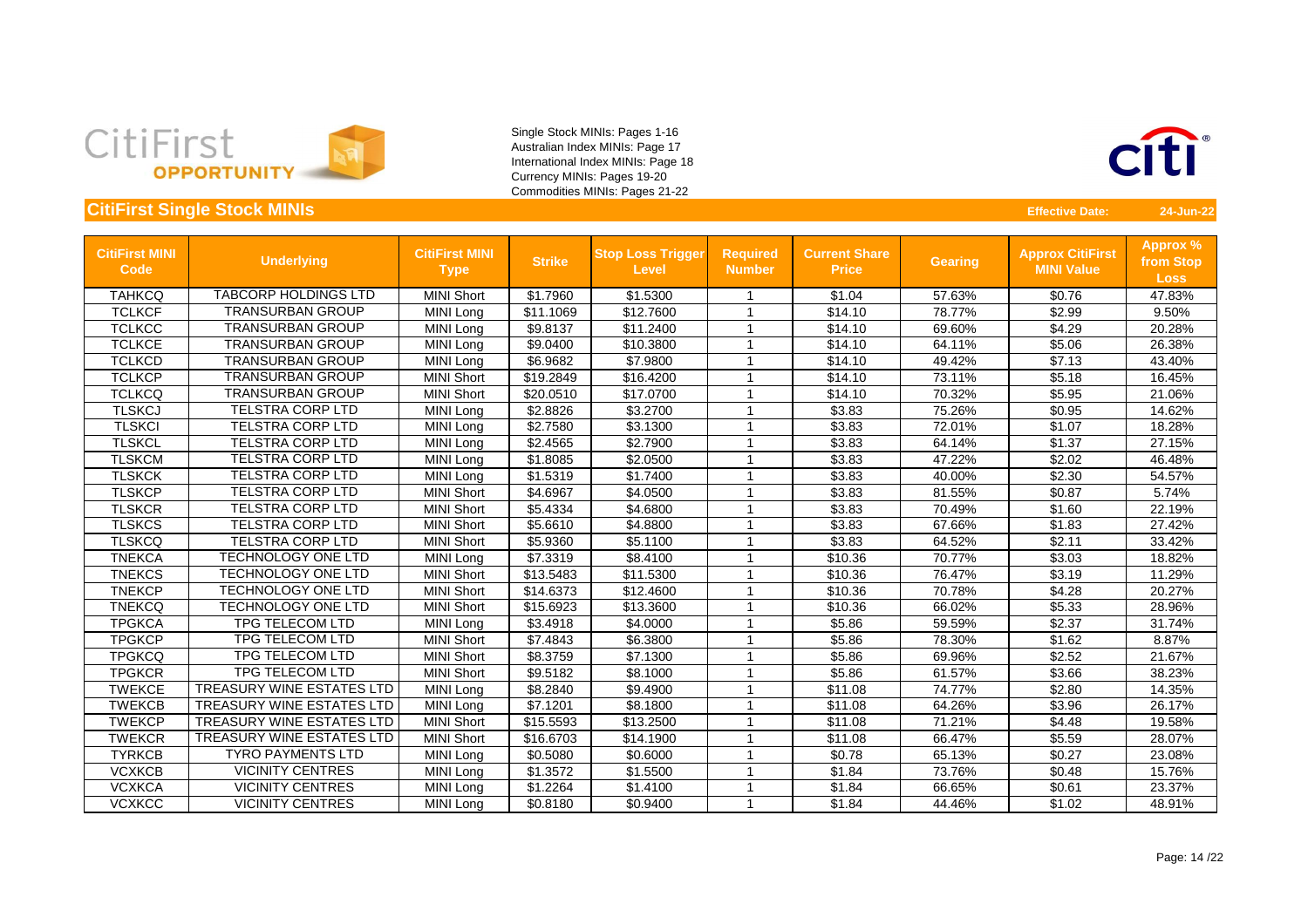



| <b>CitiFirst MINI</b><br><b>Code</b> | <b>Underlying</b>                | <b>CitiFirst MINI</b><br><b>Type</b> | <b>Strike</b> | <b>Stop Loss Trigger</b><br><b>Level</b> | <b>Required</b><br><b>Number</b> | <b>Current Share</b><br><b>Price</b> | <b>Gearing</b> | <b>Approx CitiFirst</b><br><b>MINI Value</b> | <b>Approx %</b><br>from Stop<br><b>Loss</b> |
|--------------------------------------|----------------------------------|--------------------------------------|---------------|------------------------------------------|----------------------------------|--------------------------------------|----------------|----------------------------------------------|---------------------------------------------|
| <b>TAHKCQ</b>                        | <b>TABCORP HOLDINGS LTD</b>      | <b>MINI Short</b>                    | \$1.7960      | \$1.5300                                 |                                  | \$1.04                               | 57.63%         | \$0.76                                       | 47.83%                                      |
| <b>TCLKCF</b>                        | <b>TRANSURBAN GROUP</b>          | MINI Long                            | \$11.1069     | \$12.7600                                | -1                               | \$14.10                              | 78.77%         | \$2.99                                       | 9.50%                                       |
| <b>TCLKCC</b>                        | <b>TRANSURBAN GROUP</b>          | MINI Long                            | \$9.8137      | \$11.2400                                |                                  | \$14.10                              | 69.60%         | \$4.29                                       | 20.28%                                      |
| <b>TCLKCE</b>                        | <b>TRANSURBAN GROUP</b>          | MINI Long                            | \$9.0400      | \$10.3800                                | -1                               | \$14.10                              | 64.11%         | \$5.06                                       | 26.38%                                      |
| <b>TCLKCD</b>                        | <b>TRANSURBAN GROUP</b>          | MINI Long                            | \$6.9682      | \$7.9800                                 |                                  | \$14.10                              | 49.42%         | \$7.13                                       | 43.40%                                      |
| <b>TCLKCP</b>                        | <b>TRANSURBAN GROUP</b>          | <b>MINI Short</b>                    | \$19.2849     | \$16.4200                                |                                  | \$14.10                              | 73.11%         | \$5.18                                       | 16.45%                                      |
| <b>TCLKCQ</b>                        | <b>TRANSURBAN GROUP</b>          | <b>MINI Short</b>                    | \$20.0510     | \$17.0700                                | -1                               | \$14.10                              | 70.32%         | \$5.95                                       | 21.06%                                      |
| <b>TLSKCJ</b>                        | <b>TELSTRA CORP LTD</b>          | MINI Long                            | \$2.8826      | \$3.2700                                 | -1                               | \$3.83                               | 75.26%         | \$0.95                                       | 14.62%                                      |
| <b>TLSKCI</b>                        | <b>TELSTRA CORP LTD</b>          | MINI Long                            | \$2.7580      | \$3.1300                                 | -1                               | \$3.83                               | 72.01%         | \$1.07                                       | 18.28%                                      |
| <b>TLSKCL</b>                        | <b>TELSTRA CORP LTD</b>          | MINI Long                            | \$2.4565      | \$2.7900                                 |                                  | \$3.83                               | 64.14%         | \$1.37                                       | 27.15%                                      |
| <b>TLSKCM</b>                        | <b>TELSTRA CORP LTD</b>          | MINI Long                            | \$1.8085      | \$2.0500                                 |                                  | \$3.83                               | 47.22%         | \$2.02                                       | 46.48%                                      |
| <b>TLSKCK</b>                        | <b>TELSTRA CORP LTD</b>          | <b>MINI Long</b>                     | \$1.5319      | \$1.7400                                 |                                  | \$3.83                               | 40.00%         | \$2.30                                       | 54.57%                                      |
| <b>TLSKCP</b>                        | <b>TELSTRA CORP LTD</b>          | <b>MINI Short</b>                    | \$4.6967      | \$4.0500                                 | -1                               | \$3.83                               | 81.55%         | \$0.87                                       | 5.74%                                       |
| <b>TLSKCR</b>                        | <b>TELSTRA CORP LTD</b>          | <b>MINI Short</b>                    | \$5.4334      | \$4.6800                                 | -1                               | \$3.83                               | 70.49%         | \$1.60                                       | 22.19%                                      |
| <b>TLSKCS</b>                        | <b>TELSTRA CORP LTD</b>          | <b>MINI Short</b>                    | \$5.6610      | \$4.8800                                 | -1                               | \$3.83                               | 67.66%         | \$1.83                                       | 27.42%                                      |
| <b>TLSKCQ</b>                        | <b>TELSTRA CORP LTD</b>          | <b>MINI Short</b>                    | \$5.9360      | \$5.1100                                 | -1                               | \$3.83                               | 64.52%         | \$2.11                                       | 33.42%                                      |
| <b>TNEKCA</b>                        | <b>TECHNOLOGY ONE LTD</b>        | MINI Long                            | \$7.3319      | \$8.4100                                 | -1                               | \$10.36                              | 70.77%         | \$3.03                                       | 18.82%                                      |
| <b>TNEKCS</b>                        | <b>TECHNOLOGY ONE LTD</b>        | <b>MINI Short</b>                    | \$13.5483     | \$11.5300                                | -1                               | \$10.36                              | 76.47%         | \$3.19                                       | 11.29%                                      |
| <b>TNEKCP</b>                        | <b>TECHNOLOGY ONE LTD</b>        | <b>MINI Short</b>                    | \$14.6373     | \$12.4600                                |                                  | \$10.36                              | 70.78%         | \$4.28                                       | 20.27%                                      |
| <b>TNEKCQ</b>                        | <b>TECHNOLOGY ONE LTD</b>        | <b>MINI Short</b>                    | \$15.6923     | \$13.3600                                | -1                               | \$10.36                              | 66.02%         | \$5.33                                       | 28.96%                                      |
| <b>TPGKCA</b>                        | <b>TPG TELECOM LTD</b>           | MINI Long                            | \$3.4918      | \$4.0000                                 | -1                               | \$5.86                               | 59.59%         | \$2.37                                       | 31.74%                                      |
| <b>TPGKCP</b>                        | TPG TELECOM LTD                  | <b>MINI Short</b>                    | \$7.4843      | \$6.3800                                 | -1                               | \$5.86                               | 78.30%         | \$1.62                                       | 8.87%                                       |
| <b>TPGKCQ</b>                        | <b>TPG TELECOM LTD</b>           | <b>MINI Short</b>                    | \$8.3759      | \$7.1300                                 | -1                               | \$5.86                               | 69.96%         | \$2.52                                       | 21.67%                                      |
| <b>TPGKCR</b>                        | <b>TPG TELECOM LTD</b>           | <b>MINI Short</b>                    | \$9.5182      | \$8.1000                                 |                                  | \$5.86                               | 61.57%         | \$3.66                                       | 38.23%                                      |
| <b>TWEKCE</b>                        | <b>TREASURY WINE ESTATES LTD</b> | MINI Long                            | \$8.2840      | \$9.4900                                 | -1                               | $\overline{$}11.08$                  | 74.77%         | \$2.80                                       | 14.35%                                      |
| <b>TWEKCB</b>                        | TREASURY WINE ESTATES LTD        | <b>MINI Long</b>                     | \$7.1201      | \$8.1800                                 |                                  | \$11.08                              | 64.26%         | \$3.96                                       | 26.17%                                      |
| <b>TWEKCP</b>                        | TREASURY WINE ESTATES LTD        | <b>MINI Short</b>                    | \$15.5593     | \$13.2500                                | -1                               | \$11.08                              | 71.21%         | \$4.48                                       | 19.58%                                      |
| <b>TWEKCR</b>                        | TREASURY WINE ESTATES LTD        | <b>MINI Short</b>                    | \$16.6703     | \$14.1900                                | -1                               | \$11.08                              | 66.47%         | \$5.59                                       | 28.07%                                      |
| <b>TYRKCB</b>                        | <b>TYRO PAYMENTS LTD</b>         | MINI Long                            | \$0.5080      | \$0.6000                                 | -1                               | \$0.78                               | 65.13%         | \$0.27                                       | 23.08%                                      |
| <b>VCXKCB</b>                        | <b>VICINITY CENTRES</b>          | MINI Long                            | \$1.3572      | \$1.5500                                 | -1                               | \$1.84                               | 73.76%         | \$0.48                                       | 15.76%                                      |
| <b>VCXKCA</b>                        | <b>VICINITY CENTRES</b>          | <b>MINI Long</b>                     | \$1.2264      | \$1.4100                                 | -1                               | \$1.84                               | 66.65%         | \$0.61                                       | 23.37%                                      |
| <b>VCXKCC</b>                        | <b>VICINITY CENTRES</b>          | MINI Long                            | \$0.8180      | \$0.9400                                 | -1                               | \$1.84                               | 44.46%         | \$1.02                                       | 48.91%                                      |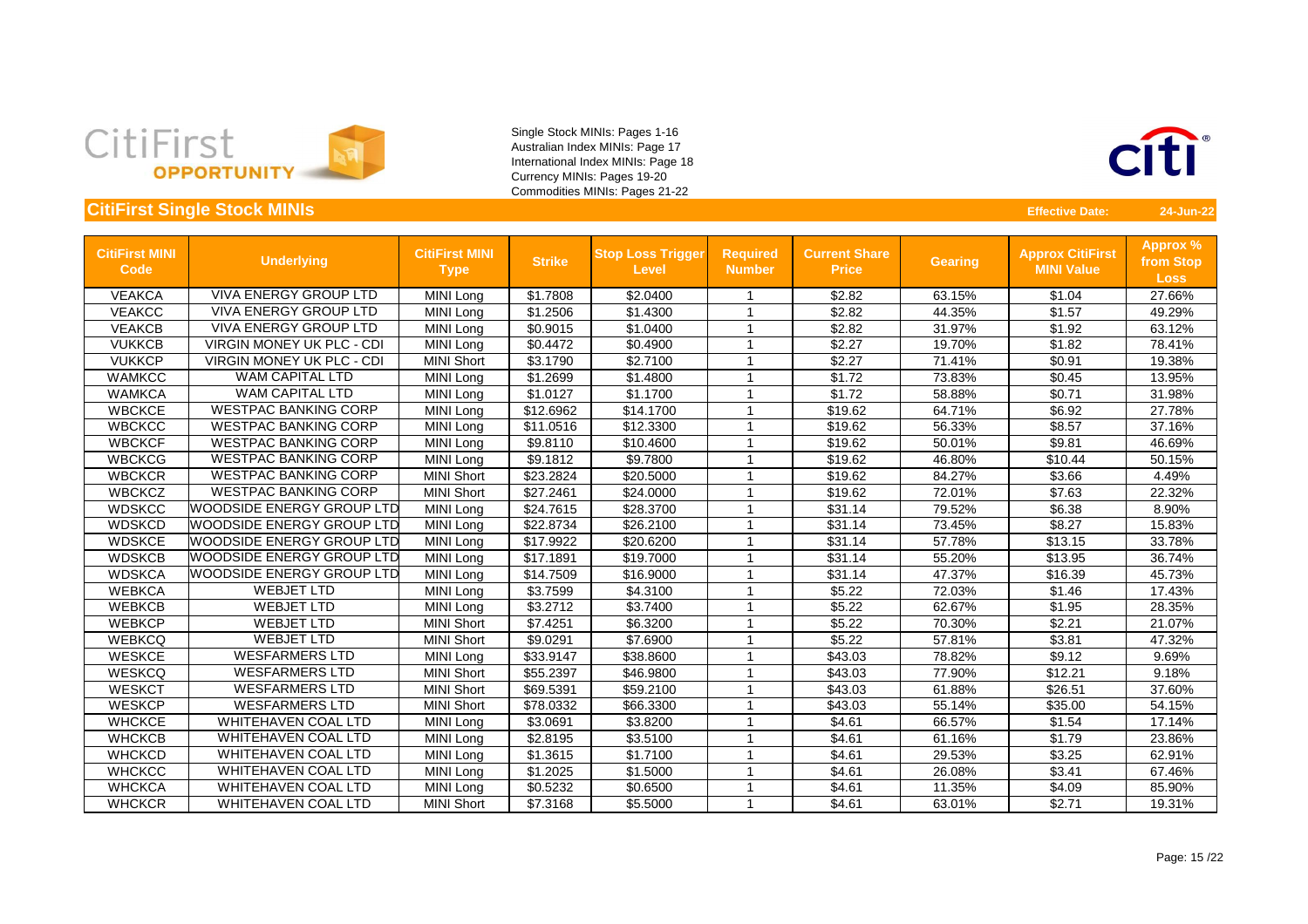



| <b>CitiFirst MINI</b><br>Code | <b>Underlying</b>                | <b>CitiFirst MINI</b><br><b>Type</b> | <b>Strike</b> | <b>Stop Loss Trigger</b><br><b>Level</b> | <b>Required</b><br><b>Number</b> | <b>Current Share</b><br><b>Price</b> | <b>Gearing</b> | <b>Approx CitiFirst</b><br><b>MINI Value</b> | Approx %<br>from Stop<br><b>Loss</b> |
|-------------------------------|----------------------------------|--------------------------------------|---------------|------------------------------------------|----------------------------------|--------------------------------------|----------------|----------------------------------------------|--------------------------------------|
| <b>VEAKCA</b>                 | <b>VIVA ENERGY GROUP LTD</b>     | MINI Long                            | \$1.7808      | \$2.0400                                 | -1                               | \$2.82                               | 63.15%         | \$1.04                                       | 27.66%                               |
| <b>VEAKCC</b>                 | <b>VIVA ENERGY GROUP LTD</b>     | MINI Long                            | \$1.2506      | \$1.4300                                 | 1                                | \$2.82                               | 44.35%         | \$1.57                                       | 49.29%                               |
| <b>VEAKCB</b>                 | <b>VIVA ENERGY GROUP LTD</b>     | MINI Long                            | \$0.9015      | \$1.0400                                 | 1                                | \$2.82                               | 31.97%         | \$1.92                                       | 63.12%                               |
| <b>VUKKCB</b>                 | <b>VIRGIN MONEY UK PLC - CDI</b> | MINI Long                            | \$0.4472      | \$0.4900                                 | 1                                | \$2.27                               | 19.70%         | \$1.82                                       | 78.41%                               |
| <b>VUKKCP</b>                 | <b>VIRGIN MONEY UK PLC - CDI</b> | <b>MINI Short</b>                    | \$3.1790      | \$2.7100                                 | -1                               | \$2.27                               | 71.41%         | \$0.91                                       | 19.38%                               |
| <b>WAMKCC</b>                 | <b>WAM CAPITAL LTD</b>           | <b>MINI Long</b>                     | \$1.2699      | \$1.4800                                 | 1                                | \$1.72                               | 73.83%         | \$0.45                                       | 13.95%                               |
| <b>WAMKCA</b>                 | <b>WAM CAPITAL LTD</b>           | <b>MINI Long</b>                     | \$1.0127      | \$1.1700                                 | 1                                | \$1.72                               | 58.88%         | \$0.71                                       | 31.98%                               |
| <b>WBCKCE</b>                 | <b>WESTPAC BANKING CORP</b>      | MINI Long                            | \$12.6962     | \$14.1700                                | 1                                | \$19.62                              | 64.71%         | \$6.92                                       | 27.78%                               |
| <b>WBCKCC</b>                 | <b>WESTPAC BANKING CORP</b>      | <b>MINI Long</b>                     | \$11.0516     | \$12.3300                                |                                  | \$19.62                              | 56.33%         | \$8.57                                       | 37.16%                               |
| <b>WBCKCF</b>                 | <b>WESTPAC BANKING CORP</b>      | MINI Long                            | \$9.8110      | \$10.4600                                | -1                               | \$19.62                              | 50.01%         | \$9.81                                       | 46.69%                               |
| <b>WBCKCG</b>                 | <b>WESTPAC BANKING CORP</b>      | MINI Long                            | \$9.1812      | \$9.7800                                 | $\overline{1}$                   | \$19.62                              | 46.80%         | \$10.44                                      | 50.15%                               |
| <b>WBCKCR</b>                 | <b>WESTPAC BANKING CORP</b>      | <b>MINI Short</b>                    | \$23.2824     | \$20.5000                                | $\overline{1}$                   | \$19.62                              | 84.27%         | \$3.66                                       | 4.49%                                |
| <b>WBCKCZ</b>                 | <b>WESTPAC BANKING CORP</b>      | <b>MINI Short</b>                    | \$27.2461     | \$24.0000                                | $\overline{1}$                   | \$19.62                              | 72.01%         | \$7.63                                       | 22.32%                               |
| <b>WDSKCC</b>                 | <b>WOODSIDE ENERGY GROUP LTD</b> | MINI Long                            | \$24.7615     | \$28.3700                                | 1                                | \$31.14                              | 79.52%         | \$6.38                                       | 8.90%                                |
| <b>WDSKCD</b>                 | <b>WOODSIDE ENERGY GROUP LTD</b> | <b>MINI Long</b>                     | \$22.8734     | \$26.2100                                | -1                               | \$31.14                              | 73.45%         | \$8.27                                       | 15.83%                               |
| <b>WDSKCE</b>                 | <b>WOODSIDE ENERGY GROUP LTD</b> | <b>MINI Long</b>                     | \$17.9922     | \$20.6200                                | 1                                | \$31.14                              | 57.78%         | \$13.15                                      | 33.78%                               |
| <b>WDSKCB</b>                 | <b>WOODSIDE ENERGY GROUP LTD</b> | MINI Long                            | \$17.1891     | \$19.7000                                | -1                               | \$31.14                              | 55.20%         | \$13.95                                      | 36.74%                               |
| <b>WDSKCA</b>                 | <b>WOODSIDE ENERGY GROUP LTD</b> | <b>MINI Long</b>                     | \$14.7509     | \$16.9000                                | $\overline{1}$                   | \$31.14                              | 47.37%         | \$16.39                                      | 45.73%                               |
| <b>WEBKCA</b>                 | <b>WEBJET LTD</b>                | MINI Long                            | \$3.7599      | \$4.3100                                 | -1                               | \$5.22                               | 72.03%         | \$1.46                                       | 17.43%                               |
| <b>WEBKCB</b>                 | <b>WEBJET LTD</b>                | MINI Long                            | \$3.2712      | \$3.7400                                 | -1                               | \$5.22                               | 62.67%         | \$1.95                                       | 28.35%                               |
| <b>WEBKCP</b>                 | <b>WEBJET LTD</b>                | <b>MINI Short</b>                    | \$7.4251      | \$6.3200                                 | 1                                | \$5.22                               | 70.30%         | \$2.21                                       | 21.07%                               |
| <b>WEBKCQ</b>                 | <b>WEBJET LTD</b>                | <b>MINI Short</b>                    | \$9.0291      | \$7.6900                                 | -1                               | \$5.22                               | 57.81%         | \$3.81                                       | 47.32%                               |
| <b>WESKCE</b>                 | <b>WESFARMERS LTD</b>            | MINI Long                            | \$33.9147     | \$38.8600                                | 1                                | \$43.03                              | 78.82%         | \$9.12                                       | 9.69%                                |
| <b>WESKCQ</b>                 | <b>WESFARMERS LTD</b>            | <b>MINI Short</b>                    | \$55.2397     | \$46.9800                                | -1                               | \$43.03                              | 77.90%         | \$12.21                                      | 9.18%                                |
| <b>WESKCT</b>                 | <b>WESFARMERS LTD</b>            | <b>MINI Short</b>                    | \$69.5391     | \$59.2100                                | $\overline{1}$                   | \$43.03                              | 61.88%         | \$26.51                                      | 37.60%                               |
| <b>WESKCP</b>                 | <b>WESFARMERS LTD</b>            | <b>MINI Short</b>                    | \$78.0332     | \$66.3300                                |                                  | \$43.03                              | 55.14%         | \$35.00                                      | 54.15%                               |
| <b>WHCKCE</b>                 | <b>WHITEHAVEN COAL LTD</b>       | <b>MINI Long</b>                     | \$3.0691      | \$3.8200                                 |                                  | \$4.61                               | 66.57%         | \$1.54                                       | 17.14%                               |
| <b>WHCKCB</b>                 | <b>WHITEHAVEN COAL LTD</b>       | MINI Long                            | \$2.8195      | \$3.5100                                 |                                  | \$4.61                               | 61.16%         | \$1.79                                       | 23.86%                               |
| <b>WHCKCD</b>                 | <b>WHITEHAVEN COAL LTD</b>       | MINI Long                            | \$1.3615      | \$1.7100                                 | -1                               | \$4.61                               | 29.53%         | \$3.25                                       | 62.91%                               |
| <b>WHCKCC</b>                 | <b>WHITEHAVEN COAL LTD</b>       | <b>MINI Long</b>                     | \$1.2025      | \$1.5000                                 | $\overline{1}$                   | \$4.61                               | 26.08%         | \$3.41                                       | 67.46%                               |
| <b>WHCKCA</b>                 | <b>WHITEHAVEN COAL LTD</b>       | <b>MINI Long</b>                     | \$0.5232      | \$0.6500                                 | 1                                | \$4.61                               | 11.35%         | \$4.09                                       | 85.90%                               |
| <b>WHCKCR</b>                 | <b>WHITEHAVEN COAL LTD</b>       | <b>MINI Short</b>                    | \$7.3168      | \$5.5000                                 | 1                                | \$4.61                               | 63.01%         | \$2.71                                       | 19.31%                               |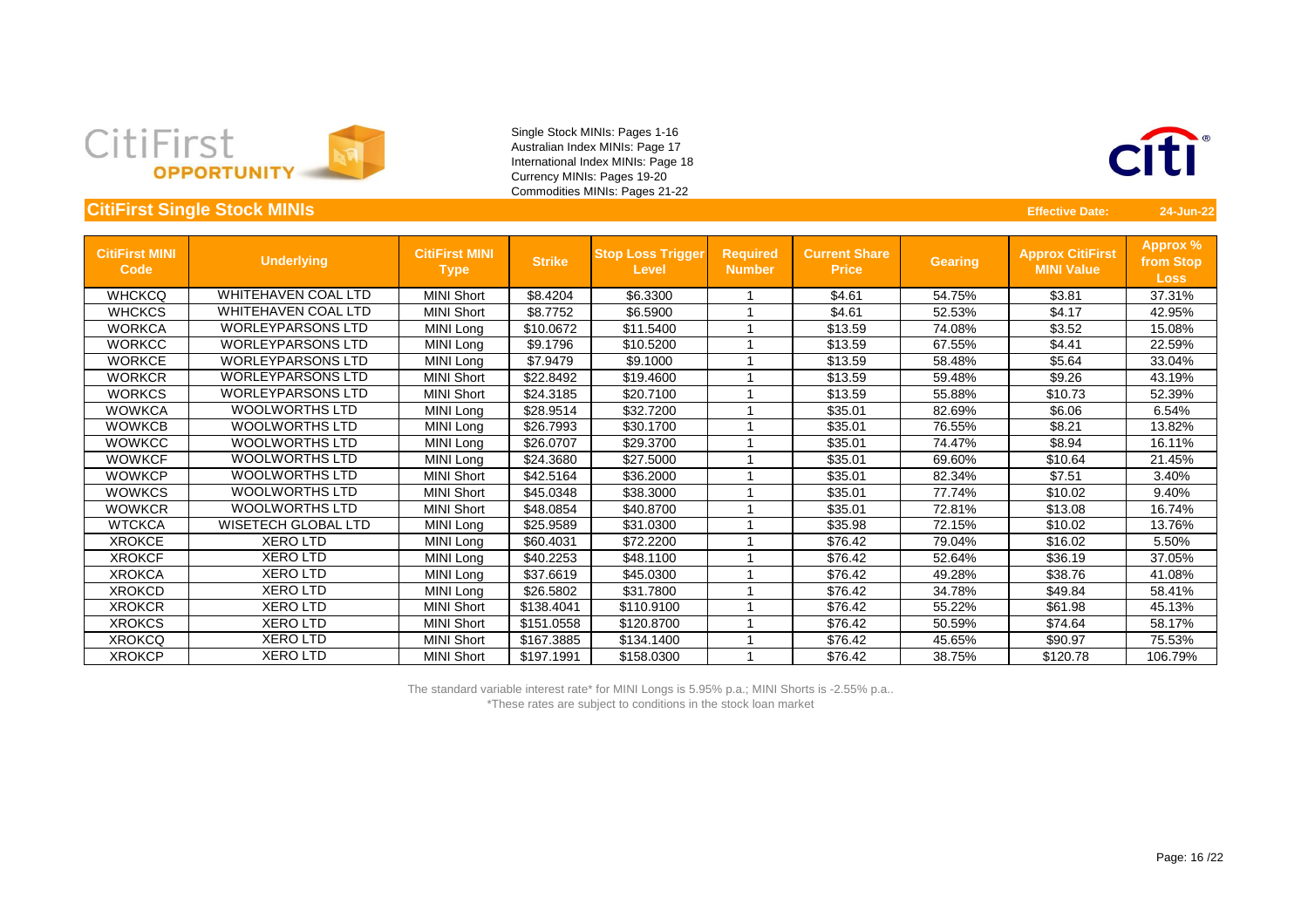



#### **CitiFirst Single Stock MINIs** 24-Jun-22

| <b>CitiFirst MINI</b><br>Code | Underlying                 | <b>CitiFirst MINI</b><br><b>Type</b> | <b>Strike</b> | <b>Stop Loss Trigger</b><br><b>Level</b> | <b>Required</b><br><b>Number</b> | <b>Current Share</b><br><b>Price</b> | <b>Gearing</b> | <b>Approx CitiFirst</b><br><b>MINI Value</b> | Approx %<br>from Stop<br><b>Loss</b> |
|-------------------------------|----------------------------|--------------------------------------|---------------|------------------------------------------|----------------------------------|--------------------------------------|----------------|----------------------------------------------|--------------------------------------|
| <b>WHCKCQ</b>                 | <b>WHITEHAVEN COAL LTD</b> | <b>MINI Short</b>                    | \$8.4204      | \$6.3300                                 |                                  | \$4.61                               | 54.75%         | \$3.81                                       | 37.31%                               |
| <b>WHCKCS</b>                 | <b>WHITEHAVEN COAL LTD</b> | <b>MINI Short</b>                    | \$8.7752      | \$6.5900                                 |                                  | \$4.61                               | 52.53%         | \$4.17                                       | 42.95%                               |
| <b>WORKCA</b>                 | <b>WORLEYPARSONS LTD</b>   | MINI Long                            | \$10.0672     | \$11.5400                                |                                  | \$13.59                              | 74.08%         | \$3.52                                       | 15.08%                               |
| <b>WORKCC</b>                 | <b>WORLEYPARSONS LTD</b>   | MINI Long                            | \$9.1796      | \$10.5200                                |                                  | \$13.59                              | 67.55%         | \$4.41                                       | 22.59%                               |
| <b>WORKCE</b>                 | <b>WORLEYPARSONS LTD</b>   | MINI Long                            | \$7.9479      | \$9.1000                                 |                                  | \$13.59                              | 58.48%         | \$5.64                                       | 33.04%                               |
| <b>WORKCR</b>                 | <b>WORLEYPARSONS LTD</b>   | <b>MINI Short</b>                    | \$22.8492     | \$19.4600                                |                                  | \$13.59                              | 59.48%         | \$9.26                                       | 43.19%                               |
| <b>WORKCS</b>                 | <b>WORLEYPARSONS LTD</b>   | <b>MINI Short</b>                    | \$24.3185     | \$20.7100                                |                                  | \$13.59                              | 55.88%         | \$10.73                                      | 52.39%                               |
| <b>WOWKCA</b>                 | <b>WOOLWORTHS LTD</b>      | MINI Long                            | \$28.9514     | \$32.7200                                |                                  | \$35.01                              | 82.69%         | \$6.06                                       | 6.54%                                |
| <b>WOWKCB</b>                 | <b>WOOLWORTHS LTD</b>      | MINI Long                            | \$26.7993     | \$30.1700                                |                                  | \$35.01                              | 76.55%         | \$8.21                                       | 13.82%                               |
| <b>WOWKCC</b>                 | <b>WOOLWORTHS LTD</b>      | MINI Long                            | \$26.0707     | \$29.3700                                |                                  | \$35.01                              | 74.47%         | \$8.94                                       | 16.11%                               |
| <b>WOWKCF</b>                 | <b>WOOLWORTHS LTD</b>      | MINI Long                            | \$24.3680     | \$27.5000                                |                                  | \$35.01                              | 69.60%         | \$10.64                                      | 21.45%                               |
| <b>WOWKCP</b>                 | <b>WOOLWORTHS LTD</b>      | <b>MINI Short</b>                    | \$42.5164     | \$36.2000                                |                                  | \$35.01                              | 82.34%         | \$7.51                                       | 3.40%                                |
| <b>WOWKCS</b>                 | <b>WOOLWORTHS LTD</b>      | <b>MINI Short</b>                    | \$45.0348     | \$38.3000                                |                                  | \$35.01                              | 77.74%         | \$10.02                                      | 9.40%                                |
| <b>WOWKCR</b>                 | <b>WOOLWORTHS LTD</b>      | <b>MINI Short</b>                    | \$48.0854     | \$40.8700                                |                                  | \$35.01                              | 72.81%         | \$13.08                                      | 16.74%                               |
| <b>WTCKCA</b>                 | <b>WISETECH GLOBAL LTD</b> | MINI Long                            | \$25.9589     | \$31.0300                                |                                  | \$35.98                              | 72.15%         | \$10.02                                      | 13.76%                               |
| <b>XROKCE</b>                 | <b>XERO LTD</b>            | MINI Long                            | \$60.4031     | \$72.2200                                |                                  | \$76.42                              | 79.04%         | \$16.02                                      | 5.50%                                |
| <b>XROKCF</b>                 | <b>XERO LTD</b>            | MINI Long                            | \$40.2253     | \$48.1100                                |                                  | \$76.42                              | 52.64%         | \$36.19                                      | 37.05%                               |
| <b>XROKCA</b>                 | <b>XEROLTD</b>             | MINI Long                            | \$37.6619     | \$45.0300                                |                                  | \$76.42                              | 49.28%         | \$38.76                                      | 41.08%                               |
| <b>XROKCD</b>                 | <b>XEROLTD</b>             | MINI Long                            | \$26.5802     | \$31.7800                                |                                  | \$76.42                              | 34.78%         | \$49.84                                      | 58.41%                               |
| <b>XROKCR</b>                 | <b>XEROLTD</b>             | <b>MINI Short</b>                    | \$138.4041    | \$110.9100                               |                                  | \$76.42                              | 55.22%         | \$61.98                                      | 45.13%                               |
| <b>XROKCS</b>                 | <b>XEROLTD</b>             | <b>MINI Short</b>                    | \$151.0558    | \$120.8700                               |                                  | \$76.42                              | 50.59%         | \$74.64                                      | 58.17%                               |
| <b>XROKCQ</b>                 | <b>XEROLTD</b>             | <b>MINI Short</b>                    | \$167.3885    | \$134.1400                               |                                  | \$76.42                              | 45.65%         | \$90.97                                      | 75.53%                               |
| <b>XROKCP</b>                 | <b>XERO LTD</b>            | <b>MINI Short</b>                    | \$197.1991    | \$158.0300                               |                                  | \$76.42                              | 38.75%         | \$120.78                                     | 106.79%                              |

The standard variable interest rate\* for MINI Longs is 5.95% p.a.; MINI Shorts is -2.55% p.a.. \*These rates are subject to conditions in the stock loan market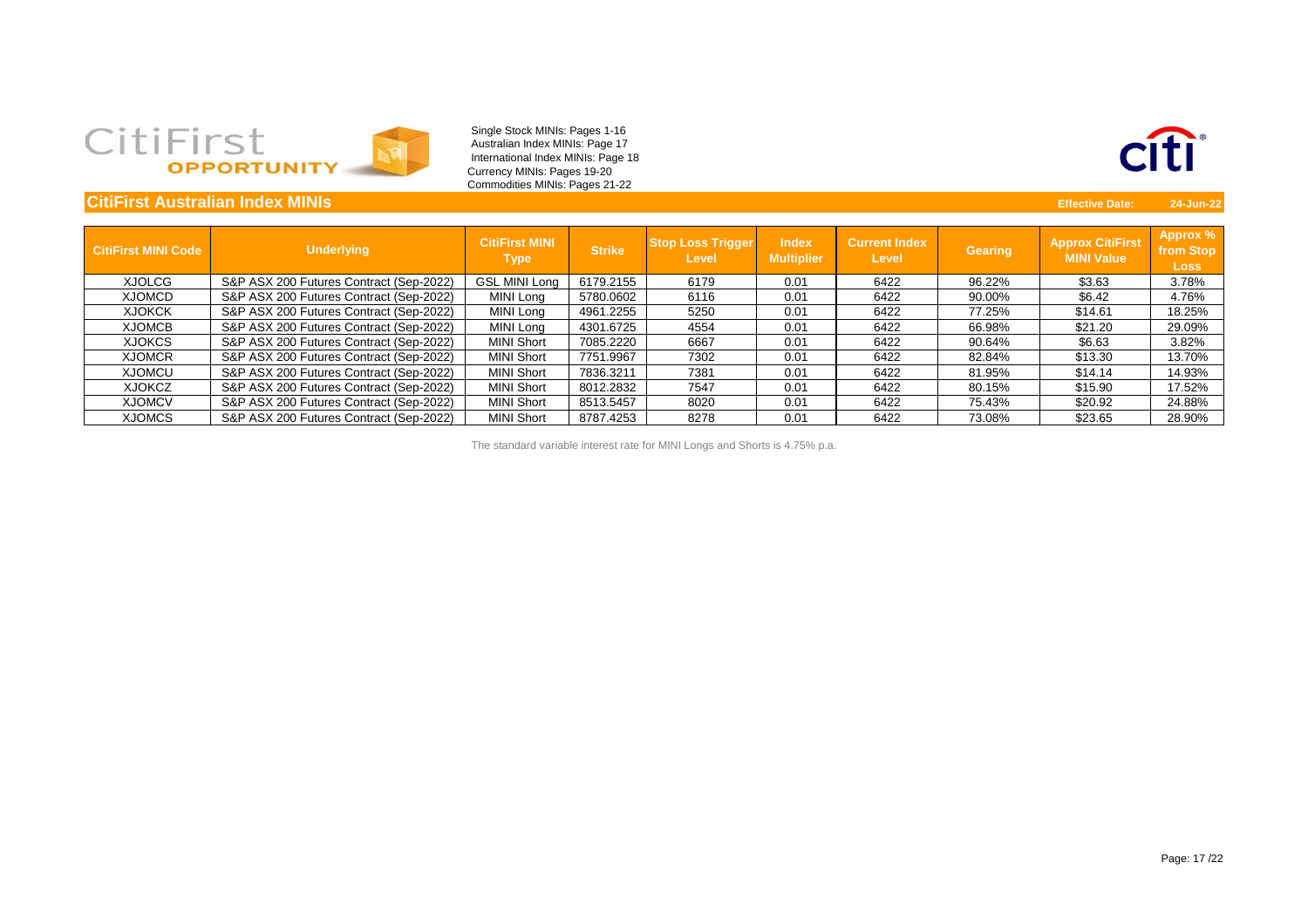# CitiFirst

Single Stock MINIs: Pages 1-16 Australian Index MINIs: Page 17 International Index MINIs: Page 18 Currency MINIs: Pages 19-20 Commodities MINIs: Pages 21-22

| <b>CitiFirst Australian Index MINIs</b> |                                         |                                      |               |                                          |                                   |                                      |                | <b>Effective Date:</b>                       | 24-Jun-22                            |
|-----------------------------------------|-----------------------------------------|--------------------------------------|---------------|------------------------------------------|-----------------------------------|--------------------------------------|----------------|----------------------------------------------|--------------------------------------|
| <b>CitiFirst MINI Code</b>              | <b>Underlying</b>                       | <b>CitiFirst MINI</b><br><b>Type</b> | <b>Strike</b> | <b>Stop Loss Trigger</b><br><b>Level</b> | <b>Index</b><br><b>Multiplier</b> | <b>Current Index</b><br><b>Level</b> | <b>Gearing</b> | <b>Approx CitiFirst</b><br><b>MINI Value</b> | Approx %<br>from Stop<br><b>Loss</b> |
| <b>XJOLCG</b>                           | S&P ASX 200 Futures Contract (Sep-2022) | <b>GSL MINI Long</b>                 | 6179.2155     | 6179                                     | 0.01                              | 6422                                 | 96.22%         | \$3.63                                       | 3.78%                                |
| <b>XJOMCD</b>                           | S&P ASX 200 Futures Contract (Sep-2022) | MINI Long                            | 5780.0602     | 6116                                     | 0.01                              | 6422                                 | 90.00%         | \$6.42                                       | 4.76%                                |
| <b>XJOKCK</b>                           | S&P ASX 200 Futures Contract (Sep-2022) | MINI Long                            | 4961.2255     | 5250                                     | 0.01                              | 6422                                 | 77.25%         | \$14.61                                      | 18.25%                               |
| <b>XJOMCB</b>                           | S&P ASX 200 Futures Contract (Sep-2022) | MINI Long                            | 4301.6725     | 4554                                     | 0.01                              | 6422                                 | 66.98%         | \$21.20                                      | 29.09%                               |
| <b>XJOKCS</b>                           | S&P ASX 200 Futures Contract (Sep-2022) | <b>MINI Short</b>                    | 7085.2220     | 6667                                     | 0.01                              | 6422                                 | 90.64%         | \$6.63                                       | 3.82%                                |
| <b>XJOMCR</b>                           | S&P ASX 200 Futures Contract (Sep-2022) | <b>MINI Short</b>                    | 7751.9967     | 7302                                     | 0.01                              | 6422                                 | 82.84%         | \$13.30                                      | 13.70%                               |
| <b>XJOMCU</b>                           | S&P ASX 200 Futures Contract (Sep-2022) | <b>MINI Short</b>                    | 7836.3211     | 7381                                     | 0.01                              | 6422                                 | 81.95%         | \$14.14                                      | 14.93%                               |
| <b>XJOKCZ</b>                           | S&P ASX 200 Futures Contract (Sep-2022) | <b>MINI Short</b>                    | 8012.2832     | 7547                                     | 0.01                              | 6422                                 | 80.15%         | \$15.90                                      | 17.52%                               |
| <b>XJOMCV</b>                           | S&P ASX 200 Futures Contract (Sep-2022) | <b>MINI Short</b>                    | 8513.5457     | 8020                                     | 0.01                              | 6422                                 | 75.43%         | \$20.92                                      | 24.88%                               |
| <b>XJOMCS</b>                           | S&P ASX 200 Futures Contract (Sep-2022) | <b>MINI Short</b>                    | 8787.4253     | 8278                                     | 0.01                              | 6422                                 | 73.08%         | \$23.65                                      | 28.90%                               |

The standard variable interest rate for MINI Longs and Shorts is 4.75% p.a.

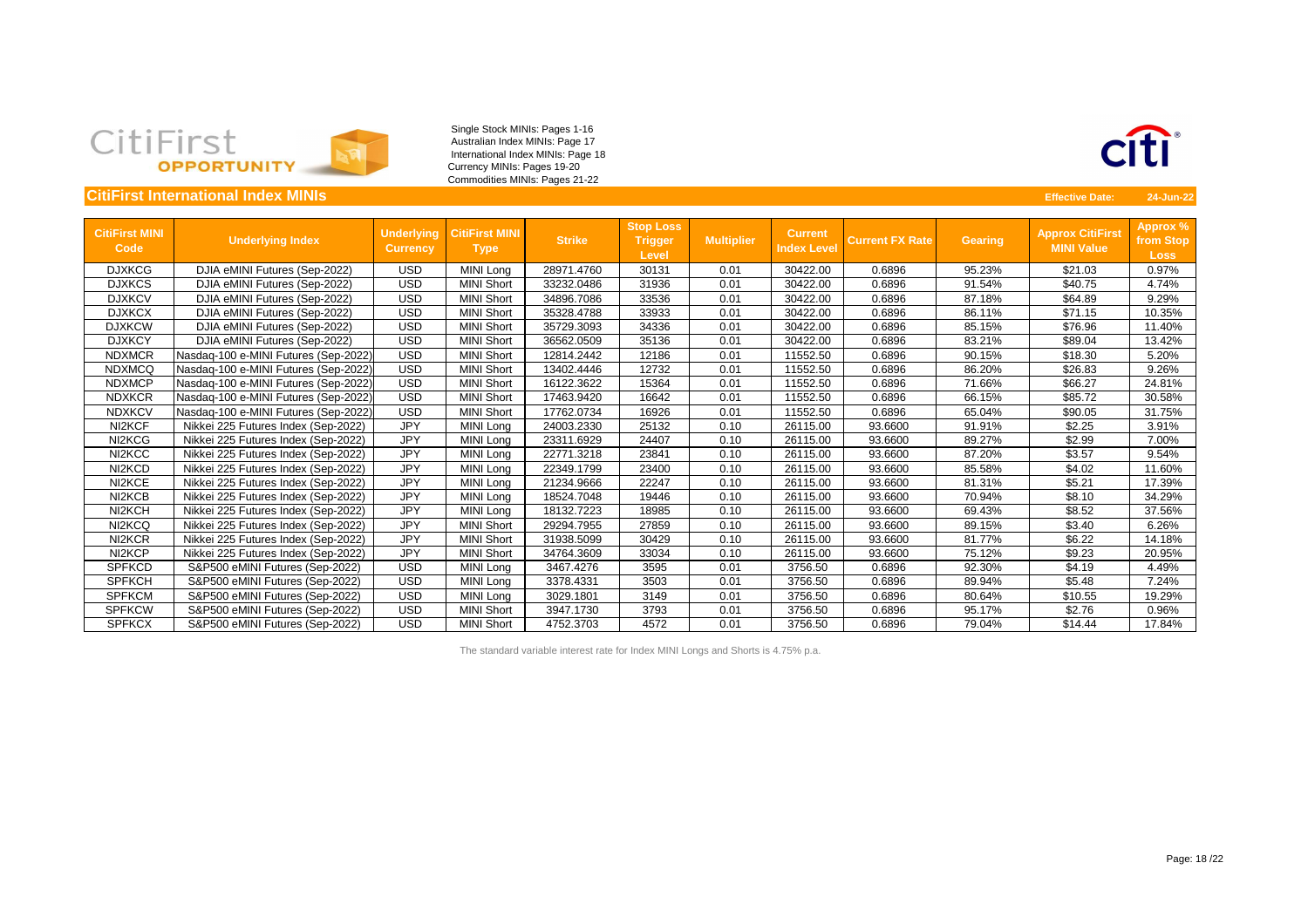

|                                      | <b>CitiFirst International Index MINIs</b> |                                      |                                      |               |                                                    |                   |                               |                        |                | <b>Effective Date:</b>                       | 24-Jun-22                                   |
|--------------------------------------|--------------------------------------------|--------------------------------------|--------------------------------------|---------------|----------------------------------------------------|-------------------|-------------------------------|------------------------|----------------|----------------------------------------------|---------------------------------------------|
| <b>CitiFirst MINI</b><br><b>Code</b> | <b>Underlying Index</b>                    | <b>Underlying</b><br><b>Currency</b> | <b>CitiFirst MINI</b><br><b>Type</b> | <b>Strike</b> | <b>Stop Loss</b><br><b>Trigger</b><br><b>Level</b> | <b>Multiplier</b> | Current<br><b>Index Level</b> | <b>Current FX Rate</b> | <b>Gearing</b> | <b>Approx CitiFirst</b><br><b>MINI Value</b> | <b>Approx %</b><br>from Stop<br><b>Loss</b> |
| <b>DJXKCG</b>                        | DJIA eMINI Futures (Sep-2022)              | <b>USD</b>                           | MINI Long                            | 28971.4760    | 30131                                              | 0.01              | 30422.00                      | 0.6896                 | 95.23%         | \$21.03                                      | 0.97%                                       |
| <b>DJXKCS</b>                        | DJIA eMINI Futures (Sep-2022)              | <b>USD</b>                           | <b>MINI Short</b>                    | 33232.0486    | 31936                                              | 0.01              | 30422.00                      | 0.6896                 | 91.54%         | \$40.75                                      | 4.74%                                       |
| <b>DJXKCV</b>                        | DJIA eMINI Futures (Sep-2022)              | <b>USD</b>                           | <b>MINI Short</b>                    | 34896.7086    | 33536                                              | 0.01              | 30422.00                      | 0.6896                 | 87.18%         | \$64.89                                      | 9.29%                                       |
| <b>DJXKCX</b>                        | DJIA eMINI Futures (Sep-2022)              | <b>USD</b>                           | <b>MINI Short</b>                    | 35328.4788    | 33933                                              | 0.01              | 30422.00                      | 0.6896                 | 86.11%         | \$71.15                                      | 10.35%                                      |
| <b>DJXKCW</b>                        | DJIA eMINI Futures (Sep-2022)              | <b>USD</b>                           | <b>MINI Short</b>                    | 35729.3093    | 34336                                              | 0.01              | 30422.00                      | 0.6896                 | 85.15%         | \$76.96                                      | 11.40%                                      |
| <b>DJXKCY</b>                        | DJIA eMINI Futures (Sep-2022)              | <b>USD</b>                           | <b>MINI Short</b>                    | 36562.0509    | 35136                                              | 0.01              | 30422.00                      | 0.6896                 | 83.21%         | \$89.04                                      | 13.42%                                      |
| <b>NDXMCR</b>                        | Nasdaq-100 e-MINI Futures (Sep-2022)       | <b>USD</b>                           | <b>MINI Short</b>                    | 12814.2442    | 12186                                              | 0.01              | 11552.50                      | 0.6896                 | 90.15%         | \$18.30                                      | 5.20%                                       |
| <b>NDXMCQ</b>                        | Nasdaq-100 e-MINI Futures (Sep-2022)       | <b>USD</b>                           | <b>MINI Short</b>                    | 13402.4446    | 12732                                              | 0.01              | 11552.50                      | 0.6896                 | 86.20%         | \$26.83                                      | 9.26%                                       |
| <b>NDXMCP</b>                        | Nasdaq-100 e-MINI Futures (Sep-2022)       | <b>USD</b>                           | <b>MINI Short</b>                    | 16122.3622    | 15364                                              | 0.01              | 11552.50                      | 0.6896                 | 71.66%         | \$66.27                                      | 24.81%                                      |
| <b>NDXKCR</b>                        | Nasdaq-100 e-MINI Futures (Sep-2022)       | <b>USD</b>                           | <b>MINI Short</b>                    | 17463.9420    | 16642                                              | 0.01              | 11552.50                      | 0.6896                 | 66.15%         | \$85.72                                      | 30.58%                                      |
| <b>NDXKCV</b>                        | Nasdaq-100 e-MINI Futures (Sep-2022)       | <b>USD</b>                           | <b>MINI Short</b>                    | 17762.0734    | 16926                                              | 0.01              | 11552.50                      | 0.6896                 | 65.04%         | \$90.05                                      | 31.75%                                      |
| NI2KCF                               | Nikkei 225 Futures Index (Sep-2022)        | <b>JPY</b>                           | MINI Long                            | 24003.2330    | 25132                                              | 0.10              | 26115.00                      | 93.6600                | 91.91%         | \$2.25                                       | 3.91%                                       |
| NI2KCG                               | Nikkei 225 Futures Index (Sep-2022)        | <b>JPY</b>                           | MINI Long                            | 23311.6929    | 24407                                              | 0.10              | 26115.00                      | 93.6600                | 89.27%         | \$2.99                                       | 7.00%                                       |
| NI2KCC                               | Nikkei 225 Futures Index (Sep-2022)        | <b>JPY</b>                           | MINI Long                            | 22771.3218    | 23841                                              | 0.10              | 26115.00                      | 93.6600                | 87.20%         | \$3.57                                       | 9.54%                                       |
| NI2KCD                               | Nikkei 225 Futures Index (Sep-2022)        | <b>JPY</b>                           | MINI Long                            | 22349.1799    | 23400                                              | 0.10              | 26115.00                      | 93.6600                | 85.58%         | \$4.02                                       | 11.60%                                      |
| NI2KCE                               | Nikkei 225 Futures Index (Sep-2022)        | <b>JPY</b>                           | <b>MINI Long</b>                     | 21234.9666    | 22247                                              | 0.10              | 26115.00                      | 93.6600                | 81.31%         | \$5.21                                       | 17.39%                                      |
| NI2KCB                               | Nikkei 225 Futures Index (Sep-2022)        | <b>JPY</b>                           | MINI Long                            | 18524.7048    | 19446                                              | 0.10              | 26115.00                      | 93.6600                | 70.94%         | \$8.10                                       | 34.29%                                      |
| NI2KCH                               | Nikkei 225 Futures Index (Sep-2022)        | <b>JPY</b>                           | <b>MINI Long</b>                     | 18132.7223    | 18985                                              | 0.10              | 26115.00                      | 93.6600                | 69.43%         | \$8.52                                       | 37.56%                                      |
| NI2KCQ                               | Nikkei 225 Futures Index (Sep-2022)        | <b>JPY</b>                           | <b>MINI Short</b>                    | 29294.7955    | 27859                                              | 0.10              | 26115.00                      | 93.6600                | 89.15%         | \$3.40                                       | 6.26%                                       |
| NI2KCR                               | Nikkei 225 Futures Index (Sep-2022)        | <b>JPY</b>                           | <b>MINI Short</b>                    | 31938.5099    | 30429                                              | 0.10              | 26115.00                      | 93.6600                | 81.77%         | \$6.22                                       | 14.18%                                      |
| NI2KCP                               | Nikkei 225 Futures Index (Sep-2022)        | <b>JPY</b>                           | <b>MINI Short</b>                    | 34764.3609    | 33034                                              | 0.10              | 26115.00                      | 93.6600                | 75.12%         | \$9.23                                       | 20.95%                                      |
| <b>SPFKCD</b>                        | S&P500 eMINI Futures (Sep-2022)            | <b>USD</b>                           | MINI Long                            | 3467.4276     | 3595                                               | 0.01              | 3756.50                       | 0.6896                 | 92.30%         | \$4.19                                       | 4.49%                                       |
| <b>SPFKCH</b>                        | S&P500 eMINI Futures (Sep-2022)            | <b>USD</b>                           | MINI Long                            | 3378.4331     | 3503                                               | 0.01              | 3756.50                       | 0.6896                 | 89.94%         | \$5.48                                       | 7.24%                                       |
| <b>SPFKCM</b>                        | S&P500 eMINI Futures (Sep-2022)            | <b>USD</b>                           | MINI Long                            | 3029.1801     | 3149                                               | 0.01              | 3756.50                       | 0.6896                 | 80.64%         | \$10.55                                      | 19.29%                                      |
| <b>SPFKCW</b>                        | S&P500 eMINI Futures (Sep-2022)            | <b>USD</b>                           | <b>MINI Short</b>                    | 3947.1730     | 3793                                               | 0.01              | 3756.50                       | 0.6896                 | 95.17%         | \$2.76                                       | 0.96%                                       |
| <b>SPFKCX</b>                        | S&P500 eMINI Futures (Sep-2022)            | <b>USD</b>                           | <b>MINI Short</b>                    | 4752.3703     | 4572                                               | 0.01              | 3756.50                       | 0.6896                 | 79.04%         | \$14.44                                      | 17.84%                                      |

The standard variable interest rate for Index MINI Longs and Shorts is 4.75% p.a.

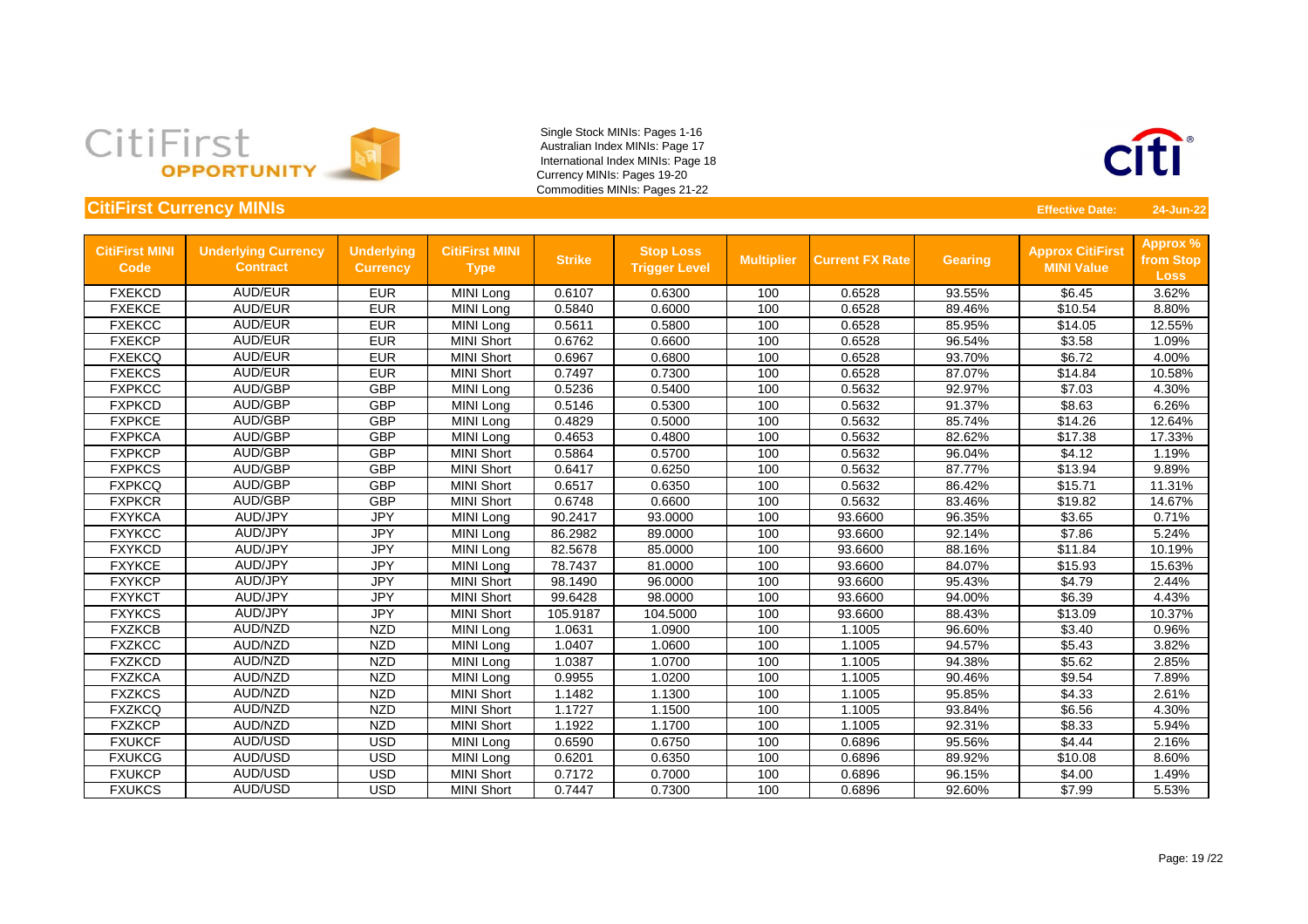

#### **CitiFirst Currency MINIs Effective Date: 24-Jun-22**

| <b>CitiFirst MINI</b><br><b>Code</b> | <b>Underlying Currency</b><br><b>Contract</b> | <b>Underlying</b><br><b>Currency</b> | <b>CitiFirst MINI</b><br><b>Type</b> | <b>Strike</b> | <b>Stop Loss</b><br><b>Trigger Level</b> | <b>Multiplier</b> | <b>Current FX Rate</b> | <b>Gearing</b> | <b>Approx CitiFirst</b><br><b>MINI Value</b> | <b>Approx %</b><br>from Stop<br><b>Loss</b> |
|--------------------------------------|-----------------------------------------------|--------------------------------------|--------------------------------------|---------------|------------------------------------------|-------------------|------------------------|----------------|----------------------------------------------|---------------------------------------------|
| <b>FXEKCD</b>                        | <b>AUD/EUR</b>                                | <b>EUR</b>                           | MINI Long                            | 0.6107        | 0.6300                                   | 100               | 0.6528                 | 93.55%         | \$6.45                                       | 3.62%                                       |
| <b>FXEKCE</b>                        | <b>AUD/EUR</b>                                | <b>EUR</b>                           | MINI Long                            | 0.5840        | 0.6000                                   | 100               | 0.6528                 | 89.46%         | \$10.54                                      | 8.80%                                       |
| <b>FXEKCC</b>                        | <b>AUD/EUR</b>                                | <b>EUR</b>                           | MINI Long                            | 0.5611        | 0.5800                                   | 100               | 0.6528                 | 85.95%         | \$14.05                                      | 12.55%                                      |
| <b>FXEKCP</b>                        | <b>AUD/EUR</b>                                | <b>EUR</b>                           | <b>MINI Short</b>                    | 0.6762        | 0.6600                                   | 100               | 0.6528                 | 96.54%         | \$3.58                                       | 1.09%                                       |
| <b>FXEKCQ</b>                        | <b>AUD/EUR</b>                                | <b>EUR</b>                           | <b>MINI Short</b>                    | 0.6967        | 0.6800                                   | 100               | 0.6528                 | 93.70%         | \$6.72                                       | 4.00%                                       |
| <b>FXEKCS</b>                        | <b>AUD/EUR</b>                                | <b>EUR</b>                           | <b>MINI Short</b>                    | 0.7497        | 0.7300                                   | 100               | 0.6528                 | 87.07%         | \$14.84                                      | 10.58%                                      |
| <b>FXPKCC</b>                        | AUD/GBP                                       | <b>GBP</b>                           | MINI Long                            | 0.5236        | 0.5400                                   | 100               | 0.5632                 | 92.97%         | \$7.03                                       | 4.30%                                       |
| <b>FXPKCD</b>                        | AUD/GBP                                       | <b>GBP</b>                           | MINI Long                            | 0.5146        | 0.5300                                   | 100               | 0.5632                 | 91.37%         | \$8.63                                       | 6.26%                                       |
| <b>FXPKCE</b>                        | <b>AUD/GBP</b>                                | <b>GBP</b>                           | MINI Long                            | 0.4829        | 0.5000                                   | 100               | 0.5632                 | 85.74%         | \$14.26                                      | 12.64%                                      |
| <b>FXPKCA</b>                        | <b>AUD/GBP</b>                                | <b>GBP</b>                           | MINI Long                            | 0.4653        | 0.4800                                   | 100               | 0.5632                 | 82.62%         | \$17.38                                      | 17.33%                                      |
| <b>FXPKCP</b>                        | <b>AUD/GBP</b>                                | <b>GBP</b>                           | <b>MINI Short</b>                    | 0.5864        | 0.5700                                   | 100               | 0.5632                 | 96.04%         | \$4.12                                       | 1.19%                                       |
| <b>FXPKCS</b>                        | AUD/GBP                                       | <b>GBP</b>                           | <b>MINI Short</b>                    | 0.6417        | 0.6250                                   | 100               | 0.5632                 | 87.77%         | \$13.94                                      | 9.89%                                       |
| <b>FXPKCQ</b>                        | <b>AUD/GBP</b>                                | <b>GBP</b>                           | <b>MINI Short</b>                    | 0.6517        | 0.6350                                   | 100               | 0.5632                 | 86.42%         | \$15.71                                      | 11.31%                                      |
| <b>FXPKCR</b>                        | <b>AUD/GBP</b>                                | <b>GBP</b>                           | <b>MINI Short</b>                    | 0.6748        | 0.6600                                   | 100               | 0.5632                 | 83.46%         | \$19.82                                      | 14.67%                                      |
| <b>FXYKCA</b>                        | AUD/JPY                                       | <b>JPY</b>                           | MINI Long                            | 90.2417       | 93.0000                                  | 100               | 93.6600                | 96.35%         | \$3.65                                       | 0.71%                                       |
| <b>FXYKCC</b>                        | <b>AUD/JPY</b>                                | <b>JPY</b>                           | MINI Long                            | 86.2982       | 89.0000                                  | 100               | 93.6600                | 92.14%         | \$7.86                                       | 5.24%                                       |
| <b>FXYKCD</b>                        | AUD/JPY                                       | <b>JPY</b>                           | MINI Long                            | 82.5678       | 85.0000                                  | 100               | 93.6600                | 88.16%         | \$11.84                                      | 10.19%                                      |
| <b>FXYKCE</b>                        | AUD/JPY                                       | <b>JPY</b>                           | MINI Long                            | 78.7437       | 81.0000                                  | 100               | 93.6600                | 84.07%         | \$15.93                                      | 15.63%                                      |
| <b>FXYKCP</b>                        | AUD/JPY                                       | <b>JPY</b>                           | <b>MINI Short</b>                    | 98.1490       | 96.0000                                  | 100               | 93.6600                | 95.43%         | \$4.79                                       | 2.44%                                       |
| <b>FXYKCT</b>                        | AUD/JPY                                       | <b>JPY</b>                           | <b>MINI Short</b>                    | 99.6428       | 98.0000                                  | 100               | 93.6600                | 94.00%         | \$6.39                                       | 4.43%                                       |
| <b>FXYKCS</b>                        | AUD/JPY                                       | <b>JPY</b>                           | <b>MINI Short</b>                    | 105.9187      | 104.5000                                 | 100               | 93.6600                | 88.43%         | \$13.09                                      | 10.37%                                      |
| <b>FXZKCB</b>                        | AUD/NZD                                       | <b>NZD</b>                           | MINI Long                            | 1.0631        | 1.0900                                   | 100               | 1.1005                 | 96.60%         | \$3.40                                       | 0.96%                                       |
| <b>FXZKCC</b>                        | <b>AUD/NZD</b>                                | <b>NZD</b>                           | MINI Long                            | 1.0407        | 1.0600                                   | 100               | 1.1005                 | 94.57%         | \$5.43                                       | 3.82%                                       |
| <b>FXZKCD</b>                        | AUD/NZD                                       | <b>NZD</b>                           | MINI Long                            | 1.0387        | 1.0700                                   | 100               | 1.1005                 | 94.38%         | \$5.62                                       | 2.85%                                       |
| <b>FXZKCA</b>                        | <b>AUD/NZD</b>                                | <b>NZD</b>                           | MINI Long                            | 0.9955        | 1.0200                                   | 100               | 1.1005                 | 90.46%         | \$9.54                                       | 7.89%                                       |
| <b>FXZKCS</b>                        | AUD/NZD                                       | <b>NZD</b>                           | <b>MINI Short</b>                    | 1.1482        | 1.1300                                   | 100               | 1.1005                 | 95.85%         | \$4.33                                       | 2.61%                                       |
| <b>FXZKCQ</b>                        | AUD/NZD                                       | <b>NZD</b>                           | <b>MINI Short</b>                    | 1.1727        | 1.1500                                   | 100               | 1.1005                 | 93.84%         | \$6.56                                       | 4.30%                                       |
| <b>FXZKCP</b>                        | AUD/NZD                                       | <b>NZD</b>                           | <b>MINI Short</b>                    | 1.1922        | 1.1700                                   | 100               | 1.1005                 | 92.31%         | \$8.33                                       | 5.94%                                       |
| <b>FXUKCF</b>                        | AUD/USD                                       | <b>USD</b>                           | MINI Long                            | 0.6590        | 0.6750                                   | 100               | 0.6896                 | 95.56%         | \$4.44                                       | 2.16%                                       |
| <b>FXUKCG</b>                        | AUD/USD                                       | <b>USD</b>                           | MINI Long                            | 0.6201        | 0.6350                                   | 100               | 0.6896                 | 89.92%         | \$10.08                                      | 8.60%                                       |
| <b>FXUKCP</b>                        | <b>AUD/USD</b>                                | <b>USD</b>                           | <b>MINI Short</b>                    | 0.7172        | 0.7000                                   | 100               | 0.6896                 | 96.15%         | \$4.00                                       | 1.49%                                       |
| <b>FXUKCS</b>                        | AUD/USD                                       | <b>USD</b>                           | <b>MINI Short</b>                    | 0.7447        | 0.7300                                   | 100               | 0.6896                 | 92.60%         | \$7.99                                       | 5.53%                                       |

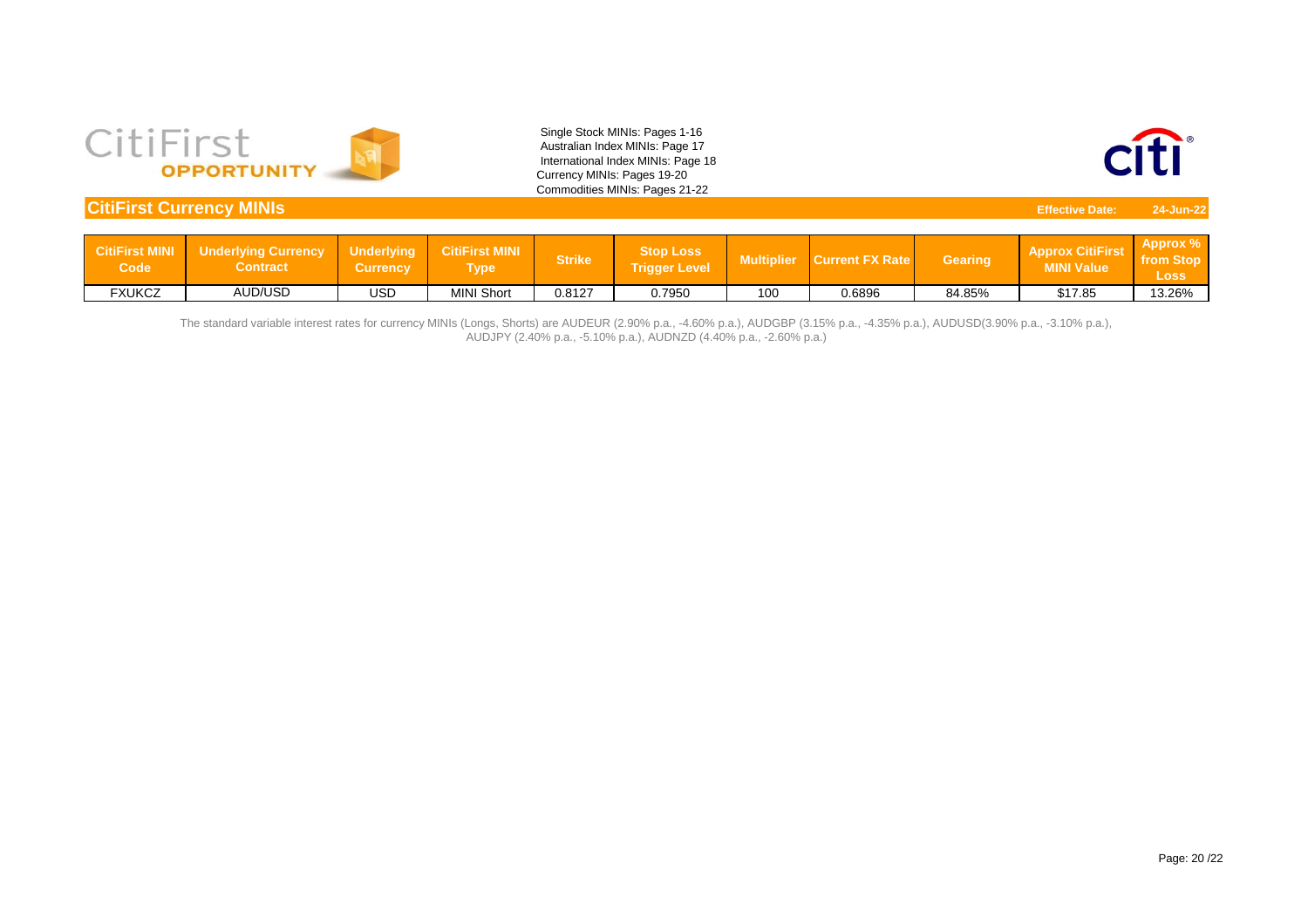

| <b>CitiFirst Currency MINIs</b><br><b>Effective Date:</b> |                                               |                                      |                               |               |                                          |                   |                        |                |                                              |                                           |  |
|-----------------------------------------------------------|-----------------------------------------------|--------------------------------------|-------------------------------|---------------|------------------------------------------|-------------------|------------------------|----------------|----------------------------------------------|-------------------------------------------|--|
|                                                           |                                               |                                      |                               |               |                                          |                   |                        |                |                                              |                                           |  |
| <b>CitiFirst MINI</b><br>Code                             | <b>Underlying Currency</b><br><b>Contract</b> | <b>Underlying</b><br><b>Currency</b> | <b>CitiFirst MINI</b><br>Type | <b>Strike</b> | <b>Stop Loss</b><br><b>Trigger Level</b> | <b>Multiplier</b> | <b>Current FX Rate</b> | <b>Gearing</b> | <b>Approx CitiFirst</b><br><b>MINI Value</b> | <b>Approx</b><br>from Stop<br><b>Loss</b> |  |
| <b>FXUKCZ</b>                                             | <b>AUD/USD</b>                                | <b>USD</b>                           | <b>MINI Short</b>             | 0.8127        | 0.7950                                   | 100               | 0.6896                 | 84.85%         | \$17.85                                      | 13.26%                                    |  |

The standard variable interest rates for currency MINIs (Longs, Shorts) are AUDEUR (2.90% p.a., -4.60% p.a.), AUDGBP (3.15% p.a., -4.35% p.a.), AUDUSD(3.90% p.a., -3.10% p.a.), AUDJPY (2.40% p.a., -5.10% p.a.), AUDNZD (4.40% p.a., -2.60% p.a.)

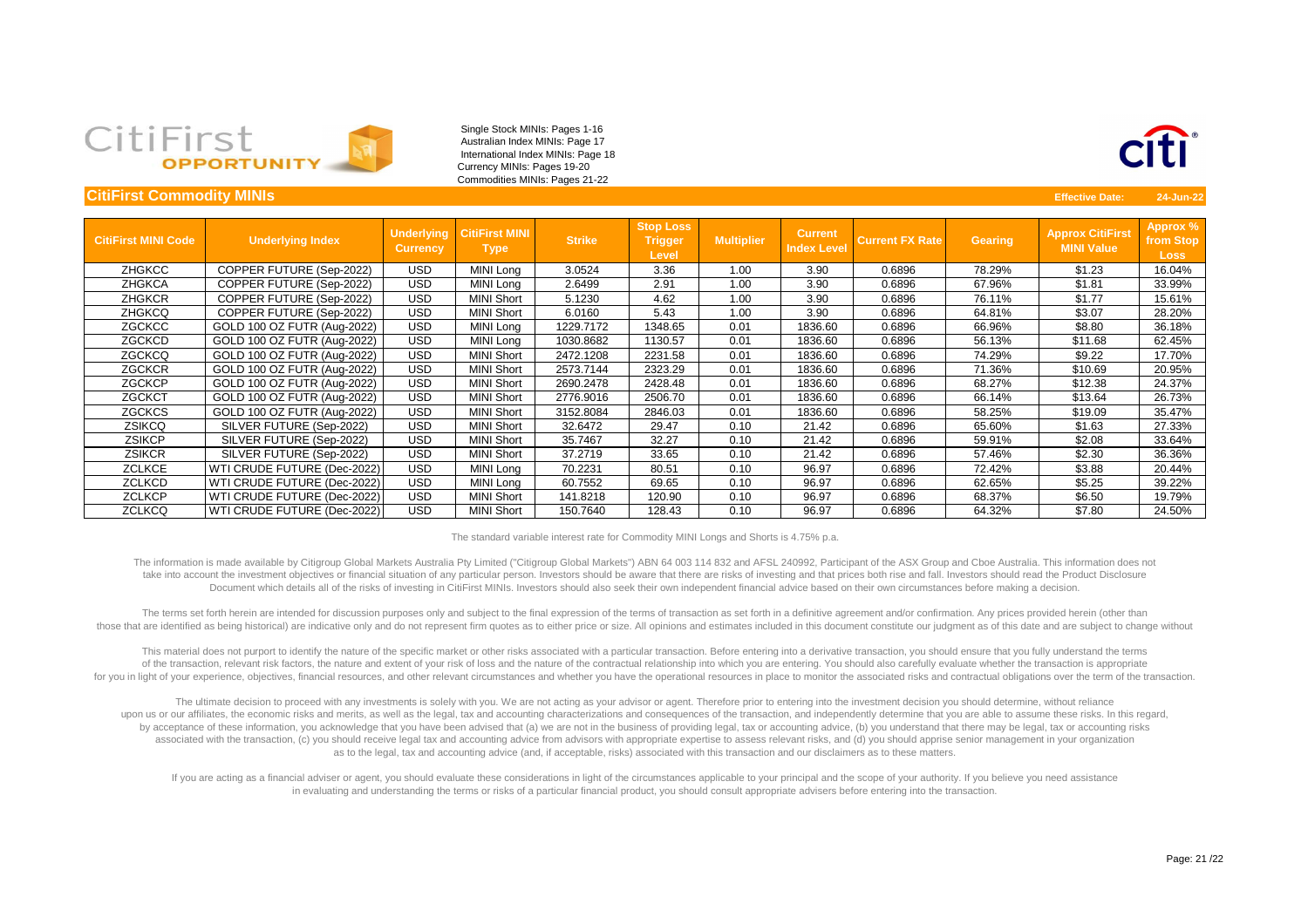

| <b>CitiFirst Commodity MINIs</b> |                             |                                      |                                      |               |                                                    |                   |                                      |                        |                | <b>Effective Date:</b>                       | 24-Jun-22                                   |
|----------------------------------|-----------------------------|--------------------------------------|--------------------------------------|---------------|----------------------------------------------------|-------------------|--------------------------------------|------------------------|----------------|----------------------------------------------|---------------------------------------------|
|                                  |                             |                                      |                                      |               |                                                    |                   |                                      |                        |                |                                              |                                             |
| <b>CitiFirst MINI Code</b>       | <b>Underlying Index</b>     | <b>Underlying</b><br><b>Currency</b> | <b>CitiFirst MINI</b><br><b>Type</b> | <b>Strike</b> | <b>Stop Loss</b><br><b>Trigger</b><br><b>Level</b> | <b>Multiplier</b> | <b>Current</b><br><b>Index Level</b> | <b>Current FX Rate</b> | <b>Gearing</b> | <b>Approx CitiFirst</b><br><b>MINI Value</b> | <b>Approx %</b><br>from Stop<br><b>Loss</b> |
| <b>ZHGKCC</b>                    | COPPER FUTURE (Sep-2022)    | <b>USD</b>                           | MINI Long                            | 3.0524        | 3.36                                               | 1.00              | 3.90                                 | 0.6896                 | 78.29%         | \$1.23                                       | 16.04%                                      |
| <b>ZHGKCA</b>                    | COPPER FUTURE (Sep-2022)    | <b>USD</b>                           | MINI Long                            | 2.6499        | 2.91                                               | 1.00              | 3.90                                 | 0.6896                 | 67.96%         | \$1.81                                       | 33.99%                                      |
| <b>ZHGKCR</b>                    | COPPER FUTURE (Sep-2022)    | <b>USD</b>                           | <b>MINI Short</b>                    | 5.1230        | 4.62                                               | 1.00              | 3.90                                 | 0.6896                 | 76.11%         | \$1.77                                       | 15.61%                                      |
| <b>ZHGKCQ</b>                    | COPPER FUTURE (Sep-2022)    | <b>USD</b>                           | <b>MINI Short</b>                    | 6.0160        | 5.43                                               | 1.00              | 3.90                                 | 0.6896                 | 64.81%         | \$3.07                                       | 28.20%                                      |
| ZGCKCC                           | GOLD 100 OZ FUTR (Aug-2022) | <b>USD</b>                           | MINI Long                            | 1229.7172     | 1348.65                                            | 0.01              | 1836.60                              | 0.6896                 | 66.96%         | \$8.80                                       | 36.18%                                      |
| ZGCKCD                           | GOLD 100 OZ FUTR (Aug-2022) | <b>USD</b>                           | MINI Long                            | 1030.8682     | 1130.57                                            | 0.01              | 1836.60                              | 0.6896                 | 56.13%         | \$11.68                                      | 62.45%                                      |
| <b>ZGCKCQ</b>                    | GOLD 100 OZ FUTR (Aug-2022) | USD                                  | <b>MINI Short</b>                    | 2472.1208     | 2231.58                                            | 0.01              | 1836.60                              | 0.6896                 | 74.29%         | \$9.22                                       | 17.70%                                      |
| <b>ZGCKCR</b>                    | GOLD 100 OZ FUTR (Aug-2022) | <b>USD</b>                           | <b>MINI Short</b>                    | 2573.7144     | 2323.29                                            | 0.01              | 1836.60                              | 0.6896                 | 71.36%         | \$10.69                                      | 20.95%                                      |
| <b>ZGCKCP</b>                    | GOLD 100 OZ FUTR (Aug-2022) | <b>USD</b>                           | <b>MINI Short</b>                    | 2690.2478     | 2428.48                                            | 0.01              | 1836.60                              | 0.6896                 | 68.27%         | \$12.38                                      | 24.37%                                      |
| <b>ZGCKCT</b>                    | GOLD 100 OZ FUTR (Aug-2022) | <b>USD</b>                           | <b>MINI Short</b>                    | 2776.9016     | 2506.70                                            | 0.01              | 1836.60                              | 0.6896                 | 66.14%         | \$13.64                                      | 26.73%                                      |
| <b>ZGCKCS</b>                    | GOLD 100 OZ FUTR (Aug-2022) | <b>USD</b>                           | <b>MINI Short</b>                    | 3152.8084     | 2846.03                                            | 0.01              | 1836.60                              | 0.6896                 | 58.25%         | \$19.09                                      | 35.47%                                      |
| ZSIKCQ                           | SILVER FUTURE (Sep-2022)    | <b>USD</b>                           | <b>MINI Short</b>                    | 32.6472       | 29.47                                              | 0.10              | 21.42                                | 0.6896                 | 65.60%         | \$1.63                                       | 27.33%                                      |
| <b>ZSIKCP</b>                    | SILVER FUTURE (Sep-2022)    | <b>USD</b>                           | <b>MINI Short</b>                    | 35.7467       | 32.27                                              | 0.10              | 21.42                                | 0.6896                 | 59.91%         | \$2.08                                       | 33.64%                                      |
| <b>ZSIKCR</b>                    | SILVER FUTURE (Sep-2022)    | <b>USD</b>                           | <b>MINI Short</b>                    | 37.2719       | 33.65                                              | 0.10              | 21.42                                | 0.6896                 | 57.46%         | \$2.30                                       | 36.36%                                      |
| <b>ZCLKCE</b>                    | WTI CRUDE FUTURE (Dec-2022) | <b>USD</b>                           | MINI Long                            | 70.2231       | 80.51                                              | 0.10              | 96.97                                | 0.6896                 | 72.42%         | \$3.88                                       | 20.44%                                      |
| <b>ZCLKCD</b>                    | WTI CRUDE FUTURE (Dec-2022) | <b>USD</b>                           | MINI Long                            | 60.7552       | 69.65                                              | 0.10              | 96.97                                | 0.6896                 | 62.65%         | \$5.25                                       | 39.22%                                      |
| <b>ZCLKCP</b>                    | WTI CRUDE FUTURE (Dec-2022) | <b>USD</b>                           | <b>MINI Short</b>                    | 141.8218      | 120.90                                             | 0.10              | 96.97                                | 0.6896                 | 68.37%         | \$6.50                                       | 19.79%                                      |
| <b>ZCLKCQ</b>                    | WTI CRUDE FUTURE (Dec-2022) | <b>USD</b>                           | <b>MINI Short</b>                    | 150.7640      | 128.43                                             | 0.10              | 96.97                                | 0.6896                 | 64.32%         | \$7.80                                       | 24.50%                                      |

take into account the investment objectives or financial situation of any particular person. Investors should be aware that there are risks of investing and that prices both rise and fall. Investors should read the Product Document which details all of the risks of investing in CitiFirst MINIs. Investors should also seek their own independent financial advice based on their own circumstances before making a decision. The information is made available by Citigroup Global Markets Australia Pty Limited ("Citigroup Global Markets") ABN 64 003 114 832 and AFSL 240992, Participant of the ASX Group and Cboe Australia. This information does not

those that are identified as being historical) are indicative only and do not represent firm quotes as to either price or size. All opinions and estimates included in this document constitute our judgment as of this date a The terms set forth herein are intended for discussion purposes only and subject to the final expression of the terms of transaction as set forth in a definitive agreement and/or confirmation. Any prices provided herein (o

of the transaction, relevant risk factors, the nature and extent of your risk of loss and the nature of the contractual relationship into which you are entering. You should also carefully evaluate whether the transaction i This material does not purport to identify the nature of the specific market or other risks associated with a particular transaction. Before entering into a derivative transaction, you should ensure that you fully understa for you in light of your experience, objectives, financial resources, and other relevant circumstances and whether you have the operational resources in place to monitor the associated risks and contractual obligations ove

by acceptance of these information, you acknowledge that you have been advised that (a) we are not in the business of providing legal, tax or accounting advice, (b) you understand that there may be legal, tax or accounting associated with the transaction, (c) you should receive legal tax and accounting advice from advisors with appropriate expertise to assess relevant risks, and (d) you should apprise senior management in your organization upon us or our affiliates, the economic risks and merits, as well as the legal, tax and accounting characterizations and consequences of the transaction, and independently determine that you are able to assume these risks. The ultimate decision to proceed with any investments is solely with you. We are not acting as your advisor or agent. Therefore prior to entering into the investment decision you should determine, without reliance as to the legal, tax and accounting advice (and, if acceptable, risks) associated with this transaction and our disclaimers as to these matters.

If you are acting as a financial adviser or agent, you should evaluate these considerations in light of the circumstances applicable to your principal and the scope of your authority. If you believe you need assistance in evaluating and understanding the terms or risks of a particular financial product, you should consult appropriate advisers before entering into the transaction.



The standard variable interest rate for Commodity MINI Longs and Shorts is 4.75% p.a.